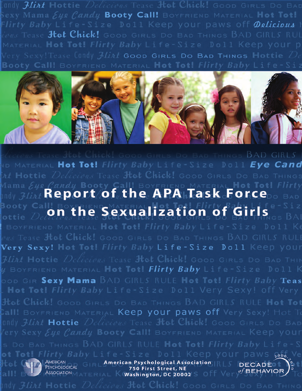andy *Flirt* Hottie *Delicious* Tease **Hot Chick!** Good GIRLS DO BAD Sexy Mama Eye Candy Booty Call! BOYFRIEND MATERIAL Hot Tot! Flirty Baby Life-Size Doll Keep your paws off Delicions 10005 Tease  ${\rm \#ot\ C}$ hick! Good Girls Do Bad Things  ${\rm BAD\ GIRLS}$ MATERIAL Hot Tot! Flirty Baby Life-Size Doll Keep you TY Sexy! Tease Condy *Fliat* Good GIRLS Do BAD THINGS Hottie Booty Call! BOYFRIEND MATERIAL Hot Tot! Flirty Baby Life-



GOOD GIRLS DO BAD THINGS BAD GIRLS ND MATERIAL Hot Tot! Flirty Baby Life-Size Doll Eye Cand  $\Lambda t$  Hottie  $Delicious$  Tease  $\text{Hot}$  Chick! Good GIRLS DO BAD THINGS Mama Eye Candy Booty Call! BoyFRIEND MATERIAL Hot Tot! Flirty Booty Call Box the Sexualization of Girls BOYFRIEND MATERIAL Hot Tot! Flirty Baby Life-Size Doll Ke OUS Tease Hot Chick! GOOD GIRLS DO BAD THINGS BAD GIRLS RULE Very Sexy! lot Tot! Flirty Baby Life-Size Doll Keep your Flirt Hottie Delicious Tease Hot Chick! Good GIRLS DO BAD THIN & BOYFRIEND MATERIAL Hot Tot! Flirty Baby Life-Size Doll K OOD GIR Sexy Mama BAD GIRLS RULE Hot Tot! Flirty Baby Teas Hot Tot! Flirty Baby Life-Size Doll Very Sexy! off Very Hot Chick! Good GIRLS DO BAD THINGS BAD GIRLS RULE Hot Tot Call! BOYFRIEND MATERIAL Keep your paws off Very Sexy! Hot To andy *Flint* Hottie *Delicious* Tease Hot Chick! Good GIRLS DO BAD Y Sexy Eye Candy Booty Call! BOYFRIEND MATERIAL Keep your S DO BAD THINGS BAD GIRLS RULE Hot Tot! Flirty Baby Life-S Totl Flirty Baby Life-Size Doll Keep your paws pool AMERICAN



 $e f$ BEHAVIOR $\int_{c}^{b}$ AMERICAN GIRLAMerican Psychological Association RL DECADE<br>750 First Street, NE 750 First Street, NE 4550CIATION<br>ASSOCIATION ATERIAL K Washington, DC 20002 S OFF Verset AVIO

andy Flint Hottie  $\mathcal{D}$ elicious Hot Chick! Good GIRLS DO BAD THING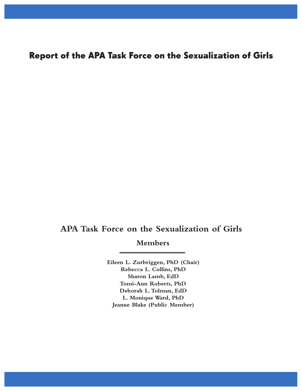# Report of the APA Task Force on the Sexualization of Girls

# **APA Task Force on the Sexualization of Girls**

## **Members**

**Eileen L. Zurbriggen, PhD (Chair) Rebecca L. Collins, PhD Sharon Lamb, EdD Tomi-Ann Roberts, PhD Deborah L.Tolman, EdD L. Monique Ward, PhD Jeanne Blake (Public Member)**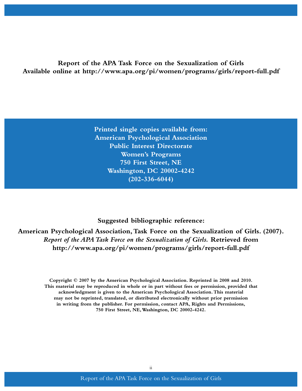**Report of the APA Task Force on the Sexualization of Girls Available online at http://www.apa.org/pi/women/programs/girls/report-full.pdf**

> **Printed single copies available from: American Psychological Association Public Interest Directorate Women's Programs 750 First Street, NE Washington, DC 20002-4242 (202-336-6044)**

## **Suggested bibliographic reference:**

**American Psychological Association,Task Force on the Sexualization of Girls. (2007).** *Report of the APA Task Force on the Sexualization of Girls.* **Retrieved from http://www.apa.org/pi/women/programs/girls/report-full.pdf**

**Copyright © 2007 by the American Psychological Association. Reprinted in 2008 and 2010. This material may be reproduced in whole or in part without fees or permission, provided that acknowledgment is given to the American Psychological Association.This material may not be reprinted, translated, or distributed electronically without prior permission in writing from the publisher. For permission, contact APA, Rights and Permissions, 750 First Street, NE,Washington, DC 20002-4242.**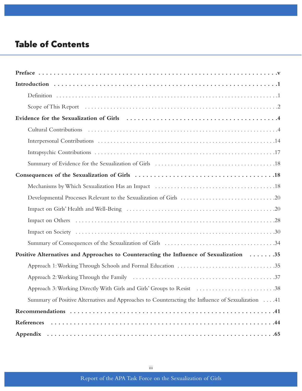# Table of Contents

| Cultural Contributions (a) contract to the control of the control of the control of the contributions (c) and the control of the control of the control of the control of the control of the control of the control of the con |
|--------------------------------------------------------------------------------------------------------------------------------------------------------------------------------------------------------------------------------|
|                                                                                                                                                                                                                                |
|                                                                                                                                                                                                                                |
|                                                                                                                                                                                                                                |
|                                                                                                                                                                                                                                |
|                                                                                                                                                                                                                                |
|                                                                                                                                                                                                                                |
|                                                                                                                                                                                                                                |
|                                                                                                                                                                                                                                |
|                                                                                                                                                                                                                                |
|                                                                                                                                                                                                                                |
| Positive Alternatives and Approaches to Counteracting the Influence of Sexualization 35                                                                                                                                        |
|                                                                                                                                                                                                                                |
|                                                                                                                                                                                                                                |
| Approach 3: Working Directly With Girls and Girls' Groups to Resist 38                                                                                                                                                         |
| Summary of Positive Alternatives and Approaches to Counteracting the Influence of Sexualization 41                                                                                                                             |
|                                                                                                                                                                                                                                |
| References                                                                                                                                                                                                                     |
|                                                                                                                                                                                                                                |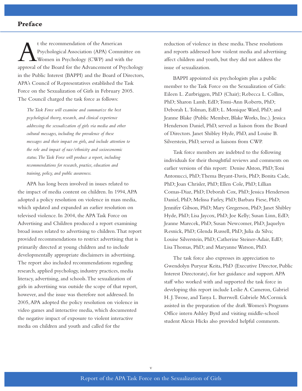## **Preface**

t the recommendation of the American<br>
Psychological Association (APA) Comm<br>
Women in Psychology (CWP) and with<br>
approval of the Board for the Advancement of P Psychological Association (APA) Committee on Women in Psychology (CWP) and with the approval of the Board for the Advancement of Psychology in the Public Interest (BAPPI) and the Board of Directors, APA's Council of Representatives established the Task Force on the Sexualization of Girls in February 2005. The Council charged the task force as follows:

*The Task Force will examine and summarize the best psychological theory, research, and clinical experience addressing the sexualization of girls via media and other cultural messages, including the prevalence of these messages and their impact on girls, and include attention to the role and impact of race/ethnicity and socioeconomic status.The Task Force will produce a report, including recommendations for research, practice, education and training, policy, and public awareness.*

APA has long been involved in issues related to the impact of media content on children. In 1994,APA adopted a policy resolution on violence in mass media, which updated and expanded an earlier resolution on televised violence. In 2004, the APA Task Force on Advertising and Children produced a report examining broad issues related to advertising to children.That report provided recommendations to restrict advertising that is primarily directed at young children and to include developmentally appropriate disclaimers in advertising. The report also included recommendations regarding research, applied psychology, industry practices, media literacy, advertising, and schools.The sexualization of girls in advertising was outside the scope of that report, however, and the issue was therefore not addressed. In 2005,APA adopted the policy resolution on violence in video games and interactive media, which documented the negative impact of exposure to violent interactive media on children and youth and called for the

reduction of violence in these media.These resolutions and reports addressed how violent media and advertising affect children and youth, but they did not address the issue of sexualization.

BAPPI appointed six psychologists plus a public member to the Task Force on the Sexualization of Girls: Eileen L. Zurbriggen, PhD (Chair); Rebecca L. Collins, PhD; Sharon Lamb, EdD;Tomi-Ann Roberts, PhD; Deborah L.Tolman, EdD; L. Monique Ward, PhD; and Jeanne Blake (Public Member, Blake Works, Inc.). Jessica Henderson Daniel, PhD, served as liaison from the Board of Directors. Janet Shibley Hyde, PhD, and Louise B. Silverstein, PhD, served as liaisons from CWP.

Task force members are indebted to the following individuals for their thoughtful reviews and comments on earlier versions of this report: Denise Alston, PhD;Toni Antonucci, PhD;Thema Bryant-Davis, PhD; Bonita Cade, PhD; Joan Chrisler, PhD; Ellen Cole, PhD; Lillian Comas-Diaz, PhD; Deborah Cox, PhD; Jessica Henderson Daniel, PhD; Melissa Farley, PhD; Barbara Fiese, PhD; Jennifer Gibson, PhD; Mary Gregerson, PhD; Janet Shibley Hyde, PhD; Lisa Jaycox, PhD; Joe Kelly; Susan Linn, EdD; Jeanne Marecek, PhD; Susan Newcomer, PhD; Jaquelyn Resnick, PhD; Glenda Russell, PhD; Julia da Silva; Louise Silverstein, PhD; Catherine Steiner-Adair, EdD; Lisa Thomas, PhD; and Maryanne Watson, PhD.

The task force also expresses its appreciation to Gwendolyn Puryear Keita, PhD (Executive Director, Public Interest Directorate), for her guidance and support.APA staff who worked with and supported the task force in developing this report include Leslie A. Cameron, Gabriel H. J.Twose, and Tanya L. Burrwell. Gabriele McCormick assisted in the preparation of the draft.Women's Programs Office intern Ashley Byrd and visiting middle-school student Alexis Hicks also provided helpful comments.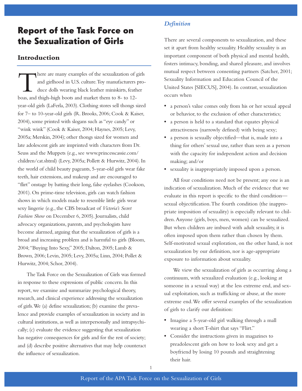# Report of the Task Force on the Sexualization of Girls

## **Introduction**

there are many examples of the sexualization of girls and girlhood in U.S. culture.Toy manufacturers produce dolls wearing black leather miniskirts, feather boas, and thigh-high boots and market them to 8- to 12 year-old girls (LaFerla, 2003). Clothing stores sell thongs sized for 7– to 10-year-old girls (R. Brooks, 2006; Cook & Kaiser, 2004), some printed with slogans such as "eye candy" or "wink wink" (Cook & Kaiser, 2004; Haynes, 2005; Levy, 2005a; Merskin, 2004); other thongs sized for women and late adolescent girls are imprinted with characters from Dr. Seuss and the Muppets (e.g., see www.princesscassie.com/ children/cat.shtml) (Levy, 2005a; Pollett & Hurwitz, 2004). In the world of child beauty pageants, 5-year-old girls wear fake teeth, hair extensions, and makeup and are encouraged to "flirt" onstage by batting their long, false eyelashes (Cookson, 2001). On prime-time television, girls can watch fashion shows in which models made to resemble little girls wear sexy lingerie (e.g., the CBS broadcast of *Victoria's Secret Fashion Show* on December 6, 2005). Journalists, child advocacy organizations, parents, and psychologists have become alarmed, arguing that the sexualization of girls is a broad and increasing problem and is harmful to girls (Bloom, 2004;"Buying Into Sexy," 2005; Dalton, 2005; Lamb & Brown, 2006; Levin, 2005; Levy, 2005a; Linn, 2004; Pollet & Hurwitz, 2004; Schor, 2004).

The Task Force on the Sexualization of Girls was formed in response to these expressions of public concern. In this report, we examine and summarize psychological theory, research, and clinical experience addressing the sexualization of girls.We (a) define sexualization; (b) examine the prevalence and provide examples of sexualization in society and in cultural institutions, as well as interpersonally and intrapsychically; (c) evaluate the evidence suggesting that sexualization has negative consequences for girls and for the rest of society; and (d) describe positive alternatives that may help counteract the influence of sexualization.

## *Definition*

There are several components to sexualization, and these set it apart from healthy sexuality. Healthy sexuality is an important component of both physical and mental health, fosters intimacy, bonding, and shared pleasure, and involves mutual respect between consenting partners (Satcher, 2001; Sexuality Information and Education Council of the United States [SIECUS], 2004). In contrast, sexualization occurs when

- a person's value comes only from his or her sexual appeal or behavior, to the exclusion of other characteristics;
- a person is held to a standard that equates physical attractiveness (narrowly defined) with being sexy;
- a person is sexually objectified—that is, made into a thing for others' sexual use, rather than seen as a person with the capacity for independent action and decision making; and/or
- sexuality is inappropriately imposed upon a person.

All four conditions need not be present; any one is an indication of sexualization. Much of the evidence that we evaluate in this report is specific to the third condition sexual objectification.The fourth condition (the inappropriate imposition of sexuality) is especially relevant to children.Anyone (girls, boys, men, women) can be sexualized. But when children are imbued with adult sexuality, it is often imposed upon them rather than chosen by them. Self-motivated sexual exploration, on the other hand, is not sexualization by our definition, nor is age-appropriate exposure to information about sexuality.

We view the sexualization of girls as occurring along a continuum, with sexualized evaluation (e.g., looking at someone in a sexual way) at the less extreme end, and sexual exploitation, such as trafficking or abuse, at the more extreme end.We offer several examples of the sexualization of girls to clarify our definition:

- Imagine a 5-year-old girl walking through a mall wearing a short T-shirt that says "Flirt."
- Consider the instructions given in magazines to preadolescent girls on how to look sexy and get a boyfriend by losing 10 pounds and straightening their hair.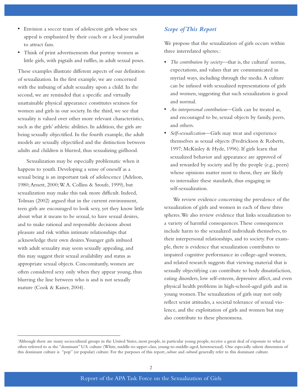- Envision a soccer team of adolescent girls whose sex appeal is emphasized by their coach or a local journalist to attract fans.
- Think of print advertisements that portray women as little girls, with pigtails and ruffles, in adult sexual poses.

These examples illustrate different aspects of our definition of sexualization. In the first example, we are concerned with the imbuing of adult sexuality upon a child. In the second, we are reminded that a specific and virtually unattainable physical appearance constitutes sexiness for women and girls in our society. In the third, we see that sexuality is valued over other more relevant characteristics, such as the girls' athletic abilities. In addition, the girls are being sexually objectified. In the fourth example, the adult models are sexually objectified and the distinction between adults and children is blurred, thus sexualizing girlhood.

Sexualization may be especially problematic when it happens to youth. Developing a sense of oneself as a sexual being is an important task of adolescence (Adelson, 1980;Arnett, 2000;W.A. Collins & Sroufe, 1999), but sexualization may make this task more difficult. Indeed, Tolman (2002) argued that in the current environment, teen girls are encouraged to look sexy, yet they know little about what it means to be sexual, to have sexual desires, and to make rational and responsible decisions about pleasure and risk within intimate relationships that acknowledge their own desires.Younger girls imbued with adult sexuality may seem sexually appealing, and this may suggest their sexual availability and status as appropriate sexual objects. Concomitantly, women are often considered sexy only when they appear young, thus blurring the line between who is and is not sexually mature (Cook & Kaiser, 2004).

## *Scope of This Report*

We propose that the sexualization of girls occurs within three interrelated spheres.:

- *The contribution by society*—that is, the cultural norms, expectations, and values that are communicated in myriad ways, including through the media.A culture can be infused with sexualized representations of girls and women, suggesting that such sexualization is good and normal.
- *An interpersonal contribution*—Girls can be treated as, and encouraged to be, sexual objects by family, peers, and others.
- Self-sexualization-Girls may treat and experience themselves as sexual objects (Fredrickson & Roberts, 1997; McKinley & Hyde, 1996). If girls learn that sexualized behavior and appearance are approved of and rewarded by society and by the people (e.g., peers) whose opinions matter most to them, they are likely to internalize these standards, thus engaging in self-sexualization.

We review evidence concerning the prevalence of the sexualization of girls and women in each of these three spheres.We also review evidence that links sexualization to a variety of harmful consequences.These consequences include harm to the sexualized individuals themselves, to their interpersonal relationships, and to society. For example, there is evidence that sexualization contributes to impaired cognitive performance in college-aged women, and related research suggests that viewing material that is sexually objectifying can contribute to body dissatisfaction, eating disorders, low self-esteem, depressive affect, and even physical health problems in high-school-aged girls and in young women.The sexualization of girls may not only reflect sexist attitudes, a societal tolerance of sexual violence, and the exploitation of girls and women but may also contribute to these phenomena.

<sup>1</sup> Although there are many sociocultural groups in the United States, most people, in particular young people, receive a great deal of exposure to what is often referred to as the "dominant" U.S. culture (White, middle-to-upper-class, young-to-middle-aged, heterosexual). One especially salient dimension of this dominant culture is "pop" (or popular) culture. For the purposes of this report, *culture* and *cultural* generally refer to this dominant culture.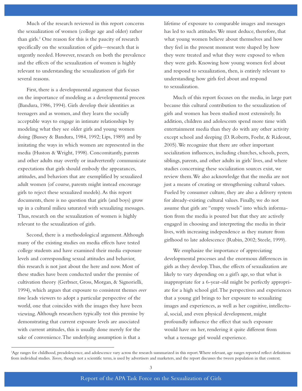Much of the research reviewed in this report concerns the sexualization of women (college age and older) rather than girls.2 One reason for this is the paucity of research specifically on the sexualization of girls—research that is urgently needed. However, research on both the prevalence and the effects of the sexualization of women is highly relevant to understanding the sexualization of girls for several reasons.

First, there is a developmental argument that focuses on the importance of modeling as a developmental process (Bandura, 1986, 1994). Girls develop their identities as teenagers and as women, and they learn the socially acceptable ways to engage in intimate relationships by modeling what they see older girls and young women doing (Bussey & Bandura, 1984, 1992; Lips, 1989) and by imitating the ways in which women are represented in the media (Huston & Wright, 1998). Concomitantly, parents and other adults may overtly or inadvertently communicate expectations that girls should embody the appearances, attitudes, and behaviors that are exemplified by sexualized adult women (of course, parents might instead encourage girls to reject these sexualized models).As this report documents, there is no question that girls (and boys) grow up in a cultural milieu saturated with sexualizing messages. Thus, research on the sexualization of women is highly relevant to the sexualization of girls.

Second, there is a methodological argument.Although many of the existing studies on media effects have tested college students and have examined their media exposure levels and corresponding sexual attitudes and behavior, this research is not just about the here and now. Most of these studies have been conducted under the premise of cultivation theory (Gerbner, Gross, Morgan, & Signorielli, 1994), which argues that exposure to consistent themes *over time* leads viewers to adopt a particular perspective of the world, one that coincides with the images they have been viewing.Although researchers typically test this premise by demonstrating that current exposure levels are associated with current attitudes, this is usually done merely for the sake of convenience.The underlying assumption is that a

lifetime of exposure to comparable images and messages has led to such attitudes.We must deduce, therefore, that what young women believe about themselves and how they feel in the present moment were shaped by how they were treated and what they were exposed to when they were girls. Knowing how young women feel about and respond to sexualization, then, is entirely relevant to understanding how girls feel about and respond to sexualization.

Much of this report focuses on the media, in large part because this cultural contribution to the sexualization of girls and women has been studied most extensively. In addition, children and adolescents spend more time with entertainment media than they do with any other activity except school and sleeping (D. Roberts, Foehr, & Rideout, 2005).We recognize that there are other important socialization influences, including churches, schools, peers, siblings, parents, and other adults in girls' lives, and where studies concerning these socialization sources exist, we review them.We also acknowledge that the media are not just a means of creating or strengthening cultural values. Fueled by consumer culture, they are also a delivery system for already-existing cultural values. Finally, we do not assume that girls are "empty vessels" into which information from the media is poured but that they are actively engaged in choosing and interpreting the media in their lives, with increasing independence as they mature from girlhood to late adolescence (Rubin, 2002; Steele, 1999).

We emphasize the importance of appreciating developmental processes and the enormous differences in girls as they develop.Thus, the effects of sexualization are likely to vary depending on a girl's age, so that what is inappropriate for a 6-year-old might be perfectly appropriate for a high school girl.The perspectives and experiences that a young girl brings to her exposure to sexualizing images and experiences, as well as her cognitive, intellectual, social, and even physical development, might profoundly influence the effect that such exposure would have on her, rendering it quite different from what a teenage girl would experience.

<sup>&</sup>lt;sup>2</sup>Age ranges for childhood, preadolescence, and adolescence vary across the research summarized in this report. Where relevant, age ranges reported reflect definitions from individual studies. *Tween*, though not a scientific term, is used by advertisers and marketers, and the report discusses the tween population in that context.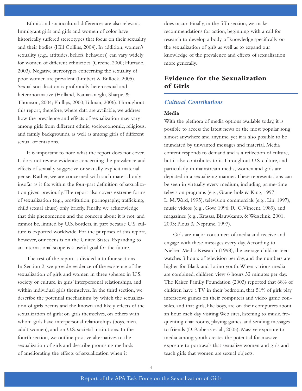Ethnic and sociocultural differences are also relevant. Immigrant girls and girls and women of color have historically suffered stereotypes that focus on their sexuality and their bodies (Hill Collins, 2004). In addition, women's sexuality (e.g., attitudes, beliefs, behaviors) can vary widely for women of different ethnicities (Greene, 2000; Hurtado, 2003). Negative stereotypes concerning the sexuality of poor women are prevalent (Limbert & Bullock, 2005). Sexual socialization is profoundly heterosexual and heteronormative (Holland, Ramazanoglu, Sharpe, & Thomson, 2004; Phillips, 2000;Tolman, 2006).Throughout this report, therefore, where data are available, we address how the prevalence and effects of sexualization may vary among girls from different ethnic, socioeconomic, religious, and family backgrounds, as well as among girls of different sexual orientations.

It is important to note what the report does not cover. It does not review evidence concerning the prevalence and effects of sexually suggestive or sexually explicit material per se. Rather, we are concerned with such material only insofar as it fits within the four-part definition of sexualization given previously.The report also covers extreme forms of sexualization (e.g., prostitution, pornography, trafficking, child sexual abuse) only briefly. Finally, we acknowledge that this phenomenon and the concern about it is not, and cannot be, limited by U.S. borders, in part because U.S. culture is exported worldwide. For the purposes of this report, however, our focus is on the United States. Expanding to an international scope is a useful goal for the future.

The rest of the report is divided into four sections. In Section 2, we provide evidence of the existence of the sexualization of girls and women in three spheres: in U.S. society or culture, in girls' interpersonal relationships, and within individual girls themselves. In the third section, we describe the potential mechanisms by which the sexualization of girls occurs and the known and likely effects of the sexualization of girls: on girls themselves, on others with whom girls have interpersonal relationships (boys, men, adult women), and on U.S. societal institutions. In the fourth section, we outline positive alternatives to the sexualization of girls and describe promising methods of ameliorating the effects of sexualization when it

does occur. Finally, in the fifth section, we make recommendations for action, beginning with a call for research to develop a body of knowledge specifically on the sexualization of girls as well as to expand our knowledge of the prevalence and effects of sexualization more generally.

## **Evidence for the Sexualization of Girls**

## *Cultural Contributions*

## **Media**

With the plethora of media options available today, it is possible to access the latest news or the most popular song almost anywhere and anytime, yet it is also possible to be inundated by unwanted messages and material. Media content responds to demand and is a reflection of culture, but it also contributes to it.Throughout U.S. culture, and particularly in mainstream media, women and girls are depicted in a sexualizing manner.These representations can be seen in virtually every medium, including prime-time television programs (e.g., Grauerholz & King, 1997; L. M.Ward, 1995), television commercials (e.g., Lin, 1997), music videos (e.g., Gow, 1996; R. C.Vincent, 1989), and magazines (e.g., Krassas, Blauwkamp, & Wesselink, 2001, 2003; Plous & Neptune, 1997).

Girls are major consumers of media and receive and engage with these messages every day.According to Nielsen Media Research (1998), the average child or teen watches 3 hours of television per day, and the numbers are higher for Black and Latino youth.When various media are combined, children view 6 hours 32 minutes per day. The Kaiser Family Foundation (2003) reported that 68% of children have a TV in their bedroom, that 51% of girls play interactive games on their computers and video game consoles, and that girls, like boys, are on their computers about an hour each day visiting Web sites, listening to music, frequenting chat rooms, playing games, and sending messages to friends (D. Roberts et al., 2005). Massive exposure to media among youth creates the potential for massive exposure to portrayals that sexualize women and girls and teach girls that women are sexual objects.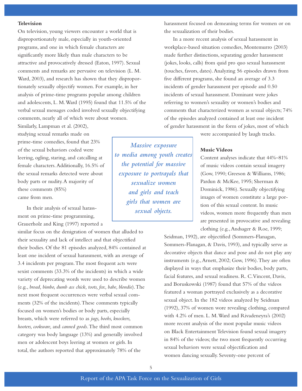## **Television**

On television, young viewers encounter a world that is disproportionately male, especially in youth-oriented programs, and one in which female characters are significantly more likely than male characters to be attractive and provocatively dressed (Eaton, 1997). Sexual comments and remarks are pervasive on television (L. M. Ward, 2003), and research has shown that they disproportionately sexually objectify women. For example, in her analysis of prime-time programs popular among children and adolescents, L. M.Ward (1995) found that 11.5% of the verbal sexual messages coded involved sexually objectifying comments, nearly all of which were about women.

Similarly, Lampman et al. (2002), studying sexual remarks made on prime-time comedies, found that 23% of the sexual behaviors coded were leering, ogling, staring, and catcalling at female characters.Additionally, 16.5% of the sexual remarks detected were about body parts or nudity.A majority of these comments (85%) came from men.

In their analysis of sexual harassment on prime-time programming, Grauerholz and King (1997) reported a

similar focus on the denigration of women that alluded to their sexuality and lack of intellect and that objectified their bodies. Of the 81 episodes analyzed, 84% contained at least one incident of sexual harassment, with an average of 3.4 incidents per program.The most frequent acts were sexist comments (33.3% of the incidents) in which a wide variety of deprecating words were used to describe women (e.g., *broad, bimbo, dumb ass chick, toots, fox, babe, blondie*).The next most frequent occurrences were verbal sexual comments (32% of the incidents).These comments typically focused on women's bodies or body parts, especially breasts, which were referred to as *jugs, boobs, knockers, hooters, cookware,* and *canned goods*.The third most common category was body language (13%) and generally involved men or adolescent boys leering at women or girls. In total, the authors reported that approximately 78% of the

*Massive exposure to media among youth creates the potential for massive exposure to portrayals that sexualize women and girls and teach girls that women are sexual objects.*

harassment focused on demeaning terms for women or on the sexualization of their bodies.

In a more recent analysis of sexual harassment in workplace-based situation comedies, Montemurro (2003) made further distinctions, separating gender harassment (jokes, looks, calls) from quid pro quo sexual harassment (touches, favors, dates).Analyzing 56 episodes drawn from five different programs, she found an average of 3.3 incidents of gender harassment per episode and 0.50 incidents of sexual harassment. Dominant were jokes referring to women's sexuality or women's bodies and comments that characterized women as sexual objects; 74% of the episodes analyzed contained at least one incident of gender harassment in the form of jokes, most of which

were accompanied by laugh tracks.

## **Music Videos**

Content analyses indicate that 44%–81% of music videos contain sexual imagery (Gow, 1990; Greeson & Williams, 1986; Pardun & McKee, 1995; Sherman & Dominick, 1986). Sexually objectifying images of women constitute a large portion of this sexual content. In music videos, women more frequently than men are presented in provocative and revealing clothing (e.g.,Andsager & Roe, 1999;

Seidman, 1992), are objectified (Sommers-Flanagan, Sommers-Flanagan, & Davis, 1993), and typically serve as decorative objects that dance and pose and do not play any instruments (e.g.,Arnett, 2002; Gow, 1996).They are often displayed in ways that emphasize their bodies, body parts, facial features, and sexual readiness. R. C.Vincent, Davis, and Boruskowski (1987) found that 57% of the videos featured a woman portrayed exclusively as a decorative sexual object. In the 182 videos analyzed by Seidman (1992), 37% of women wore revealing clothing, compared with 4.2% of men. L. M.Ward and Rivadeneyra's (2002) more recent analysis of the most popular music videos on Black Entertainment Television found sexual imagery in 84% of the videos; the two most frequently occurring sexual behaviors were sexual objectification and women dancing sexually. Seventy-one percent of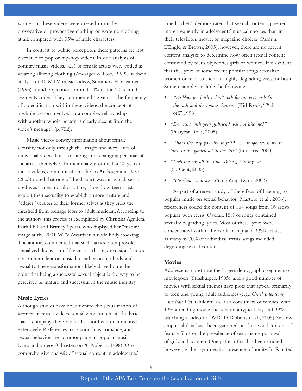women in these videos were dressed in mildly provocative or provocative clothing or wore no clothing at all, compared with 35% of male characters.

In contrast to public perception, these patterns are not restricted to pop or hip-hop videos. In one analysis of country music videos, 42% of female artists were coded as wearing alluring clothing (Andsager & Roe, 1999). In their analysis of 40 MTV music videos, Sommers-Flanagan et al. (1993) found objectification in 44.4% of the 30-second segments coded.They commented,"given . . . the frequency of objectification within these videos, the concept of a whole person involved in a complex relationship with another whole person is clearly absent from the video's message" (p. 752).

Music videos convey information about female sexuality not only through the images and story lines of individual videos but also through the changing personas of the artists themselves. In their analysis of the last 20 years of music videos, communication scholars Andsager and Roe (2003) noted that one of the distinct ways in which sex is used is as a metamorphosis.They show how teen artists exploit their sexuality to establish a more mature and "edgier" version of their former selves as they cross the threshold from teenage icon to adult musician.According to the authors, this process is exemplified by Christina Aguilera, Faith Hill, and Britney Spears, who displayed her "mature" image at the 2001 MTV Awards in a nude body stocking. The authors commented that such tactics often provoke sexualized discussion of the artist—that is, discussion focuses not on her talent or music but rather on her body and sexuality.These transformations likely drive home the point that being a successful sexual object is the way to be perceived as mature and successful in the music industry.

## **Music Lyrics**

Although studies have documented the sexualization of women in music videos, sexualizing content in the lyrics that accompany these videos has not been documented as extensively. References to relationships, romance, and sexual behavior are commonplace in popular music lyrics and videos (Christenson & Roberts, 1998). One comprehensive analysis of sexual content in adolescents'

"media diets" demonstrated that sexual content appeared more frequently in adolescents' musical choices than in their television, movie, or magazine choices (Pardun, L'Engle, & Brown, 2005); however, there are no recent content analyses to determine how often sexual content consumed by teens objectifies girls or women. It is evident that the lyrics of some recent popular songs sexualize women or refer to them in highly degrading ways, or both. Some examples include the following:

- <sup>l</sup> *"So blow me bitch I don't rock for cancer/I rock for the cash and the topless dancers"* (Kid Rock,"f\*ck off," 1998)
- <sup>l</sup> *"Don'tcha wish your girlfriend was hot like me?"* (Pussycat Dolls, 2005)
- *"That's the way you like to f*\*\*\* . . . *rough sex make it hurt, in the garden all in the dirt"* (Ludacris, 2000)
- <sup>l</sup> *"I tell the hos all the time, Bitch get in my car"* (50 Cent, 2005)
- <sup>l</sup> *"Ho shake your ass"* (Ying Yang Twins, 2003)

As part of a recent study of the effects of listening to popular music on sexual behavior (Martino et al., 2006), researchers coded the content of 164 songs from 16 artists popular with teens. Overall, 15% of songs contained sexually degrading lyrics. Most of these lyrics were concentrated within the work of rap and R&B artists; as many as 70% of individual artists' songs included degrading sexual content.

## **Movies**

Adolescents constitute the largest demographic segment of moviegoers (Strasburger, 1995), and a good number of movies with sexual themes have plots that appeal primarily to teen and young adult audiences (e.g., *Cruel Intentions, American Pie*). Children are also consumers of movies, with 13% attending movie theaters on a typical day and 39% watching a video or DVD (D. Roberts et al., 2005). Yet few empirical data have been gathered on the sexual content of feature films or the prevalence of sexualizing portrayals of girls and women. One pattern that has been studied, however, is the asymmetrical presence of nudity. In R-rated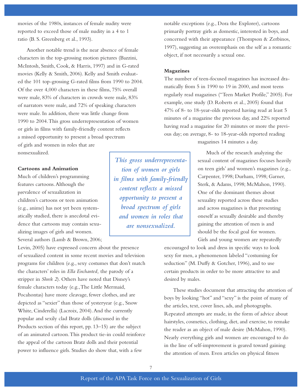movies of the 1980s, instances of female nudity were reported to exceed those of male nudity in a 4 to 1 ratio (B. S. Greenberg et al., 1993).

Another notable trend is the near absence of female characters in the top-grossing motion pictures (Bazzini, McIntosh, Smith, Cook, & Harris, 1997) and in G-rated movies (Kelly & Smith, 2006). Kelly and Smith evaluated the 101 top-grossing G-rated films from 1990 to 2004. Of the over 4,000 characters in these films, 75% overall were male, 83% of characters in crowds were male, 83% of narrators were male, and 72% of speaking characters were male. In addition, there was little change from 1990 to 2004.This gross underrepresentation of women or girls in films with family-friendly content reflects a missed opportunity to present a broad spectrum of girls and women in roles that are nonsexualized.

## **Cartoons and Animation**

Much of children's programming features cartoons.Although the prevalence of sexualization in children's cartoons or teen animation (e.g., anime) has not yet been systematically studied, there is anecdotal evidence that cartoons may contain sexualizing images of girls and women. Several authors (Lamb & Brown, 2006;

Levin, 2005) have expressed concern about the presence of sexualized content in some recent movies and television programs for children (e.g., sexy costumes that don't match the characters' roles in *Ella Enchanted,* the parody of a stripper in *Shrek 2*). Others have noted that Disney's female characters today (e.g.,The Little Mermaid, Pocahontas) have more cleavage, fewer clothes, and are depicted as "sexier" than those of yesteryear (e.g., Snow White, Cinderella) (Lacroix, 2004).And the currently popular and sexily clad Bratz dolls (discussed in the Products section of this report, pp. 13–15) are the subject of an animated cartoon.This product tie-in could reinforce the appeal of the cartoon Bratz dolls and their potential power to influence girls. Studies do show that, with a few

*This gross underrepresentation of women or girls in films with family-friendly content reflects a missed opportunity to present a broad spectrum of girls and women in roles that are nonsexualized.*

notable exceptions (e.g., Dora the Explorer), cartoons primarily portray girls as domestic, interested in boys, and concerned with their appearance (Thompson & Zerbinos, 1997), suggesting an overemphasis on the self as a romantic object, if not necessarily a sexual one.

#### **Magazines**

The number of teen-focused magazines has increased dramatically from 5 in 1990 to 19 in 2000, and most teens regularly read magazines ("Teen Market Profile," 2005). For example, one study (D. Roberts et al., 2005) found that 47% of 8- to 18-year-olds reported having read at least 5 minutes of a magazine the previous day, and 22% reported having read a magazine for 20 minutes or more the previous day; on average, 8- to 18-year-olds reported reading

magazines 14 minutes a day.

Much of the research analyzing the sexual content of magazines focuses heavily on teen girls' and women's magazines (e.g., Carpenter, 1998; Durham, 1998; Garner, Sterk, & Adams, 1998; McMahon, 1990). One of the dominant themes about sexuality reported across these studies and across magazines is that presenting oneself as sexually desirable and thereby gaining the attention of men is and should be the focal goal for women. Girls and young women are repeatedly

encouraged to look and dress in specific ways to look sexy for men, a phenomenon labeled "costuming for seduction" (M. Duffy & Gotcher, 1996), and to use certain products in order to be more attractive to and desired by males.

These studies document that attracting the attention of boys by looking "hot" and "sexy" is the point of many of the articles, text, cover lines, ads, and photographs. Repeated attempts are made, in the form of advice about hairstyles, cosmetics, clothing, diet, and exercise, to remake the reader as an object of male desire (McMahon, 1990). Nearly everything girls and women are encouraged to do in the line of self-improvement is geared toward gaining the attention of men. Even articles on physical fitness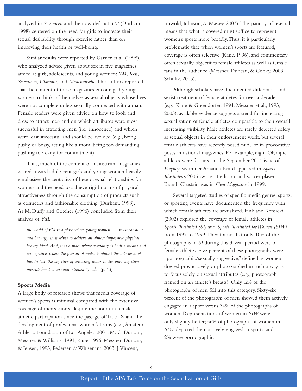analyzed in *Seventeen* and the now defunct *YM* (Durham, 1998) centered on the need for girls to increase their sexual desirability through exercise rather than on improving their health or well-being.

Similar results were reported by Garner et al. (1998), who analyzed advice given about sex in five magazines aimed at girls, adolescents, and young women: *YM,Teen, Seventeen, Glamour,* and *Mademoiselle*.The authors reported that the content of these magazines encouraged young women to think of themselves as sexual objects whose lives were not complete unless sexually connected with a man. Female readers were given advice on how to look and dress to attract men and on which attributes were most successful in attracting men (i.e., innocence) and which were least successful and should be avoided (e.g., being pushy or bossy, acting like a mom, being too demanding, pushing too early for commitment).

Thus, much of the content of mainstream magazines geared toward adolescent girls and young women heavily emphasizes the centrality of heterosexual relationships for women and the need to achieve rigid norms of physical attractiveness through the consumption of products such as cosmetics and fashionable clothing (Durham, 1998). As M. Duffy and Gotcher (1996) concluded from their analysis of *YM*,

*the world of YM is a place where young women . . . must consume and beautify themselves to achieve an almost impossible physical beauty ideal.And, it is a place where sexuality is both a means and an objective, where the pursuit of males is almost the sole focus of life. In fact, the objective of attracting males is* the *only objective presented—it is an unquestioned "good."* (p. 43)

## **Sports Media**

A large body of research shows that media coverage of women's sports is minimal compared with the extensive coverage of men's sports, despite the boom in female athletic participation since the passage of Title IX and the development of professional women's teams (e.g.,Amateur Athletic Foundation of Los Angeles, 2001; M. C. Duncan, Messner, & Williams, 1991; Kane, 1996; Messner, Duncan, & Jensen, 1993; Pedersen & Whisenant, 2003; J.Vincent,

Imwold, Johnson, & Massey, 2003).This paucity of research means that what is covered must suffice to represent women's sports more broadly.Thus, it is particularly problematic that when women's sports are featured, coverage is often selective (Kane, 1996), and commentary often sexually objectifies female athletes as well as female fans in the audience (Messner, Duncan, & Cooky, 2003; Schultz, 2005).

Although scholars have documented differential and sexist treatment of female athletes for over a decade (e.g., Kane & Greendorfer, 1994; Messner et al., 1993, 2003), available evidence suggests a trend for increasing sexualization of female athletes comparable to their overall increasing visibility. Male athletes are rarely depicted solely as sexual objects in their endorsement work, but several female athletes have recently posed nude or in provocative poses in national magazines. For example, eight Olympic athletes were featured in the September 2004 issue of *Playboy*, swimmer Amanda Beard appeared in *Sports Illustrated*'s 2005 swimsuit edition, and soccer player Brandi Chastain was in *Gear Magazine* in 1999.

Several targeted studies of specific media genres, sports, or sporting events have documented the frequency with which female athletes are sexualized. Fink and Kensicki (2002) explored the coverage of female athletes in *Sports Illustrated (SI)* and *Sports Illustrated for Women (SIW)* from 1997 to 1999.They found that only 10% of the photographs in *SI* during this 3-year period were of female athletes. Five percent of these photographs were "pornographic/sexually suggestive," defined as women dressed provocatively or photographed in such a way as to focus solely on sexual attributes (e.g., photograph framed on an athlete's breasts). Only .2% of the photographs of men fell into this category. Sixty-six percent of the photographs of men showed them actively engaged in a sport versus 34% of the photographs of women. Representations of women in *SIW* were only slightly better; 56% of photographs of women in *SIW* depicted them actively engaged in sports, and 2% were pornographic.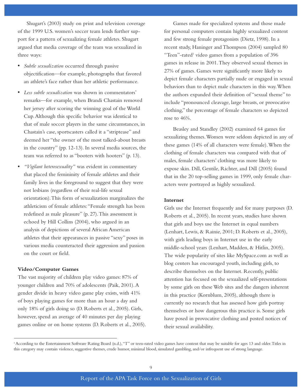Shugart's (2003) study on print and television coverage of the 1999 U.S. women's soccer team lends further support for a pattern of sexualizing female athletes. Shugart argued that media coverage of the team was sexualized in three ways:

- <sup>l</sup> *Subtle sexualization* occurred through passive objectification—for example, photographs that favored an athlete's face rather than her athletic performance.
- <sup>l</sup> *Less subtle sexualization* was shown in commentators' remarks—for example, when Brandi Chastain removed her jersey after scoring the winning goal of the World Cup.Although this specific behavior was identical to that of male soccer players in the same circumstances, in Chastain's case, sportscasters called it a "striptease" and deemed her "the owner of the most talked-about breasts in the country" (pp. 12-13). In several media sources, the team was referred to as "booters with hooters" (p. 13).
- <sup>l</sup> *"Vigilant heterosexuality"* was evident in commentary that placed the femininity of female athletes and their family lives in the foreground to suggest that they were not lesbians (regardless of their real-life sexual orientation).This form of sexualization marginalizes the athleticism of female athletes:"Female strength has been redefined as male pleasure" (p. 27).This assessment is echoed by Hill Collins (2004), who argued in an analysis of depictions of several African American athletes that their appearances in passive "sexy" poses in various media counteracted their aggression and passion on the court or field.

#### **Video/Computer Games**

The vast majority of children play video games: 87% of younger children and 70% of adolescents (Paik, 2001).A gender divide in heavy video game play exists, with 41% of boys playing games for more than an hour a day and only 18% of girls doing so (D. Roberts et al., 2005). Girls, however, spend an average of 40 minutes per day playing games online or on home systems (D. Roberts et al., 2005).

Games made for specialized systems and those made for personal computers contain highly sexualized content and few strong female protagonists (Dietz, 1998). In a recent study, Haninger and Thompson (2004) sampled 80 "Teen"-rated<sup>3</sup> video games from a population of 396 games in release in 2001.They observed sexual themes in 27% of games. Games were significantly more likely to depict female characters partially nude or engaged in sexual behaviors than to depict male characters in this way.When the authors expanded their definition of "sexual theme" to include "pronounced cleavage, large breasts, or provocative clothing," the percentage of female characters so depicted rose to 46%.

Beasley and Standley (2002) examined 64 games for sexualizing themes.Women were seldom depicted in any of these games (14% of all characters were female).When the clothing of female characters was compared with that of males, female characters' clothing was more likely to expose skin. Dill, Gentile, Richter, and Dill (2005) found that in the 20 top-selling games in 1999, only female characters were portrayed as highly sexualized.

#### **Internet**

Girls use the Internet frequently and for many purposes (D. Roberts et al., 2005). In recent years, studies have shown that girls and boys use the Internet in equal numbers (Lenhart, Lewis, & Rainie, 2001; D. Roberts et al., 2005), with girls leading boys in Internet use in the early middle-school years (Lenhart, Madden, & Hitlin, 2005). The wide popularity of sites like MySpace.com as well as blog centers has encouraged youth, including girls, to describe themselves on the Internet. Recently, public attention has focused on the sexualized self-presentations by some girls on these Web sites and the dangers inherent in this practice (Kornblum, 2005), although there is currently no research that has assessed how girls portray themselves or how dangerous this practice is. Some girls have posed in provocative clothing and posted notices of their sexual availability.

<sup>&</sup>lt;sup>3</sup> According to the Entertainment Software Rating Board (n.d.), "T" or teen-rated video games have content that may be suitable for ages 13 and older. Titles in this category may contain violence, suggestive themes, crude humor, minimal blood, simulated gambling, and/or infrequent use of strong language.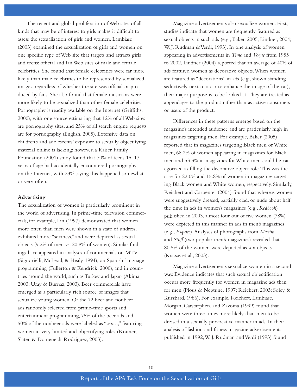The recent and global proliferation of Web sites of all kinds that may be of interest to girls makes it difficult to assess the sexualization of girls and women. Lambiase (2003) examined the sexualization of girls and women on one specific type of Web site that targets and attracts girls and teens: official and fan Web sites of male and female celebrities. She found that female celebrities were far more likely than male celebrities to be represented by sexualized images, regardless of whether the site was official or produced by fans. She also found that female musicians were more likely to be sexualized than other female celebrities. Pornography is readily available on the Internet (Griffiths, 2000), with one source estimating that 12% of all Web sites are pornography sites, and 25% of all search engine requests are for pornography (English, 2005). Extensive data on children's and adolescents' exposure to sexually objectifying material online is lacking; however, a Kaiser Family Foundation (2001) study found that 70% of teens 15–17 years of age had accidentally encountered pornography on the Internet, with 23% saying this happened somewhat or very often.

### **Advertising**

The sexualization of women is particularly prominent in the world of advertising. In prime-time television commercials, for example, Lin (1997) demonstrated that women more often than men were shown in a state of undress, exhibited more "sexiness," and were depicted as sexual objects (9.2% of men vs. 20.8% of women). Similar findings have appeared in analyses of commercials on MTV (Signorielli, McLeod, & Healy, 1994), on Spanish-language programming (Fullerton & Kendrick, 2000), and in countries around the world, such as Turkey and Japan (Akima, 2003; Uray & Burnaz, 2003). Beer commercials have emerged as a particularly rich source of images that sexualize young women. Of the 72 beer and nonbeer ads randomly selected from prime-time sports and entertainment programming, 75% of the beer ads and 50% of the nonbeer ads were labeled as "sexist," featuring women in very limited and objectifying roles (Rouner, Slater, & Domenech-Rodriguez, 2003).

Magazine advertisements also sexualize women. First, studies indicate that women are frequently featured as sexual objects in such ads (e.g., Baker, 2005; Lindner, 2004; W. J. Rudman & Verdi, 1993). In one analysis of women appearing in advertisements in *Time* and *Vogue* from 1955 to 2002, Lindner (2004) reported that an average of 40% of ads featured women as decorative objects.When women are featured as "decorations" in ads (e.g., shown standing seductively next to a car to enhance the image of the car), their major purpose is to be looked at.They are treated as appendages to the product rather than as active consumers or users of the product.

Differences in these patterns emerge based on the magazine's intended audience and are particularly high in magazines targeting men. For example, Baker (2005) reported that in magazines targeting Black men or White men, 68.2% of women appearing in magazines for Black men and 53.3% in magazines for White men could be categorized as filling the decorative object role.This was the case for 22.0% and 15.8% of women in magazines targeting Black women and White women, respectively. Similarly, Reichert and Carpenter (2004) found that whereas women were suggestively dressed, partially clad, or nude about half the time in ads in women's magazines (e.g., *Redbook*) published in 2003, almost four out of five women (78%) were depicted in this manner in ads in men's magazines (e.g., *Esquire*).Analyses of photographs from *Maxim*  and *Stuff* (two popular men's magazines) revealed that 80.5% of the women were depicted as sex objects (Krassas et al., 2003).

Magazine advertisements sexualize women in a second way. Evidence indicates that such sexual objectification occurs more frequently for women in magazine ads than for men (Plous & Neptune, 1997; Reichert, 2003; Soley & Kurzbard, 1986). For example, Reichert, Lambiase, Morgan, Carstarphen, and Zavoina (1999) found that women were three times more likely than men to be dressed in a sexually provocative manner in ads. In their analysis of fashion and fitness magazine advertisements published in 1992,W. J. Rudman and Verdi (1993) found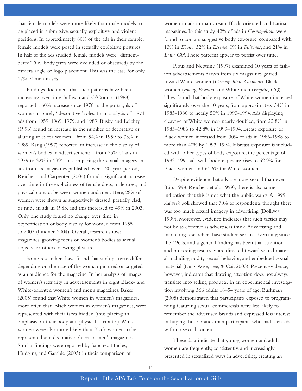that female models were more likely than male models to be placed in submissive, sexually exploitive, and violent positions. In approximately 80% of the ads in their sample, female models were posed in sexually exploitive postures. In half of the ads studied, female models were "dismembered" (i.e., body parts were excluded or obscured) by the camera angle or logo placement.This was the case for only 17% of men in ads.

Findings document that such patterns have been increasing over time. Sullivan and O'Connor (1988) reported a 60% increase since 1970 in the portrayals of women in purely "decorative" roles. In an analysis of 1,871 ads from 1959, 1969, 1979, and 1989, Busby and Leichty (1993) found an increase in the number of decorative or alluring roles for women—from 54% in 1959 to 73% in 1989. Kang (1997) reported an increase in the display of women's bodies in advertisements—from 25% of ads in 1979 to 32% in 1991. In comparing the sexual imagery in ads from six magazines published over a 20-year-period, Reichert and Carpenter (2004) found a significant increase over time in the explicitness of female dress, male dress, and physical contact between women and men. Here, 28% of women were shown as suggestively dressed, partially clad, or nude in ads in 1983, and this increased to 49% in 2003. Only one study found no change over time in objectification or body display for women from 1955 to 2002 (Lindner, 2004). Overall, research shows magazines' growing focus on women's bodies as sexual objects for others' viewing pleasure.

Some researchers have found that such patterns differ depending on the race of the woman pictured or targeted as an audience for the magazine. In her analysis of images of women's sexuality in advertisements in eight Black- and White-oriented women's and men's magazines, Baker (2005) found that White women in women's magazines, more often than Black women in women's magazines, were represented with their faces hidden (thus placing an emphasis on their body and physical attributes).White women were also more likely than Black women to be represented as a decorative object in men's magazines. Similar findings were reported by Sanchez-Hucles, Hudgins, and Gamble (2005) in their comparison of

women in ads in mainstream, Black-oriented, and Latina magazines. In this study, 42% of ads in *Cosmopolitan* were found to contain suggestive body exposure, compared with 13% in *Ebony*, 32% in *Essence*, 0% in *Filipinas*, and 21% in *Latin Girl*.These patterns appear to persist over time.

Plous and Neptune (1997) examined 10 years of fashion advertisements drawn from six magazines geared toward White women (*Cosmopolitan, Glamour*), Black women (*Ebony, Essence*), and White men (*Esquire, GQ*). They found that body exposure of White women increased significantly over the 10 years, from approximately 34% in 1985-1986 to nearly 50% in 1993-1994.Ads displaying cleavage of White women nearly doubled, from 22.8% in 1985–1986 to 42.8% in 1993–1994. Breast exposure of Black women increased from 30% of ads in 1986-1988 to more than 40% by 1993–1994. If breast exposure is included with other types of body exposure, the percentage of 1993–1994 ads with body exposure rises to 52.9% for Black women and 61.6% for White women.

Despite evidence that ads are more sexual than ever (Lin, 1998; Reichert et al., 1999), there is also some indication that this is not what the public wants.A 1999 *Adweek* poll showed that 70% of respondents thought there was too much sexual imagery in advertising (Dolliver, 1999). Moreover, evidence indicates that such tactics may not be as effective as advertisers think.Advertising and marketing researchers have studied sex in advertising since the 1960s, and a general finding has been that attention and processing resources are directed toward sexual material including nudity, sexual behavior, and embedded sexual material (Lang,Wise, Lee, & Cai, 2003). Recent evidence, however, indicates that drawing attention does not always translate into selling products. In an experimental investigation involving 366 adults 18–54 years of age, Bushman (2005) demonstrated that participants exposed to programming featuring sexual commercials were less likely to remember the advertised brands and expressed less interest in buying those brands than participants who had seen ads with no sexual content.

These data indicate that young women and adult women are frequently, consistently, and increasingly presented in sexualized ways in advertising, creating an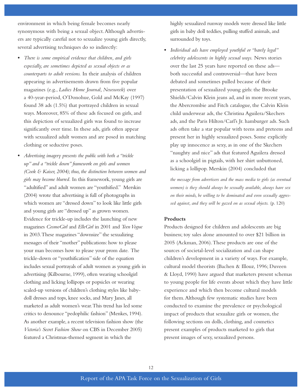environment in which being female becomes nearly synonymous with being a sexual object.Although advertisers are typically careful not to sexualize young girls directly, several advertising techniques do so indirectly:

- There is some empirical evidence that children, and girls *especially, are sometimes depicted as sexual objects or as counterparts to adult versions.* In their analysis of children appearing in advertisements drawn from five popular magazines (e.g., *Ladies Home Journal, Newsweek*) over a 40-year-period, O'Donohue, Gold and McKay (1997) found 38 ads (1.5%) that portrayed children in sexual ways. Moreover, 85% of these ads focused on girls, and this depiction of sexualized girls was found to increase significantly over time. In these ads, girls often appear with sexualized adult women and are posed in matching clothing or seductive poses.
- Advertising imagery presents the public with both a "trickle *up" and a "trickle down" framework on girls and women (Cook & Kaiser, 2004); thus, the distinction between women and girls may become blurred.* In this framework, young girls are "adultified" and adult women are "youthified." Merskin (2004) wrote that advertising is full of photographs in which women are "dressed down" to look like little girls and young girls are "dressed up" as grown women. Evidence for trickle-up includes the launching of new magazines *CosmoGirl* and *ElleGirl* in 2001 and *Teen Vogue* in 2003.These magazines "downsize" the sexualizing messages of their "mother" publications: how to please your man becomes how to please your prom date. The trickle-down or "youthification" side of the equation includes sexual portrayals of adult women as young girls in advertising (Kilbourne, 1999), often wearing schoolgirl clothing and licking lollipops or popsicles or wearing scaled-up versions of children's clothing styles like babydoll dresses and tops, knee socks, and Mary Janes, all marketed as adult women's wear.This trend has led some critics to denounce "pedophilic fashion" (Menkes, 1994). As another example, a recent television fashion show (the *Victoria's Secret Fashion Show* on CBS in December 2005) featured a Christmas-themed segment in which the

highly sexualized runway models were dressed like little girls in baby doll teddies, pulling stuffed animals, and surrounded by toys.

• Individual ads have employed youthful or "barely legal" *celebrity adolescents in highly sexual ways.* News stories over the last 25 years have reported on these ads both successful and controversial—that have been debated and sometimes pulled because of their presentation of sexualized young girls: the Brooke Shields/Calvin Klein jeans ad, and in more recent years, the Abercrombie and Fitch catalogue, the Calvin Klein child underwear ads, the Christina Aguilera/Skechers ads, and the Paris Hilton/Carl's Jr. hamburger ads. Such ads often take a star popular with teens and preteens and present her in highly sexualized poses. Some explicitly play up innocence as sexy, as in one of the Skechers "naughty and nice" ads that featured Aguilera dressed as a schoolgirl in pigtails, with her shirt unbuttoned, licking a lollipop. Merskin (2004) concluded that

*the message from advertisers and the mass media to girls (as eventual women) is they should always be sexually available, always have sex on their minds, be willing to be dominated and even sexually aggressed against, and they will be gazed on as sexual objects.* (p. 120)

#### **Products**

Products designed for children and adolescents are big business; toy sales alone amounted to over \$21 billion in 2005 (Ackman, 2006).These products are one of the sources of societal-level socialization and can shape children's development in a variety of ways. For example, cultural model theorists (Bachen & Illouz, 1996; Duveen & Lloyd, 1990) have argued that marketers present schemas to young people for life events about which they have little experience and which then become cultural models for them.Although few systematic studies have been conducted to examine the prevalence or psychological impact of products that sexualize girls or women, the following sections on dolls, clothing, and cosmetics present examples of products marketed to girls that present images of sexy, sexualized persons.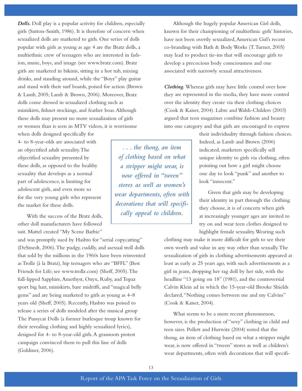*Dolls.* Doll play is a popular activity for children, especially girls (Sutton-Smith, 1986). It is therefore of concern when sexualized dolls are marketed to girls. One series of dolls popular with girls as young as age 4 are the Bratz dolls, a multiethnic crew of teenagers who are interested in fashion, music, boys, and image (see www.bratz.com). Bratz girls are marketed in bikinis, sitting in a hot tub, mixing drinks, and standing around, while the "Boyz" play guitar and stand with their surf boards, poised for action (Brown & Lamb, 2005; Lamb & Brown, 2006). Moreover, Bratz dolls come dressed in sexualized clothing such as miniskirts, fishnet stockings, and feather boas.Although these dolls may present no more sexualization of girls or women than is seen in MTV videos, it is worrisome

when dolls designed specifically for 4- to 8-year-olds are associated with an objectified adult sexuality.The objectified sexuality presented by these dolls, as opposed to the healthy sexuality that develops as a normal part of adolescence, is limiting for adolescent girls, and even more so for the very young girls who represent the market for these dolls.

With the success of the Bratz dolls, other doll manufacturers have followed suit. Mattel created "My Scene Barbie"

and was promptly sued by Hasbro for "serial copycatting" (DeSmedt, 2006).The pudgy, cuddly, and asexual troll dolls that sold by the millions in the 1960s have been reinvented as Trollz (à la Bratz), hip teenagers who are "BFFL" (Best Friends for Life; see www.trollz.com) (Sheff, 2005).The full-lipped Sapphire, Amethyst, Onyx, Ruby, and Topaz sport big hair, miniskirts, bare midriffs, and "magical belly gems" and are being marketed to girls as young as 4–8 years old (Sheff, 2005). Recently, Hasbro was poised to release a series of dolls modeled after the musical group The Pussycat Dolls (a former burlesque troup known for their revealing clothing and highly sexualized lyrics), designed for 4- to 8-year-old girls.A grassroots protest campaign convinced them to pull this line of dolls (Goldiner, 2006).

*. . . the thong, an item of clothing based on what a stripper might wear, is now offered in "tween" stores as well as women's wear departments, often with decorations that will specifically appeal to children.*

Although the hugely popular American Girl dolls, known for their championing of multiethnic girls' histories, have not been overtly sexualized,American Girl's recent co-branding with Bath & Body Works (T.Turner, 2005) may lead to product tie-ins that will encourage girls to develop a precocious body consciousness and one associated with narrowly sexual attractiveness.

*Clothing.* Whereas girls may have little control over how they are represented in the media, they have more control over the identity they create via their clothing choices (Cook & Kaiser, 2004). Labre and Walsh-Childers (2003) argued that teen magazines combine fashion and beauty into one category and that girls are encouraged to express

> their individuality through fashion choices. Indeed, as Lamb and Brown (2006) indicated, marketers specifically sell unique identity to girls via clothing, often pointing out how a girl might choose one day to look "punk" and another to look "innocent."

Given that girls may be developing their identity in part through the clothing they choose, it is of concern when girls at increasingly younger ages are invited to try on and wear teen clothes designed to highlight female sexuality.Wearing such

clothing may make it more difficult for girls to see their own worth and value in any way other than sexually.The sexualization of girls in clothing advertisements appeared at least as early as 25 years ago, with such advertisements as a girl in jeans, dropping her rag doll by her side, with the headline "13 going on 18" (1981), and the controversial Calvin Klein ad in which the 15-year-old Brooke Shields declared,"Nothing comes between me and my Calvins" (Cook & Kaiser, 2004).

What seems to be a more recent phenomenon, however, is the production of "sexy" clothing in child and teen sizes. Pollett and Hurwitz (2004) noted that the thong, an item of clothing based on what a stripper might wear, is now offered in "tween" stores as well as children's wear departments, often with decorations that will specifi-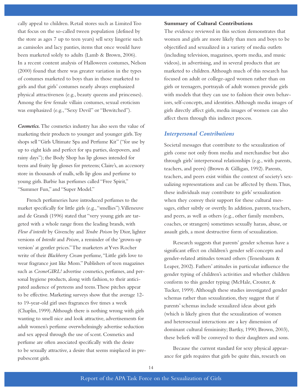cally appeal to children. Retail stores such as Limited Too that focus on the so-called tween population (defined by the store as ages 7 up to teen years) sell sexy lingerie such as camisoles and lacy panties, items that once would have been marketed solely to adults (Lamb & Brown, 2006). In a recent content analysis of Halloween costumes, Nelson (2000) found that there was greater variation in the types of costumes marketed to boys than in those marketed to girls and that girls' costumes nearly always emphasized physical attractiveness (e.g., beauty queens and princesses). Among the few female villain costumes, sexual eroticism was emphasized (e.g.,"Sexy Devil" or "Bewitched").

*Cosmetics.*The cosmetics industry has also seen the value of marketing their products to younger and younger girls.Toy shops sell "Girls Ultimate Spa and Perfume Kit" ("for use by up to eight kids and perfect for spa parties, sleepovers, and rainy days"); the Body Shop has lip glosses intended for teens and fruity lip glosses for preteens; Claire's, an accessory store in thousands of malls, sells lip gloss and perfume to young girls. Barbie has perfumes called "Free Spirit," "Summer Fun," and "Super Model."

French perfumeries have introduced perfumes to the market specifically for little girls (e.g.,"smellies").Villeneuve and de Grandi (1996) stated that "very young girls are targeted with a whole range from the leading brands, with *Fleur d'interdit* by Givenchy and *Tendre Poison* by Dior, lighter versions of *Interdit* and *Poison,*a reminder of the 'grown-up version'at gentler prices."The marketers at Yves Rocher write of their *Blackberry Cream* perfume,"Little girls love to wear fragrance just like Mom." Publishers of teen magazines such as *CosmoGIRL!* advertise cosmetics, perfumes, and personal hygiene products, along with fashion, to their anticipated audience of preteens and teens.These pitches appear to be effective. Marketing surveys show that the average 12 to 19-year-old girl uses fragrances five times a week (Chaplin, 1999).Although there is nothing wrong with girls wanting to smell nice and look attractive, advertisements for adult women's perfume overwhelmingly advertise seduction and sex appeal through the use of scent. Cosmetics and perfume are often associated specifically with the desire to be sexually attractive, a desire that seems misplaced in prepubescent girls.

#### **Summary of Cultural Contributions**

The evidence reviewed in this section demonstrates that women and girls are more likely than men and boys to be objectified and sexualized in a variety of media outlets (including television, magazines, sports media, and music videos), in advertising, and in several products that are marketed to children.Although much of this research has focused on adult or college-aged women rather than on girls or teenagers, portrayals of adult women provide girls with models that they can use to fashion their own behaviors, self-concepts, and identities.Although media images of girls directly affect girls, media images of women can also affect them through this indirect process.

## *Interpersonal Contributions*

Societal messages that contribute to the sexualization of girls come not only from media and merchandise but also through girls' interpersonal relationships (e.g., with parents, teachers, and peers) (Brown & Gilligan, 1992). Parents, teachers, and peers exist within the context of society's sexualizing representations and can be affected by them.Thus, these individuals may contribute to girls' sexualization when they convey their support for these cultural messages, either subtly or overtly. In addition, parents, teachers, and peers, as well as others (e.g., other family members, coaches, or strangers) sometimes sexually harass, abuse, or assault girls, a most destructive form of sexualization.

Research suggests that parents' gender schemas have a significant effect on children's gender self-concepts and gender-related attitudes toward others (Tenenbaum & Leaper, 2002). Fathers' attitudes in particular influence the gender typing of children's activities and whether children conform to this gender typing (McHale, Crouter, & Tucker, 1999).Although these studies investigated gender schemas rather than sexualization, they suggest that if parents' schemas include sexualized ideas about girls (which is likely given that the sexualization of women and heterosexual interactions are a key dimension of dominant cultural femininity; Bartky, 1990; Brown, 2003), these beliefs will be conveyed to their daughters and sons.

Because the current standard for sexy physical appearance for girls requires that girls be quite thin, research on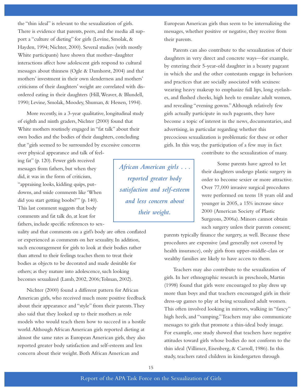the "thin ideal" is relevant to the sexualization of girls. There is evidence that parents, peers, and the media all support a "culture of dieting" for girls (Levine, Smolak, & Hayden, 1994; Nichter, 2000). Several studies (with mostly White participants) have shown that mother–daughter interactions affect how adolescent girls respond to cultural messages about thinness (Ogle & Damhorst, 2004) and that mothers' investment in their own slenderness and mothers' criticisms of their daughters' weight are correlated with disordered eating in their daughters (Hill,Weaver, & Blundell, 1990; Levine, Smolak, Moodey, Shuman, & Hessen, 1994).

More recently, in a 3-year qualitative, longitudinal study of eighth and ninth graders, Nichter (2000) found that White mothers routinely engaged in "fat talk" about their own bodies and the bodies of their daughters, concluding that "girls seemed to be surrounded by excessive concerns over physical appearance and talk of feel-

ing fat" (p. 120). Fewer girls received messages from fathers, but when they did, it was in the form of criticism, "appraising looks, kidding quips, putdowns, and snide comments like 'When did you start getting boobs?'" (p. 140). This last comment suggests that body comments and fat talk do, at least for fathers, include specific references to sex-

uality and that comments on a girl's body are often conflated or experienced as comments on her sexuality. In addition, such encouragement for girls to look at their bodies rather than attend to their feelings teaches them to treat their bodies as objects to be decorated and made desirable for others; as they mature into adolescence, such looking becomes sexualized (Lamb, 2002, 2006;Tolman, 2002).

Nichter (2000) found a different pattern for African American girls, who received much more positive feedback about their appearance and "style" from their parents.They also said that they looked up to their mothers as role models who would teach them how to succeed in a hostile world.Although African American girls reported dieting at almost the same rates as European American girls, they also reported greater body satisfaction and self-esteem and less concern about their weight. Both African American and

European American girls thus seem to be internalizing the messages, whether positive or negative, they receive from their parents.

Parents can also contribute to the sexualization of their daughters in very direct and concrete ways—for example, by entering their 5-year-old daughter in a beauty pageant in which she and the other contestants engage in behaviors and practices that are socially associated with sexiness: wearing heavy makeup to emphasize full lips, long eyelashes, and flushed cheeks, high heels to emulate adult women, and revealing "evening gowns."Although relatively few girls actually participate in such pageants, they have become a topic of interest in the news, documentaries, and advertising, in particular regarding whether this precocious sexualization is problematic for these or other girls. In this way, the participation of a few may in fact

contribute to the sexualization of many.

Some parents have agreed to let their daughters undergo plastic surgery in order to become sexier or more attractive. Over 77,000 invasive surgical procedures were performed on teens 18 years old and younger in 2005, a 15% increase since 2000 (American Society of Plastic Surgeons, 2006a). Minors cannot obtain such surgery unless their parents consent;

parents typically finance the surgery, as well. Because these procedures are expensive (and generally not covered by health insurance), only girls from upper-middle-class or wealthy families are likely to have access to them.

Teachers may also contribute to the sexualization of girls. In her ethnographic research in preschools, Martin (1998) found that girls were encouraged to play dress up more than boys and that teachers encouraged girls in their dress-up games to play at being sexualized adult women. This often involved looking in mirrors, walking in "fancy" high heels, and "vamping."Teachers may also communicate messages to girls that promote a thin-ideal body image. For example, one study showed that teachers have negative attitudes toward girls whose bodies do not conform to the thin ideal (Villimez, Eisenberg, & Carroll, 1986). In this study, teachers rated children in kindergarten through

*African American girls . . . reported greater body satisfaction and self-esteem and less concern about their weight.*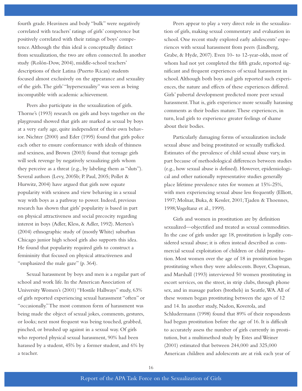fourth grade. Heaviness and body "bulk" were negatively correlated with teachers' ratings of girls' competence but positively correlated with their ratings of boys' competence.Although the thin ideal is conceptually distinct from sexualization, the two are often connected. In another study (Rolón-Dow, 2004), middle-school teachers' descriptions of their Latina (Puerto Rican) students focused almost exclusively on the appearance and sexuality of the girls.The girls'"hypersexuality" was seen as being incompatible with academic achievement.

Peers also participate in the sexualization of girls. Thorne's (1993) research on girls and boys together on the playground showed that girls are marked as sexual by boys at a very early age, quite independent of their own behavior. Nichter (2000) and Eder (1995) found that girls police each other to ensure conformance with ideals of thinness and sexiness, and Brown (2003) found that teenage girls will seek revenge by negatively sexualizing girls whom they perceive as a threat (e.g., by labeling them as "sluts"). Several authors (Levy, 2005b; P. Paul, 2005; Pollet & Hurwitz, 2004) have argued that girls now equate popularity with sexiness and view behaving in a sexual way with boys as a pathway to power. Indeed, previous research has shown that girls' popularity is based in part on physical attractiveness and social precocity regarding interest in boys (Adler, Kless, & Adler, 1992). Merten's (2004) ethnographic study of (mostly White) suburban Chicago junior high school girls also supports this idea. He found that popularity required girls to construct a femininity that focused on physical attractiveness and "emphasized the male gaze" (p. 364).

Sexual harassment by boys and men is a regular part of school and work life. In the American Association of University Women's (2001) "Hostile Hallways" study, 63% of girls reported experiencing sexual harassment "often" or "occasionally."The most common form of harassment was being made the object of sexual jokes, comments, gestures, or looks; next most frequent was being touched, grabbed, pinched, or brushed up against in a sexual way. Of girls who reported physical sexual harassment, 90% had been harassed by a student, 45% by a former student, and 6% by a teacher.

Peers appear to play a very direct role in the sexualization of girls, making sexual commentary and evaluation in school. One recent study explored early adolescents' experiences with sexual harassment from peers (Lindberg, Grabe, & Hyde, 2007). Even 10- to 12-year-olds, most of whom had not yet completed the fifth grade, reported significant and frequent experiences of sexual harassment in school.Although both boys and girls reported such experiences, the nature and effects of these experiences differed. Girls' pubertal development predicted more peer sexual harassment.That is, girls experience more sexually harassing comments as their bodies mature.These experiences, in turn, lead girls to experience greater feelings of shame about their bodies.

Particularly damaging forms of sexualization include sexual abuse and being prostituted or sexually trafficked. Estimates of the prevalence of child sexual abuse vary, in part because of methodological differences between studies (e.g., how sexual abuse is defined). However, epidemiological and other nationally representative studies generally place lifetime prevalence rates for women at 15%-25%, with men experiencing sexual abuse less frequently (Elliott, 1997; Molnar, Buka, & Kessler, 2001;Tjaden & Thoennes, 1998;Vogeltanz et al., 1999).

Girls and women in prostitution are by definition sexualized—objectified and treated as sexual commodities. In the case of girls under age 18, prostitution is legally considered sexual abuse; it is often instead described as commercial sexual exploitation of children or child prostitution. Most women over the age of 18 in prostitution began prostituting when they were adolescents. Boyer, Chapman, and Marshall (1993) interviewed 50 women prostituting in escort services, on the street, in strip clubs, through phone sex, and in massage parlors (brothels) in Seattle,WA.All of these women began prostituting between the ages of 12 and 14. In another study, Nadon, Koverola, and Schludermann (1998) found that 89% of their respondents had begun prostitution before the age of 16. It is difficult to accurately assess the number of girls currently in prostitution, but a multimethod study by Estes and Weiner (2001) estimated that between 244,000 and 325,000 American children and adolescents are at risk each year of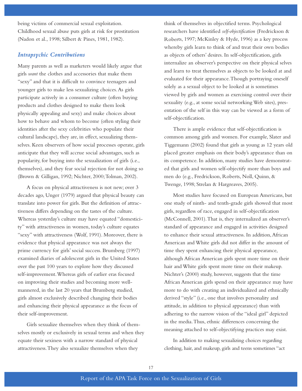being victims of commercial sexual exploitation. Childhood sexual abuse puts girls at risk for prostitution (Nadon et al., 1998; Silbert & Pines, 1981, 1982).

## *Intrapsychic Contributions*

Many parents as well as marketers would likely argue that girls *want* the clothes and accessories that make them "sexy" and that it is difficult to convince teenagers and younger girls to make less sexualizing choices.As girls participate actively in a consumer culture (often buying products and clothes designed to make them look physically appealing and sexy) and make choices about how to behave and whom to become (often styling their identities after the sexy celebrities who populate their cultural landscape), they are, in effect, sexualizing themselves. Keen observers of how social processes operate, girls anticipate that they will accrue social advantages, such as popularity, for buying into the sexualization of girls (i.e., themselves), and they fear social rejection for not doing so (Brown & Gilligan, 1992; Nichter, 2000; Tolman, 2002).

A focus on physical attractiveness is not new; over 3 decades ago, Unger (1979) argued that physical beauty can translate into power for girls. But the definition of attractiveness differs depending on the tastes of the culture. Whereas yesterday's culture may have equated "domesticity" with attractiveness in women, today's culture equates "sexy" with attractiveness (Wolf, 1991). Moreover, there is evidence that physical appearance was not always the prime currency for girls' social success. Brumberg (1997) examined diaries of adolescent girls in the United States over the past 100 years to explore how they discussed self-improvement.Whereas girls of earlier eras focused on improving their studies and becoming more wellmannered, in the last 20 years that Brumberg studied, girls almost exclusively described changing their bodies and enhancing their physical appearance as the focus of their self-improvement.

Girls sexualize themselves when they think of themselves mostly or exclusively in sexual terms and when they equate their sexiness with a narrow standard of physical attractiveness.They also sexualize themselves when they

think of themselves in objectified terms. Psychological researchers have identified *self-objectification* (Fredrickson & Roberts, 1997; McKinley & Hyde, 1996) as a key process whereby girls learn to think of and treat their own bodies as objects of others' desires. In self-objectification, girls internalize an observer's perspective on their physical selves and learn to treat themselves as objects to be looked at and evaluated for their appearance.Though portraying oneself solely as a sexual object to be looked at is sometimes viewed by girls and women as exercising control over their sexuality (e.g., at some social networking Web sites), presentation of the self in this way can be viewed as a form of self-objectification.

There is ample evidence that self-objectification is common among girls and women. For example, Slater and Tiggemann (2002) found that girls as young as 12 years old placed greater emphasis on their body's appearance than on its competence. In addition, many studies have demonstrated that girls and women self-objectify more than boys and men do (e.g., Fredrickson, Roberts, Noll, Quinn, & Twenge, 1998; Strelan & Hargreaves, 2005).

Most studies have focused on European Americans, but one study of ninth- and tenth-grade girls showed that most girls, regardless of race, engaged in self-objectification (McConnell, 2001).That is, they internalized an observer's standard of appearance and engaged in activities designed to enhance their sexual attractiveness. In addition,African American and White girls did not differ in the amount of time they spent enhancing their physical appearance, although African American girls spent more time on their hair and White girls spent more time on their makeup. Nichter's (2000) study, however, suggests that the time African American girls spend on their appearance may have more to do with creating an individualized and ethnically derived "style" (i.e., one that involves personality and attitude, in addition to physical appearance) than with adhering to the narrow vision of the "ideal girl" depicted in the media.Thus, ethnic differences concerning the meaning attached to self-objectifying practices may exist.

In addition to making sexualizing choices regarding clothing, hair, and makeup, girls and teens sometimes "act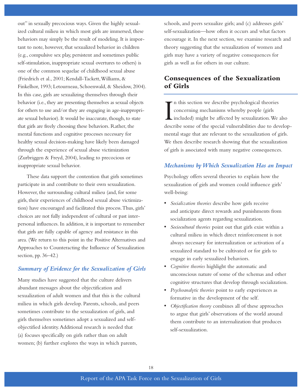out" in sexually precocious ways. Given the highly sexualized cultural milieu in which most girls are immersed, these behaviors may simply be the result of modeling. It is important to note, however, that sexualized behavior in children (e.g., compulsive sex play, persistent and sometimes public self-stimulation, inappropriate sexual overtures to others) is one of the common sequelae of childhood sexual abuse (Friedrich et al., 2001; Kendall-Tackett,Williams, & Finkelhor, 1993; Letourneau, Schoenwald, & Sheidow, 2004). In this case, girls are sexualizing themselves through their behavior (i.e., they are presenting themselves as sexual objects for others to use and/or they are engaging in age-inappropriate sexual behavior). It would be inaccurate, though, to state that girls are freely choosing these behaviors. Rather, the mental functions and cognitive processes necessary for healthy sexual decision-making have likely been damaged through the experience of sexual abuse victimization (Zurbriggen & Freyd, 2004), leading to precocious or inappropriate sexual behavior.

These data support the contention that girls sometimes participate in and contribute to their own sexualization. However, the surrounding cultural milieu (and, for some girls, their experiences of childhood sexual abuse victimization) have encouraged and facilitated this process.Thus, girls' choices are not fully independent of cultural or past interpersonal influences. In addition, it is important to remember that girls are fully capable of agency and resistance in this area. (We return to this point in the Positive Alternatives and Approaches to Counteracting the Influence of Sexualization section, pp. 36–42.)

## *Summary of Evidence for the Sexualization of Girls*

Many studies have suggested that the culture delivers abundant messages about the objectification and sexualization of adult women and that this is the cultural milieu in which girls develop. Parents, schools, and peers sometimes contribute to the sexualization of girls, and girls themselves sometimes adopt a sexualized and selfobjectified identity.Additional research is needed that (a) focuses specifically on girls rather than on adult women; (b) further explores the ways in which parents,

schools, and peers sexualize girls; and (c) addresses girls' self-sexualization—how often it occurs and what factors encourage it. In the next section, we examine research and theory suggesting that the sexualization of women and girls may have a variety of negative consequences for girls as well as for others in our culture.

## **Consequences of the Sexualization of Girls**

In this section we describe psychological theories<br>concerning mechanisms whereby people (girls<br>included) might be affected by sexualization. We also<br>describe some of the special vulnerabilities due to developn this section we describe psychological theories concerning mechanisms whereby people (girls included) might be affected by sexualization.We also mental stage that are relevant to the sexualization of girls. We then describe research showing that the sexualization of girls is associated with many negative consequences.

## *Mechanisms by Which Sexualization Has an Impact*

Psychology offers several theories to explain how the sexualization of girls and women could influence girls' well-being:

- <sup>l</sup> *Socialization theories* describe how girls receive and anticipate direct rewards and punishments from socialization agents regarding sexualization.
- <sup>l</sup> *Sociocultural theories* point out that girls exist within a cultural milieu in which direct reinforcement is not always necessary for internalization or activation of a sexualized standard to be cultivated or for girls to engage in early sexualized behaviors.
- Cognitive theories highlight the automatic and unconscious nature of some of the schemas and other cognitive structures that develop through socialization.
- <sup>l</sup> *Psychoanalytic theories* point to early experiences as formative in the development of the self.
- *Objectification theory* combines all of these approaches to argue that girls' observations of the world around them contribute to an internalization that produces self-sexualization.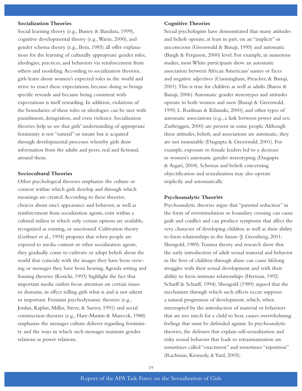## **Socialization Theories**

Social learning theory (e.g., Bussey & Bandura, 1999), cognitive developmental theory (e.g.,Warin, 2000), and gender schema theory (e.g., Bem, 1985) all offer explanations for the learning of culturally appropriate gender roles, ideologies, practices, and behaviors via reinforcement from others and modeling.According to socialization theories, girls learn about women's expected roles in the world and strive to enact these expectations, because doing so brings specific rewards and because being consistent with expectations is itself rewarding. In addition, violations of the boundaries of these roles or ideologies can be met with punishment, denigration, and even violence. Socialization theories help us see that girls' understanding of appropriate femininity is not "natural" or innate but is acquired through developmental processes whereby girls draw information from the adults and peers, real and fictional, around them.

## **Sociocultural Theories**

Other psychological theories emphasize the culture or context within which girls develop and through which meanings are created.According to these theories, choices about one's appearance and behavior, as well as reinforcement from socialization agents, exist within a cultural milieu in which only certain options are available, recognized as existing, or sanctioned. Cultivation theory (Gerbner et al., 1994) proposes that when people are exposed to media content or other socialization agents, they gradually come to cultivate or adopt beliefs about the world that coincide with the images they have been viewing or messages they have been hearing.Agenda setting and framing theories (Kosicki, 1993) highlight the fact that important media outlets focus attention on certain issues or domains, in effect telling girls what is and is not salient or important. Feminist psychodynamic theories (e.g., Jordan, Kaplan, Miller, Stiver, & Surrey, 1991) and social construction theories (e.g., Hare-Mustin & Marecek, 1988) emphasize the messages culture delivers regarding femininity and the ways in which such messages maintain gender relations as power relations.

#### **Cognitive Theories**

Social psychologists have demonstrated that many attitudes and beliefs operate, at least in part, on an "implicit" or unconscious (Greenwald & Banaji, 1995) and automatic (Bargh & Ferguson, 2000) level. For example, in numerous studies, most White participants show an automatic association between African Americans' names or faces and negative adjectives (Cunningham, Preacher, & Banaji, 2001).This is true for children as well as adults (Baron & Banaji, 2006).Automatic gender stereotypes and attitudes operate in both women and men (Banaji & Greenwald, 1995; L. Rudman & Kilianski, 2000), and other types of automatic associations (e.g., a link between power and sex; Zurbriggen, 2000) are present in some people.Although these attitudes, beliefs, and associations are automatic, they are not immutable (Dasgupta & Greenwald, 2001). For example, exposure to female leaders led to a decrease in women's automatic gender stereotyping (Dasgupta & Asgari, 2004). Schemas and beliefs concerning objectification and sexualization may also operate implictly and automatically.

## **Psychoanalytic Theories**

Psychoanalytic theories argue that "parental seduction" in the form of overstimulation or boundary crossing can cause guilt and conflict and can produce symptoms that affect the very character of developing children as well as their ability to form relationships in the future (J. Greenberg, 2001; Shengold, 1989). Trauma theory and research show that the early introduction of adult sexual material and behavior in the lives of children through abuse can cause lifelong struggles with their sexual development and with their ability to form intimate relationships (Herman, 1992; Scharff & Scharff, 1994). Shengold (1989) argued that the mechanism through which such effects occur supposes a natural progression of development, which, when interrupted by the introduction of material or behaviors that are too much for a child to bear, causes overwhelming feelings that must be defended against. In psychoanalytic theories, the defenses that explain self-sexualization and risky sexual behavior that leads to retraumatization are sometimes called "enactment" and sometimes "repetition" (Rachman, Kennedy, & Yard, 2005).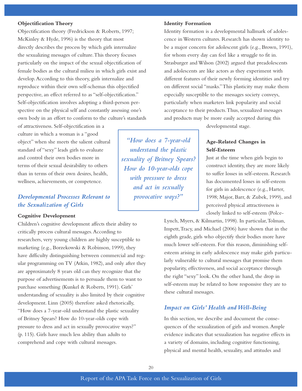### **Objectification Theory**

Objectification theory (Fredrickson & Roberts, 1997; McKinley & Hyde, 1996) is the theory that most directly describes the process by which girls internalize the sexualizing messages of culture.This theory focuses particularly on the impact of the sexual objectification of female bodies as the cultural milieu in which girls exist and develop.According to this theory, girls internalize and reproduce within their own self-schemas this objectified perspective, an effect referred to as "self-objectification." Self-objectification involves adopting a third-person perspective on the physical self and constantly assessing one's own body in an effort to conform to the culture's standards

of attractiveness. Self-objectification in a culture in which a woman is a "good object" when she meets the salient cultural standard of "sexy" leads girls to evaluate and control their own bodies more in terms of their sexual desirability to others than in terms of their own desires, health, wellness, achievements, or competence.

## *Developmental Processes Relevant to the Sexualization of Girls*

#### **Cognitive Development**

Children's cognitive development affects their ability to critically process cultural messages.According to researchers, very young children are highly susceptible to marketing (e.g., Borzekowski & Robinson, 1999), they have difficulty distinguishing between commercial and regular programming on TV (Atkin, 1982), and only after they are approximately 8 years old can they recognize that the purpose of advertisements is to persuade them to want to purchase something (Kunkel & Roberts, 1991). Girls' understanding of sexuality is also limited by their cognitive development. Linn (2005) therefore asked rhetorically, "How does a 7-year-old understand the plastic sexuality of Britney Spears? How do 10-year-olds cope with pressure to dress and act in sexually provocative ways?" (p. 115). Girls have much less ability than adults to comprehend and cope with cultural messages.

**Identity Formation** 

Identity formation is a developmental hallmark of adolescence in Western cultures. Research has shown identity to be a major concern for adolescent girls (e.g., Brown, 1991), for whom every day can feel like a struggle to fit in. Strasburger and Wilson (2002) argued that preadolescents and adolescents are like actors as they experiment with different features of their newly forming identities and try on different social "masks."This plasticity may make them especially susceptible to the messages society conveys, particularly when marketers link popularity and social acceptance to their products.Thus, sexualized messages and products may be more easily accepted during this

developmental stage.

## **Age-Related Changes in Self-Esteem**

Just at the time when girls begin to construct identity, they are more likely to suffer losses in self-esteem. Research has documented losses in self-esteem for girls in adolescence (e.g., Harter, 1998; Major, Barr, & Zubek, 1999), and perceived physical attractiveness is closely linked to self-esteem (Polce-

Lynch, Myers, & Kilmartin, 1998). In particular,Tolman, Impett,Tracy, and Michael (2006) have shown that in the eighth grade, girls who objectify their bodies more have much lower self-esteem. For this reason, diminishing selfesteem arising in early adolescence may make girls particularly vulnerable to cultural messages that promise them popularity, effectiveness, and social acceptance through the right "sexy" look. On the other hand, the drop in self-esteem may be related to how responsive they are to these cultural messages.

## *Impact on Girls' Health and Well-Being*

In this section, we describe and document the consequences of the sexualization of girls and women.Ample evidence indicates that sexualization has negative effects in a variety of domains, including cognitive functioning, physical and mental health, sexuality, and attitudes and

*"How does a 7-year-old understand the plastic sexuality of Britney Spears? How do 10-year-olds cope with pressure to dress and act in sexually provocative ways?"*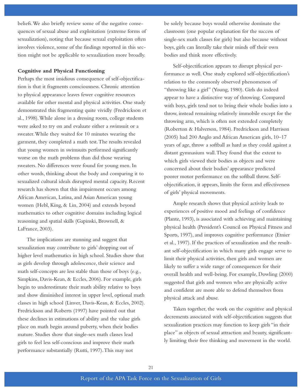beliefs.We also briefly review some of the negative consequences of sexual abuse and exploitation (extreme forms of sexualization), noting that because sexual exploitation often involves violence, some of the findings reported in this section might not be applicable to sexualization more broadly.

## **Cognitive and Physical Functioning**

Perhaps the most insidious consequence of self-objectification is that it fragments consciousness. Chronic attention to physical appearance leaves fewer cognitive resources available for other mental and physical activities. One study demonstrated this fragmenting quite vividly (Fredrickson et al., 1998).While alone in a dressing room, college students were asked to try on and evaluate either a swimsuit or a sweater.While they waited for 10 minutes wearing the garment, they completed a math test.The results revealed that young women in swimsuits performed significantly worse on the math problems than did those wearing sweaters. No differences were found for young men. In other words, thinking about the body and comparing it to sexualized cultural ideals disrupted mental capacity. Recent research has shown that this impairment occurs among African American, Latina, and Asian American young women (Hebl, King, & Lin, 2004) and extends beyond mathematics to other cognitive domains including logical reasoning and spatial skills (Gapinski, Brownell, & LaFrance, 2003).

The implications are stunning and suggest that sexualization may contribute to girls' dropping out of higher level mathematics in high school. Studies show that as girls develop through adolescence, their science and math self-concepts are less stable than those of boys (e.g., Simpkins, Davis-Kean, & Eccles, 2006). For example, girls begin to underestimate their math ability relative to boys and show diminished interest in upper level, optional math classes in high school (Linver, Davis-Kean, & Eccles, 2002). Fredrickson and Roberts (1997) have pointed out that these declines in estimations of ability and the value girls place on math begin around puberty, when their bodies mature. Studies show that single-sex math classes lead girls to feel less self-conscious and improve their math performance substantially (Rutti, 1997).This may not

be solely because boys would otherwise dominate the classroom (one popular explanation for the success of single-sex math classes for girls) but also because without boys, girls can literally take their minds off their own bodies and think more effectively.

Self-objectification appears to disrupt physical performance as well. One study explored self-objectification's relation to the commonly observed phenomenon of "throwing like a girl" (Young, 1980). Girls do indeed appear to have a distinctive way of throwing. Compared with boys, girls tend not to bring their whole bodies into a throw, instead remaining relatively immobile except for the throwing arm, which is often not extended completely (Roberton & Halverson, 1984). Fredrickson and Harrison (2005) had 200 Anglo and African American girls, 10–17 years of age, throw a softball as hard as they could against a distant gymnasium wall.They found that the extent to which girls viewed their bodies as objects and were concerned about their bodies' appearance predicted poorer motor performance on the softball throw. Selfobjectification, it appears, limits the form and effectiveness of girls' physical movements.

Ample research shows that physical activity leads to experiences of positive mood and feelings of confidence (Plante, 1993), is associated with achieving and maintaining physical health (President's Council on Physical Fitness and Sports, 1997), and improves cognitive performance (Etnier et al., 1997). If the practices of sexualization and the resultant self-objectification in which many girls engage serve to limit their physical activities, then girls and women are likely to suffer a wide range of consequences for their overall health and well-being. For example, Dowling (2000) suggested that girls and women who are physically active and confident are more able to defend themselves from physical attack and abuse.

Taken together, the work on the cognitive and physical decrements associated with self-objectification suggests that sexualization practices may function to keep girls "in their place" as objects of sexual attraction and beauty, significantly limiting their free thinking and movement in the world.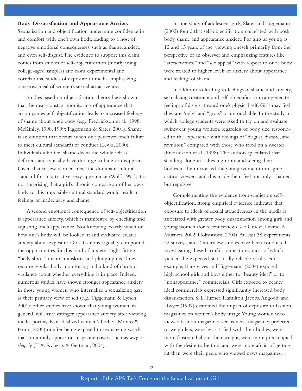#### **Body Dissatisfaction and Appearance Anxiety**

Sexualization and objectification undermine confidence in and comfort with one's own body, leading to a host of negative emotional consequences, such as shame, anxiety, and even self-disgust.The evidence to support this claim comes from studies of self-objectification (mostly using college-aged samples) and from experimental and correlational studies of exposure to media emphasizing a narrow ideal of women's sexual attractiveness.

Studies based on objectification theory have shown that the near-constant monitoring of appearance that accompanies self-objectification leads to increased feelings of shame about one's body (e.g., Fredrickson et al., 1998; McKinley, 1998, 1999;Tiggemann & Slater, 2001). Shame is an emotion that occurs when one perceives one's failure to meet cultural standards of conduct (Lewis, 2000). Individuals who feel shame deem the whole self as deficient and typically have the urge to hide or disappear. Given that so few women meet the dominant cultural standard for an attractive, sexy appearance (Wolf, 1991), it is not surprising that a girl's chronic comparison of her own body to this impossible cultural standard would result in feelings of inadequacy and shame.

A second emotional consequence of self-objectification is appearance anxiety, which is manifested by checking and adjusting one's appearance. Not knowing exactly when or how one's body will be looked at and evaluated creates anxiety about exposure. Girls' fashions arguably compound the opportunities for this kind of anxiety:Tight-fitting "belly shirts," micro-miniskirts, and plunging necklines require regular body monitoring and a kind of chronic vigilance about whether everything is in place. Indeed, numerous studies have shown stronger appearance anxiety in those young women who internalize a sexualizing gaze as their primary view of self (e.g.,Tiggemann & Lynch, 2001); other studies have shown that young women, in general, will have stronger appearance anxiety after viewing media portrayals of idealized women's bodies (Monro & Huon, 2005) or after being exposed to sexualizing words that commonly appear on magazine covers, such as *sexy* or *shapely* (T-A. Roberts & Gettman, 2004).

In one study of adolescent girls, Slater and Tiggemann (2002) found that self-objectification correlated with both body shame and appearance anxiety. For girls as young as 12 and 13 years of age, viewing oneself primarily from the perspective of an observer and emphasizing features like "attractiveness" and "sex appeal" with respect to one's body were related to higher levels of anxiety about appearance and feelings of shame.

In addition to leading to feelings of shame and anxiety, sexualizing treatment and self-objectification can generate feelings of disgust toward one's physical self. Girls may feel they are "ugly" and "gross" or untouchable. In the study in which college students were asked to try on and evaluate swimwear, young women, regardless of body size, responded to the experience with feelings of "disgust, distaste, and revulsion" compared with those who tried on a sweater (Fredrickson et al., 1998).The authors speculated that standing alone in a dressing room and seeing their bodies in the mirror led the young women to imagine critical viewers, and this made them feel not only ashamed but repulsive.

Complementing the evidence from studies on selfobjectification, strong empirical evidence indicates that exposure to ideals of sexual attractiveness in the media is associated with greater body dissatisfaction among girls and young women (for recent reviews, see Groesz, Levine, & Murnen, 2002; Holmstrom, 2004).At least 38 experiments, 32 surveys, and 2 interview studies have been conducted investigating these harmful connections, most of which yielded the expected, statistically reliable results. For example, Hargreaves and Tiggemann (2004) exposed high school girls and boys either to "beauty ideal" or to "nonappearance" commercials. Girls exposed to beauty ideal commercials expressed significantly increased body dissatisfaction. S. L.Turner, Hamilton, Jacobs,Angood, and Dwyer (1997) examined the impact of exposure to fashion magazines on women's body image.Young women who viewed fashion magazines versus news magazines preferred to weigh less, were less satisfied with their bodies, were more frustrated about their weight, were more preoccupied with the desire to be thin, and were more afraid of getting fat than were their peers who viewed news magazines.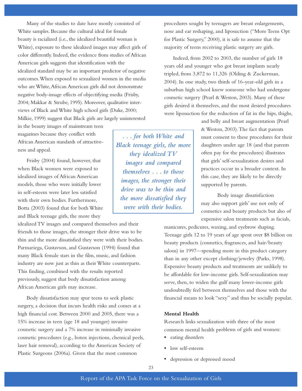Many of the studies to date have mostly consisted of White samples. Because the cultural ideal for female beauty is racialized (i.e., the idealized beautiful woman is White), exposure to these idealized images may affect girls of color differently. Indeed, the evidence from studies of African American girls suggests that identification with the idealized standard may be an important predictor of negative outcomes.When exposed to sexualized women in the media who are White,African American girls did not demonstrate negative body-image effects of objectifying media (Frisby, 2004; Makkar & Strube, 1995). Moreover, qualitative interviews of Black and White high school girls (Duke, 2000; Milkie, 1999) suggest that Black girls are largely uninterested

in the beauty images of mainstream teen magazines because they conflict with African American standards of attractiveness and appeal.

Frisby (2004) found, however, that when Black women were exposed to idealized images of African American models, those who were initially lower in self-esteem were later less satisfied with their own bodies. Furthermore, Botta (2003) found that for both White and Black teenage girls, the more they

idealized TV images and compared themselves and their friends to those images, the stronger their drive was to be thin and the more dissatisfied they were with their bodies. Parmariega, Gustavson, and Gustavson (1994) found that many Black female stars in the film, music, and fashion industry are now just as thin as their White counterparts. This finding, combined with the results reported previously, suggest that body dissatisfaction among African American girls may increase.

Body dissatisfaction may spur teens to seek plastic surgery, a decision that incurs health risks and comes at a high financial cost. Between 2000 and 2005, there was a 15% increase in teen (age 18 and younger) invasive cosmetic surgery and a 7% increase in minimally invasive cosmetic procedures (e.g., botox injections, chemical peels, laser hair removal), according to the American Society of Plastic Surgeons (2006a). Given that the most common

*. . . for both White and Black teenage girls, the more they idealized TV images and compared themselves . . . to those images, the stronger their drive was to be thin and the more dissatisfied they were with their bodies.*

procedures sought by teenagers are breast enlargements, nose and ear reshaping, and liposuction ("More Teens Opt for Plastic Surgery," 2000), it is safe to assume that the majority of teens receiving plastic surgery are girls.

Indeed, from 2002 to 2003, the number of girls 18 years old and younger who got breast implants nearly tripled, from 3,872 to 11,326 (Olding & Zuckerman, 2004). In one study, two thirds of 16-year-old girls in a suburban high school knew someone who had undergone cosmetic surgery (Pearl & Weston, 2003). Many of these girls desired it themselves, and the most desired procedures were liposuction for the reduction of fat in the hips, thighs,

> and belly and breast augmentation (Pearl & Weston, 2003).The fact that parents must consent to these procedures for their daughters under age 18 (and that parents often pay for the procedures) illustrates that girls' self-sexualization desires and practices occur in a broader context. In this case, they are likely to be directly supported by parents.

Body image dissatisfaction may also support girls' use not only of cosmetics and beauty products but also of expensive salon treatments such as facials,

manicures, pedicures, waxing, and eyebrow shaping. Teenage girls 12 to 19 years of age spent over \$8 billion on beauty products (cosmetics, fragrances, and hair/beauty salons) in 1997—spending more in this product category than in any other except clothing/jewelry (Parks, 1998). Expensive beauty products and treatments are unlikely to be affordable for low-income girls. Self-sexualization may serve, then, to widen the gulf many lower-income girls undoubtedly feel between themselves and those with the financial means to look "sexy" and thus be socially popular.

## **Mental Health**

Research links sexualization with three of the most common mental health problems of girls and women:

- eating disorders
- low self-esteem
- depression or depressed mood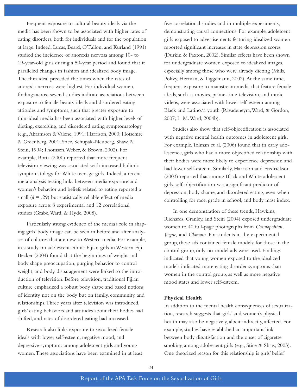Frequent exposure to cultural beauty ideals via the media has been shown to be associated with higher rates of eating disorders, both for individuals and for the population at large. Indeed, Lucas, Beard, O'Fallon, and Kurland (1991) studied the incidence of anorexia nervosa among 10- to 19-year-old girls during a 50-year period and found that it paralleled changes in fashion and idealized body image. The thin ideal preceded the times when the rates of anorexia nervosa were highest. For individual women, findings across several studies indicate associations between exposure to female beauty ideals and disordered eating attitudes and symptoms, such that greater exposure to thin-ideal media has been associated with higher levels of dieting, exercising, and disordered eating symptomatology (e.g.,Abramson & Valene, 1991; Harrison, 2000; Hofschire & Greenberg, 2001; Stice, Schupak-Neuberg, Shaw, & Stein, 1994; Thomsen, Weber, & Brown, 2002). For example, Botta (2000) reported that more frequent television viewing was associated with increased bulimic symptomatology for White teenage girls. Indeed, a recent meta-analysis testing links between media exposure and women's behavior and beliefs related to eating reported a small  $(d = .29)$  but statistically reliable effect of media exposure across 8 experimental and 12 correlational studies (Grabe,Ward, & Hyde, 2008).

Particularly strong evidence of the media's role in shaping girls' body image can be seen in before and after analyses of cultures that are new to Western media. For example, in a study on adolescent ethnic Fijian girls in Western Fiji, Becker (2004) found that the beginnings of weight and body shape preoccupation, purging behavior to control weight, and body disparagement were linked to the introduction of television. Before television, traditional Fijian culture emphasized a robust body shape and based notions of identity not on the body but on family, community, and relationships.Three years after television was introduced, girls' eating behaviors and attitudes about their bodies had shifted, and rates of disordered eating had increased.

Research also links exposure to sexualized female ideals with lower self-esteem, negative mood, and depressive symptoms among adolescent girls and young women.These associations have been examined in at least five correlational studies and in multiple experiments, demonstrating causal connections. For example, adolescent girls exposed to advertisements featuring idealized women reported significant increases in state depression scores (Durkin & Paxton, 2002). Similar effects have been shown for undergraduate women exposed to idealized images, especially among those who were already dieting (Mills, Polivy, Herman, & Tiggemann, 2002). At the same time, frequent exposure to mainstream media that feature female ideals, such as movies, prime-time television, and music videos, were associated with lower self-esteem among Black and Latino/a youth (Rivadeneyra,Ward, & Gordon, 2007; L. M.Ward, 2004b).

Studies also show that self-objectification is associated with negative mental health outcomes in adolescent girls. For example,Tolman et al. (2006) found that in early adolescence, girls who had a more objectified relationship with their bodies were more likely to experience depression and had lower self-esteem. Similarly, Harrison and Fredrickson (2003) reported that among Black and White adolescent girls, self-objectification was a significant predictor of depression, body shame, and disordered eating, even when controlling for race, grade in school, and body mass index.

In one demonstration of these trends, Hawkins, Richards, Granley, and Stein (2004) exposed undergraduate women to 40 full-page photographs from *Cosmopolitan, Vogue,* and *Glamour.* For students in the experimental group, these ads contained female models; for those in the control group, only no-model ads were used. Findings indicated that young women exposed to the idealized models indicated more eating disorder symptoms than women in the control group, as well as more negative mood states and lower self-esteem.

#### **Physical Health**

In addition to the mental health consequences of sexualization, research suggests that girls' and women's physical health may also be negatively, albeit indirectly, affected. For example, studies have established an important link between body dissatisfaction and the onset of cigarette smoking among adolescent girls (e.g., Stice & Shaw, 2003). One theorized reason for this relationship is girls' belief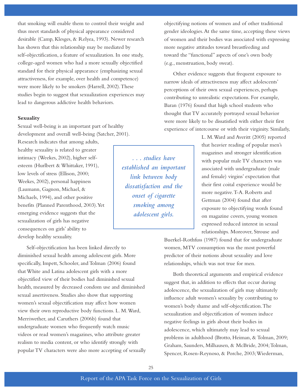that smoking will enable them to control their weight and thus meet standards of physical appearance considered desirable (Camp, Klesges, & Relyea, 1993). Newer research has shown that this relationship may be mediated by self-objectification, a feature of sexualization. In one study, college-aged women who had a more sexually objectified standard for their physical appearance (emphasizing sexual attractiveness, for example, over health and competence) were more likely to be smokers (Harrell, 2002).These studies begin to suggest that sexualization experiences may lead to dangerous addictive health behaviors.

#### **Sexuality**

Sexual well-being is an important part of healthy development and overall well-being (Satcher, 2001).

Research indicates that among adults, healthy sexuality is related to greater intimacy (Weekes, 2002), higher selfesteem (Hurlbert & Whittaker, 1991), low levels of stress (Ellison, 2000; Weekes, 2002), personal happiness (Laumann, Gagnon, Michael, & Michaels, 1994), and other positive benefits (Planned Parenthood, 2003).Yet emerging evidence suggests that the sexualization of girls has negative consequences on girls' ability to develop healthy sexuality.

Self-objectification has been linked directly to diminished sexual health among adolescent girls. More specifically, Impett, Schooler, and Tolman (2006) found that White and Latina adolescent girls with a more objectified view of their bodies had diminished sexual health, measured by decreased condom use and diminished sexual assertiveness. Studies also show that supporting women's sexual objectification may affect how women view their own reproductive body functions. L. M.Ward, Merriwether, and Caruthers (2006b) found that undergraduate women who frequently watch music videos or read women's magazines, who attribute greater realism to media content, or who identify strongly with popular TV characters were also more accepting of sexually

*. . . studies have established an important link between body dissatisfaction and the onset of cigarette smoking among adolescent girls.*

objectifying notions of women and of other traditional gender ideologies.At the same time, accepting these views of women and their bodies was associated with expressing more negative attitudes toward breastfeeding and toward the "functional" aspects of one's own body (e.g., menstruation, body sweat).

Other evidence suggests that frequent exposure to narrow ideals of attractiveness may affect adolescents' perceptions of their own sexual experiences, perhaps contributing to unrealistic expectations. For example, Baran (1976) found that high school students who thought that TV accurately portrayed sexual behavior were more likely to be dissatisfied with either their first experience of intercourse or with their virginity. Similarly,

> L. M.Ward and Averitt (2005) reported that heavier reading of popular men's magazines and stronger identification with popular male TV characters was associated with undergraduate (male and female) virgins' expectation that their first coital experience would be more negative.T-A. Roberts and Gettman (2004) found that after exposure to objectifying words found on magazine covers, young women expressed reduced interest in sexual relationships. Moreover, Strouse and

Buerkel-Rothfuss (1987) found that for undergraduate women, MTV consumption was the most powerful predictor of their notions about sexuality and love relationships, which was not true for men.

Both theoretical arguments and empirical evidence suggest that, in addition to effects that occur during adolescence, the sexualization of girls may ultimately influence adult women's sexuality by contributing to women's body shame and self-objectification.The sexualization and objectification of women induce negative feelings in girls about their bodies in adolescence, which ultimately may lead to sexual problems in adulthood (Brotto, Heiman, & Tolman, 2009; Graham, Saunders, Milhausen, & McBride, 2004;Tolman, Spencer, Rosen-Reynoso, & Porche, 2003;Wiederman,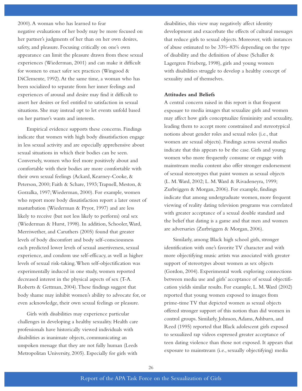2000).A woman who has learned to fear negative evaluations of her body may be more focused on her partner's judgments of her than on her own desires, safety, and pleasure. Focusing critically on one's own appearance can limit the pleasure drawn from these sexual experiences (Wiederman, 2001) and can make it difficult for women to enact safer sex practices (Wingood & DiClemente, 1992).At the same time, a woman who has been socialized to separate from her inner feelings and experiences of arousal and desire may find it difficult to assert her desires or feel entitled to satisfaction in sexual situations. She may instead opt to let events unfold based on her partner's wants and interests.

Empirical evidence supports these concerns. Findings indicate that women with high body dissatisfaction engage in less sexual activity and are especially apprehensive about sexual situations in which their bodies can be seen. Conversely, women who feel more positively about and comfortable with their bodies are more comfortable with their own sexual feelings (Ackard, Kearney-Cooke, & Peterson, 2000; Faith & Schare, 1993; Trapnell, Meston, & Gorzalka, 1997;Wiederman, 2000). For example, women who report more body dissatisfaction report a later onset of masturbation (Wiederman & Pryor, 1997) and are less likely to receive (but not less likely to perform) oral sex (Wiederman & Hurst, 1998). In addition, Schooler,Ward, Merriwether, and Caruthers (2005) found that greater levels of body discomfort and body self-consciousness each predicted lower levels of sexual assertiveness, sexual experience, and condom use self-efficacy, as well as higher levels of sexual risk-taking.When self-objectification was experimentally induced in one study, women reported decreased interest in the physical aspects of sex (T-A. Roberts & Gettman, 2004).These findings suggest that body shame may inhibit women's ability to advocate for, or even acknowledge, their own sexual feelings or pleasure.

Girls with disabilities may experience particular challenges in developing a healthy sexuality. Health care professionals have historically viewed individuals with disabilities as inanimate objects, communicating an unspoken message that they are not fully human (Leeds Metropolitan University, 2005). Especially for girls with

disabilities, this view may negatively affect identity development and exacerbate the effects of cultural messages that reduce girls to sexual objects. Moreover, with instances of abuse estimated to be 33%–83% depending on the type of disability and the definition of abuse (Schaller & Lagergren Frieberg, 1998), girls and young women with disabilities struggle to develop a healthy concept of sexuality and of themselves.

## **Attitudes and Beliefs**

A central concern raised in this report is that frequent exposure to media images that sexualize girls and women may affect how girls conceptualize femininity and sexuality, leading them to accept more constrained and stereotypical notions about gender roles and sexual roles (i.e., that women are sexual objects). Findings across several studies indicate that this appears to be the case. Girls and young women who more frequently consume or engage with mainstream media content also offer stronger endorsement of sexual stereotypes that paint women as sexual objects (L. M.Ward, 2002; L. M.Ward & Rivadeneyra, 1999; Zurbriggen & Morgan, 2006). For example, findings indicate that among undergraduate women, more frequent viewing of reality dating television programs was correlated with greater acceptance of a sexual double standard and the belief that dating is a game and that men and women are adversaries (Zurbriggen & Morgan, 2006).

Similarly, among Black high school girls, stronger identification with one's favorite TV character and with more objectifying music artists was associated with greater support of stereotypes about women as sex objects (Gordon, 2004). Experimental work exploring connections between media use and girls' acceptance of sexual objectification yields similar results. For example, L. M.Ward (2002) reported that young women exposed to images from prime-time TV that depicted women as sexual objects offered stronger support of this notion than did women in control groups. Similarly, Johnson, Adams, Ashburn, and Reed (1995) reported that Black adolescent girls exposed to sexualized rap videos expressed greater acceptance of teen dating violence than those not exposed. It appears that exposure to mainstream (i.e., sexually objectifying) media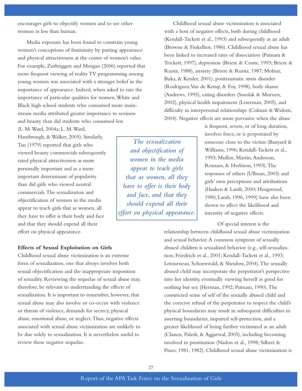encourages girls to objectify women and to see other women as less than human.

Media exposure has been found to constrain young women's conceptions of femininity by putting appearance and physical attractiveness at the center of women's value. For example, Zurbriggen and Morgan (2006) reported that more frequent viewing of reality TV programming among young women was associated with a stronger belief in the importance of appearance. Indeed, when asked to rate the importance of particular qualities for women,White and Black high school students who consumed more mainstream media attributed greater importance to sexiness and beauty than did students who consumed less

(L. M.Ward, 2004a; L. M.Ward, Hansbrough, & Walker, 2005). Similarly, Tan (1979) reported that girls who viewed beauty commercials subsequently rated physical attractiveness as more personally important and as a more important determinant of popularity than did girls who viewed neutral commercials.The sexualization and objectification of women in the media appear to teach girls that as women, all they have to offer is their body and face and that they should expend all their effort on physical appearance.

**Effects of Sexual Exploitation on Girls**

Childhood sexual abuse victimization is an extreme form of sexualization, one that always involves both sexual objectification and the inappropriate imposition of sexuality. Reviewing the sequelae of sexual abuse may, therefore, be relevant to understanding the effects of sexualization. It is important to remember, however, that sexual abuse may also involve or co-occur with violence or threats of violence, demands for secrecy, physical abuse, emotional abuse, or neglect.Thus, negative effects associated with sexual abuse victimization are unlikely to be due solely to sexualization. It is nevertheless useful to review these negative sequelae.

*The sexualization and objectification of women in the media appear to teach girls that as women, all they have to offer is their body and face, and that they should expend all their effort on physical appearance.*

Childhood sexual abuse victimization is associated with a host of negative effects, both during childhood (Kendall-Tackett et al., 1993) and subsequently as an adult (Browne & Finkelhor, 1986). Childhood sexual abuse has been linked to increased rates of dissociation (Putnam & Trickett, 1997), depression (Briere & Conte, 1993; Briere & Runtz, 1988), anxiety (Briere & Runtz, 1987; Molnar, Buka, & Kessler, 2001), posttraumatic stress disorder (Rodriguez,Van de Kemp, & Foy, 1998), body shame (Andrews, 1995), eating disorders (Smolak & Murnen, 2002), physical health impairment (Leserman, 2005), and difficulty in interpersonal relationships (Colman & Widom, 2004). Negative effects are more pervasive when the abuse

> is frequent, severe, or of long duration, involves force, or is perpetrated by someone close to the victim (Banyard & Williams, 1996; Kendall-Tackett et al., 1993; Mullen, Martin,Anderson, Romans, & Herbison, 1993).The responses of others (Ullman, 2003) and girls' own perceptions and attributions (Haaken & Lamb, 2000; Hoagwood, 1990; Lamb, 1996, 1999) have also been shown to affect the likelihood and intensity of negative effects.

> > Of special interest is the

relationship between childhood sexual abuse victimization and sexual behavior.A common symptom of sexually abused children is sexualized behavior (e.g., self-sexualization; Friedrich et al., 2001; Kendall-Tackett et al., 1993; Letourneau, Schoenwald, & Sheidow, 2004).The sexually abused child may incorporate the perpetrator's perspective into her identity, eventually viewing herself as good for nothing but sex (Herman, 1992; Putnam, 1990).The constricted sense of self of the sexually abused child and the coercive refusal of the perpetrator to respect the child's physical boundaries may result in subsequent difficulties in asserting boundaries, impaired self-protection, and a greater likelihood of being further victimized as an adult (Classen, Palesh, & Aggarwal, 2005), including becoming involved in prostitution (Nadon et al., 1998; Silbert & Pines, 1981, 1982). Childhood sexual abuse victimization is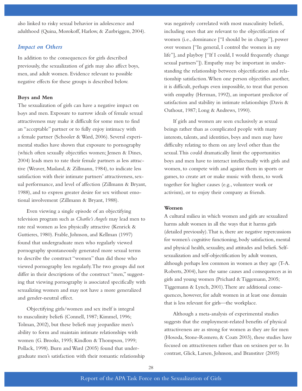also linked to risky sexual behavior in adolescence and adulthood (Quina, Morokoff, Harlow, & Zurbriggen, 2004).

## *Impact on Others*

In addition to the consequences for girls described previously, the sexualization of girls may also affect boys, men, and adult women. Evidence relevant to possible negative effects for these groups is described below.

## **Boys and Men**

The sexualization of girls can have a negative impact on boys and men. Exposure to narrow ideals of female sexual attractiveness may make it difficult for some men to find an "acceptable" partner or to fully enjoy intimacy with a female partner (Schooler & Ward, 2006). Several experimental studies have shown that exposure to pornography (which often sexually objectifies women; Jensen & Dines, 2004) leads men to rate their female partners as less attractive (Weaver, Masland, & Zillmann, 1984), to indicate less satisfaction with their intimate partners' attractiveness, sexual performance, and level of affection (Zillmann & Bryant, 1988), and to express greater desire for sex without emotional involvement (Zillmann & Bryant, 1988).

Even viewing a single episode of an objectifying television program such as *Charlie's Angels* may lead men to rate real women as less physically attractive (Kenrick & Guttieres, 1980). Frable, Johnson, and Kellman (1997) found that undergraduate men who regularly viewed pornography spontaneously generated more sexual terms to describe the construct "women" than did those who viewed pornography less regularly.The two groups did not differ in their descriptions of the construct "men," suggesting that viewing pornography is associated specifically with sexualizing women and may not have a more generalized and gender-neutral effect.

Objectifying girls/women and sex itself is integral to masculinity beliefs (Connell, 1987; Kimmel, 1996; Tolman, 2002), but these beliefs may jeopardize men's ability to form and maintain intimate relationships with women (G. Brooks, 1995; Kindlon & Thompson, 1999; Pollack, 1998). Burn and Ward (2005) found that undergraduate men's satisfaction with their romantic relationship was negatively correlated with most masculinity beliefs, including ones that are relevant to the objectification of women (i.e., dominance ["I should be in charge"], power over women ["In general, I control the women in my life"], and playboy ["If I could, I would frequently change sexual partners"]). Empathy may be important in understanding the relationship between objectification and relationship satisfaction.When one person objectifies another, it is difficult, perhaps even impossible, to treat that person with empathy (Herman, 1992), an important predictor of satisfaction and stability in intimate relationships (Davis & Oathout, 1987; Long & Andrews, 1990).

If girls and women are seen exclusively as sexual beings rather than as complicated people with many interests, talents, and identities, boys and men may have difficulty relating to them on any level other than the sexual.This could dramatically limit the opportunities boys and men have to interact intellectually with girls and women, to compete with and against them in sports or games, to create art or make music with them, to work together for higher causes (e.g., volunteer work or activism), or to enjoy their company as friends.

#### **Women**

A cultural milieu in which women and girls are sexualized harms adult women in all the ways that it harms girls (detailed previously).That is, there are negative repercussions for women's cognitive functioning, body satisfaction, mental and physical health, sexuality, and attitudes and beliefs. Selfsexualization and self-objectification by adult women, although perhaps less common in women as they age (T-A. Roberts, 2004), have the same causes and consequences as in girls and young women (Prichard & Tiggemann, 2005; Tiggemann & Lynch, 2001).There are additional consequences, however, for adult women in at least one domain that is less relevant for girls—the workplace.

Although a meta-analysis of experimental studies suggests that the employment-related benefits of physical attractiveness are as strong for women as they are for men (Hosoda, Stone-Romero, & Coats 2003), these studies have focused on attractiveness rather than on sexiness per se. In contrast, Glick, Larsen, Johnson, and Branstiter (2005)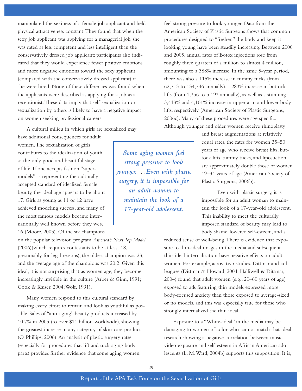manipulated the sexiness of a female job applicant and held physical attractiveness constant.They found that when the sexy job applicant was applying for a managerial job, she was rated as less competent and less intelligent than the conservatively dressed job applicant; participants also indicated that they would experience fewer positive emotions and more negative emotions toward the sexy applicant (compared with the conservatively dressed applicant) if she were hired. None of these differences was found when the applicants were described as applying for a job as a receptionist.These data imply that self-sexualization or sexualization by others is likely to have a negative impact on women seeking professional careers.

A cultural milieu in which girls are sexualized may

have additional consequences for adult women.The sexualization of girls contributes to the idealization of youth as the only good and beautiful stage of life. If one accepts fashion "supermodels" as representing the culturally accepted standard of idealized female beauty, the ideal age appears to be about 17. Girls as young as 11 or 12 have achieved modeling success, and many of the most famous models became internationally well known before they were 16 (Moore, 2003). Of the six champions

on the popular television program *America's Next Top Model* (2006)(which requires contestants to be at least 18, presumably for legal reasons), the oldest champion was 23, and the average age of the champions was 20.2. Given this ideal, it is not surprising that as women age, they become increasingly invisible in the culture (Arber & Ginn, 1991; Cook & Kaiser, 2004;Wolf, 1991).

Many women respond to this cultural standard by making every effort to remain and look as youthful as possible. Sales of "anti-aging" beauty products increased by 10.7% in 2005 (to over \$11 billion worldwide), showing the greatest increase in any category of skin-care product (O. Phillips, 2006).An analysis of plastic surgery rates (especially for procedures that lift and tuck aging body parts) provides further evidence that some aging women

*Some aging women feel strong pressure to look younger.* . . . *Even with plastic surgery, it is impossible for an adult woman to maintain the look of a 17-year-old adolescent.*

feel strong pressure to look younger. Data from the American Society of Plastic Surgeons shows that common procedures designed to "freshen" the body and keep it looking young have been steadily increasing. Between 2000 and 2005, annual rates of Botox injections rose from roughly three quarters of a million to almost 4 million, amounting to a 388% increase. In the same 5-year period, there was also a 115% increase in tummy tucks (from 62,713 to 134,746 annually), a 283% increase in buttock lifts (from 1,356 to 5,193 annually), as well as a stunning 3,413% and 4,101% increase in upper arm and lower body lifts, respectively (American Society of Plastic Surgeons, 2006c). Many of these procedures were age specific. Although younger and older women receive rhinoplasty

> and breast augmentations at relatively equal rates, the rates for women 35–50 years of age who receive breast lifts, buttock lifts, tummy tucks, and liposuction are approximately double those of women 19–34 years of age (American Society of Plastic Surgeons, 2006b).

Even with plastic surgery, it is impossible for an adult woman to maintain the look of a 17-year-old adolescent. This inability to meet the culturally imposed standard of beauty may lead to body shame, lowered self-esteem, and a

reduced sense of well-being.There is evidence that exposure to thin-ideal images in the media and subsequent thin-ideal internalization have negative effects on adult women. For example, across two studies, Dittmar and colleagues (Dittmar & Howard, 2004; Halliwell & Dittmar, 2004) found that adult women (e.g., 20–60 years of age) exposed to ads featuring thin models expressed more body-focused anxiety than those exposed to average-sized or no models, and this was especially true for those who strongly internalized the thin ideal.

Exposure to a "White-ideal" in the media may be damaging to women of color who cannot match that ideal; research showing a negative correlation between music video exposure and self-esteem in African American adolescents (L. M.Ward, 2004b) supports this supposition. It is,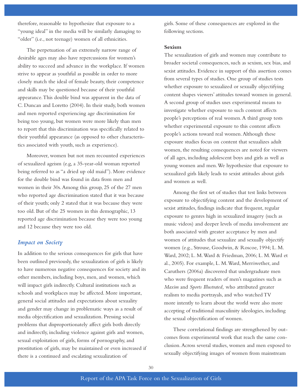therefore, reasonable to hypothesize that exposure to a "young ideal" in the media will be similarly damaging to "older" (i.e., not teenage) women of all ethnicities.

The perpetuation of an extremely narrow range of desirable ages may also have repercussions for women's ability to succeed and advance in the workplace. If women strive to appear as youthful as possible in order to more closely match the ideal of female beauty, their competence and skills may be questioned because of their youthful appearance.This double bind was apparent in the data of C. Duncan and Loretto (2004). In their study, both women and men reported experiencing age discrimination for being too young, but women were more likely than men to report that this discrimination was specifically related to their youthful appearance (as opposed to other characteristics associated with youth, such as experience).

Moreover, women but not men recounted experiences of sexualized ageism (e.g, a 35-year-old woman reported being referred to as "a dried up old maid"). More evidence for the double bind was found in data from men and women in their 30s.Among this group, 25 of the 27 men who reported age discrimination stated that it was because of their youth; only 2 stated that it was because they were too old. But of the 25 women in this demographic, 13 reported age discrimination because they were too young and 12 because they were too old.

## *Impact on Society*

In addition to the serious consequences for girls that have been outlined previously, the sexualization of girls is likely to have numerous negative consequences for society and its other members, including boys, men, and women, which will impact girls indirectly. Cultural institutions such as schools and workplaces may be affected. More important, general social attitudes and expectations about sexuality and gender may change in problematic ways as a result of media objectification and sexualization. Pressing social problems that disproportionately affect girls both directly and indirectly, including violence against girls and women, sexual exploitation of girls, forms of pornography, and prostitution of girls, may be maintained or even increased if there is a continued and escalating sexualization of

girls. Some of these consequences are explored in the following sections.

### **Sexism**

The sexualization of girls and women may contribute to broader societal consequences, such as sexism, sex bias, and sexist attitudes. Evidence in support of this assertion comes from several types of studies. One group of studies tests whether exposure to sexualized or sexually objectifying content shapes viewers' attitudes toward women in general. A second group of studies uses experimental means to investigate whether exposure to such content affects people's perceptions of real women.A third group tests whether experimental exposure to this content affects people's actions toward real women.Although these exposure studies focus on content that sexualizes adult women, the resulting consequences are noted for viewers of all ages, including adolescent boys and girls as well as young women and men.We hypothesize that exposure to sexualized girls likely leads to sexist attitudes about girls and women as well.

Among the first set of studies that test links between exposure to objectifying content and the development of sexist attitudes, findings indicate that frequent, regular exposure to genres high in sexualized imagery (such as music videos) and deeper levels of media involvement are both associated with greater acceptance by men and women of attitudes that sexualize and sexually objectify women (e.g., Strouse, Goodwin, & Roscoe, 1994; L. M. Ward, 2002; L. M.Ward & Friedman, 2006; L. M.Ward et al., 2005). For example, L. M.Ward, Merriwether, and Caruthers (2006a) discovered that undergraduate men who were frequent readers of men's magazines such as *Maxim* and *Sports Illustrated,* who attributed greater realism to media portrayals, and who watched TV more intently to learn about the world were also more accepting of traditional masculinity ideologies, including the sexual objectification of women.

These correlational findings are strengthened by outcomes from experimental work that reach the same conclusion.Across several studies, women and men exposed to sexually objectifying images of women from mainstream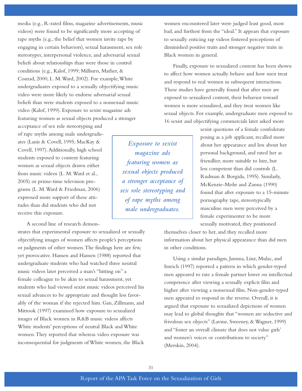media (e.g., R-rated films, magazine advertisements, music videos) were found to be significantly more accepting of rape myths (e.g., the belief that women invite rape by engaging in certain behaviors), sexual harassment, sex role stereotypes, interpersonal violence, and adversarial sexual beliefs about relationships than were those in control conditions (e.g., Kalof, 1999; Milburn, Mather, & Conrad, 2000; L. M.Ward, 2002). For example,White undergraduates exposed to a sexually objectifying music video were more likely to endorse adversarial sexual beliefs than were students exposed to a nonsexual music video (Kalof, 1999). Exposure to sexist magazine ads featuring women as sexual objects produced a stronger acceptance of sex role stereotyping and

of rape myths among male undergraduates (Lanis & Covell, 1995; MacKay & Covell, 1997).Additionally, high school students exposed to content featuring women as sexual objects drawn either from music videos (L. M.Ward et al., 2005) or prime-time television programs (L. M.Ward & Friedman, 2006) expressed more support of these attitudes than did students who did not receive this exposure.

A second line of research demon-

strates that experimental exposure to sexualized or sexually objectifying images of women affects people's perceptions or judgments of other women.The findings here are few, yet provocative. Hansen and Hansen (1988) reported that undergraduate students who had watched three neutral music videos later perceived a man's "hitting on" a female colleague to be akin to sexual harassment, yet students who had viewed sexist music videos perceived his sexual advances to be appropriate and thought less favorably of the woman if she rejected him. Gan, Zillmann, and Mitrook (1997) examined how exposure to sexualized images of Black women in R&B music videos affects White students' perceptions of neutral Black and White women.They reported that whereas video exposure was inconsequential for judgments of White women, the Black

*Exposure to sexist magazine ads featuring women as sexual objects produced a stronger acceptance of sex role stereotyping and of rape myths among male undergraduates.*

women encountered later were judged least good, most bad, and furthest from the "ideal." It appears that exposure to sexually enticing rap videos fostered perceptions of diminished positive traits and stronger negative traits in Black women in general.

Finally, exposure to sexualized content has been shown to affect how women actually behave and how men treat and respond to real women in subsequent interactions. These studies have generally found that after men are exposed to sexualized content, their behavior toward women is more sexualized, and they treat women like sexual objects. For example, undergraduate men exposed to 16 sexist and objectifying commercials later asked more

> sexist questions of a female confederate posing as a job applicant, recalled more about her appearance and less about her personal background, and rated her as friendlier, more suitable to hire, but less competent than did controls (L. Rudman & Borgida, 1995). Similarly, McKenzie-Mohr and Zanna (1990) found that after exposure to a 15-minute pornography tape, stereotypically masculine men were perceived by a female experimenter to be more sexually motivated, they positioned

themselves closer to her, and they recalled more information about her physical appearance than did men in other conditions.

Using a similar paradigm, Jansma, Linz, Mulac, and Imrich (1997) reported a pattern in which gender-typed men appeared to rate a female partner lower on intellectual competence after viewing a sexually explicit film and higher after viewing a nonsexual film. Non-gender-typed men appeared to respond in the reverse. Overall, it is argued that exposure to sexualized depictions of women may lead to global thoughts that "women are seductive and frivolous sex objects" (Lavine, Sweeney, & Wagner, 1999) and "foster an overall climate that does not value girls' and women's voices or contributions to society" (Merskin, 2004).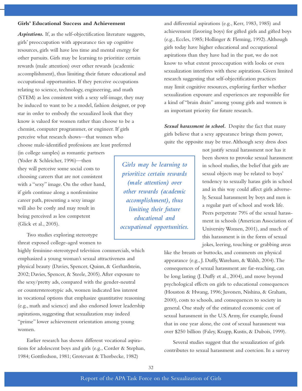### **Girls' Educational Success and Achievement**

*Aspirations.* If, as the self-objectification literature suggests, girls' preoccupation with appearance ties up cognitive resources, girls will have less time and mental energy for other pursuits. Girls may be learning to prioritize certain rewards (male attention) over other rewards (academic accomplishment), thus limiting their future educational and occupational opportunities. If they perceive occupations relating to science, technology, engineering, and math (STEM) as less consistent with a sexy self-image, they may be induced to want to be a model, fashion designer, or pop star in order to embody the sexualized look that they know is valued for women rather than choose to be a chemist, computer programmer, or engineer. If girls perceive what research shows—that women who choose male-identified professions are least preferred

(in college samples) as romantic partners (Yoder & Schleicher, 1996)—then they will perceive some social costs to choosing careers that are not consistent with a "sexy" image. On the other hand, if girls continue along a nonfeminine career path, presenting a sexy image will also be costly and may result in being perceived as less competent (Glick et al., 2005).

Two studies exploring stereotype threat exposed college-aged women to

highly feminine-stereotyped television commercials, which emphasized a young woman's sexual attractiveness and physical beauty (Davies, Spencer, Quinn, & Gerhardstein, 2002; Davies, Spencer, & Steele, 2005).After exposure to the sexy/pretty ads, compared with the gender-neutral or counterstereotypic ads, women indicated less interest in vocational options that emphasize quantitative reasoning (e.g., math and science) and also endorsed lower leadership aspirations, suggesting that sexualization may indeed "prime" lower achievement orientation among young women.

Earlier research has shown different vocational aspirations for adolescent boys and girls (e.g., Corder & Stephan, 1984; Gottfredson, 1981; Grotevant & Thorbecke, 1982)

and differential aspirations (e.g., Kerr, 1983, 1985) and achievement (favoring boys) for gifted girls and gifted boys (e.g., Eccles, 1985; Hollinger & Fleming, 1992).Although girls today have higher educational and occupational aspirations than they have had in the past, we do not know to what extent preoccupation with looks or even sexualization interferes with these aspirations. Given limited research suggesting that self-objectification practices may limit cognitive resources, exploring further whether sexualization exposure and experiences are responsible for a kind of "brain drain" among young girls and women is an important priority for future research.

*Sexual harassment in school.* Despite the fact that many girls believe that a sexy appearance brings them power, quite the opposite may be true.Although sexy dress does

*Girls may be learning to prioritize certain rewards (male attention) over other rewards (academic accomplishment), thus limiting their future educational and occupational opportunities.*

not justify sexual harassment nor has it been shown to provoke sexual harassment in school studies, the belief that girls are sexual objects may be related to boys' tendency to sexually harass girls in school and in this way could affect girls adversely. Sexual harassment by boys and men is a regular part of school and work life. Peers perpetrate 79% of the sexual harassment in schools (American Association of University Women, 2001), and much of this harassment is in the form of sexual jokes, leering, touching or grabbing areas

like the breasts or buttocks, and comments on physical appearance (e.g., J. Duffy,Wareham, & Walsh, 2004).The consequences of sexual harassment are far-reaching, can be long lasting (J. Duffy et al., 2004), and move beyond psychological effects on girls to educational consequences (Houston & Hwang, 1996; Juvonen, Nishina, & Graham, 2000), costs to schools, and consequences to society in general. One study of the estimated economic cost of sexual harassment in the U.S.Army, for example, found that in one year alone, the cost of sexual harassment was over \$250 billion (Faley, Knapp, Kustis, & Dubois, 1999).

Several studies suggest that the sexualization of girls contributes to sexual harassment and coercion. In a survey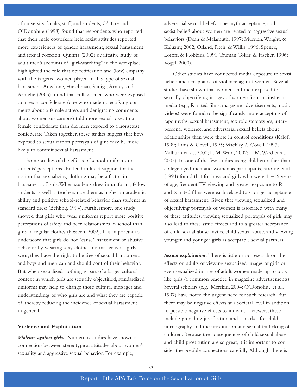of university faculty, staff, and students, O'Hare and O'Donohue (1998) found that respondents who reported that their male coworkers held sexist attitudes reported more experiences of gender harassment, sexual harassment, and sexual coercion. Quinn's (2002) qualitative study of adult men's accounts of "girl-watching" in the workplace highlighted the role that objectification and (low) empathy with the targeted women played in this type of sexual harassment.Angelone, Hirschman, Suniga,Armey, and Armelie (2005) found that college men who were exposed to a sexist confederate (one who made objectifying comments about a female actress and denigrating comments about women on campus) told more sexual jokes to a female confederate than did men exposed to a nonsexist confederate.Taken together, these studies suggest that boys exposed to sexualization portrayals of girls may be more likely to commit sexual harassment.

Some studies of the effects of school uniforms on students' perceptions also lend indirect support for the notion that sexualizing clothing may be a factor in harassment of girls.When students dress in uniforms, fellow students as well as teachers rate them as higher in academic ability and positive school-related behavior than students in standard dress (Behling, 1994). Furthermore, one study showed that girls who wear uniforms report more positive perceptions of safety and peer relationships in school than girls in regular clothes (Fosseen, 2002). It is important to underscore that girls do not "cause" harassment or abusive behavior by wearing sexy clothes; no matter what girls wear, they have the right to be free of sexual harassment, and boys and men can and should control their behavior. But when sexualized clothing is part of a larger cultural context in which girls are sexually objectified, standardized uniforms may help to change those cultural messages and understandings of who girls are and what they are capable of, thereby reducing the incidence of sexual harassment in general.

#### **Violence and Exploitation**

*Violence against girls.* Numerous studies have shown a connection between stereotypical attitudes about women's sexuality and aggressive sexual behavior. For example,

adversarial sexual beliefs, rape myth acceptance, and sexist beliefs about women are related to aggressive sexual behaviors (Dean & Malamuth, 1997; Murnen,Wright, & Kaluzny, 2002; Osland, Fitch, & Willis, 1996; Spence, Losoff, & Robbins, 1991; Truman, Tokar, & Fischer, 1996; Vogel, 2000).

Other studies have connected media exposure to sexist beliefs and acceptance of violence against women. Several studies have shown that women and men exposed to sexually objectifying images of women from mainstream media (e.g., R-rated films, magazine advertisements, music videos) were found to be significantly more accepting of rape myths, sexual harassment, sex role stereotypes, interpersonal violence, and adversarial sexual beliefs about relationships than were those in control conditions (Kalof, 1999; Lanis & Covell, 1995; MacKay & Covell, 1997; Milburn et al., 2000; L. M.Ward, 2002; L. M.Ward et al., 2005). In one of the few studies using children rather than college-aged men and women as participants, Strouse et al. (1994) found that for boys and girls who were 11–16 years of age, frequent TV viewing and greater exposure to Rand X-rated films were each related to stronger acceptance of sexual harassment. Given that viewing sexualized and objectifying portrayals of women is associated with many of these attitudes, viewing sexualized portrayals of girls may also lead to these same effects and to a greater acceptance of child sexual abuse myths, child sexual abuse, and viewing younger and younger girls as acceptable sexual partners.

*Sexual exploitation.* There is little or no research on the effects on adults of viewing sexualized images of girls or even sexualized images of adult women made up to look like girls (a common practice in magazine advertisements). Several scholars (e.g., Merskin, 2004; O'Donohue et al., 1997) have noted the urgent need for such research. But there may be negative effects at a societal level in addition to possible negative effects to individual viewers; these include providing justification and a market for child pornography and the prostitution and sexual trafficking of children. Because the consequences of child sexual abuse and child prostitution are so great, it is important to consider the possible connections carefully.Although there is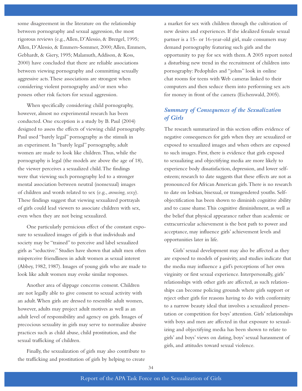some disagreement in the literature on the relationship between pornography and sexual aggression, the most rigorous reviews (e.g.,Allen, D'Alessio, & Brezgel, 1995; Allen, D'Alessio, & Emmers-Sommer, 2000;Allen, Emmers, Gebhardt, & Giery, 1995; Malamuth, Addison, & Koss, 2000) have concluded that there are reliable associations between viewing pornography and committing sexually aggressive acts.These associations are strongest when considering violent pornography and/or men who possess other risk factors for sexual aggression.

When specifically considering child pornography, however, almost no experimental research has been conducted. One exception is a study by B. Paul (2004) designed to assess the effects of viewing child pornography. Paul used "barely legal" pornography as the stimuli in an experiment. In "barely legal" pornography, adult women are made to look like children.Thus, while the pornography is legal (the models are above the age of 18), the viewer perceives a sexualized child.The findings were that viewing such pornography led to a stronger mental association between neutral (nonsexual) images of children and words related to sex (e.g., *arousing, sexy*). These findings suggest that viewing sexualized portrayals of girls could lead viewers to associate children with sex, even when they are not being sexualized.

One particularly pernicious effect of the constant exposure to sexualized images of girls is that individuals and society may be "trained" to perceive and label sexualized girls as "seductive." Studies have shown that adult men often misperceive friendliness in adult women as sexual interest (Abbey, 1982, 1987). Images of young girls who are made to look like adult women may evoke similar responses.

Another area of slippage concerns consent. Children are not legally able to give consent to sexual activity with an adult.When girls are dressed to resemble adult women, however, adults may project adult motives as well as an adult level of responsibility and agency on girls. Images of precocious sexuality in girls may serve to normalize abusive practices such as child abuse, child prostitution, and the sexual trafficking of children.

Finally, the sexualization of girls may also contribute to the trafficking and prostitution of girls by helping to create

a market for sex with children through the cultivation of new desires and experiences. If the idealized female sexual partner is a 15- or 16-year-old girl, male consumers may demand pornography featuring such girls and the opportunity to pay for sex with them.A 2005 report noted a disturbing new trend in the recruitment of children into pornography: Pedophiles and "johns" look in online chat rooms for teens with Web cameras linked to their computers and then seduce them into performing sex acts for money in front of the camera (Eichenwald, 2005).

# *Summary of Consequences of the Sexualization of Girls*

The research summarized in this section offers evidence of negative consequences for girls when they are sexualized or exposed to sexualized images and when others are exposed to such images. First, there is evidence that girls exposed to sexualizing and objectifying media are more likely to experience body dissatisfaction, depression, and lower selfesteem; research to date suggests that these effects are not as pronounced for African American girls.There is no research to date on lesbian, bisexual, or transgendered youths. Selfobjectification has been shown to diminish cognitive ability and to cause shame.This cognitive diminishment, as well as the belief that physical appearance rather than academic or extracurricular achievement is the best path to power and acceptance, may influence girls' achievement levels and opportunities later in life.

Girls' sexual development may also be affected as they are exposed to models of passivity, and studies indicate that the media may influence a girl's perceptions of her own virginity or first sexual experience. Interpersonally, girls' relationships with other girls are affected, as such relationships can become policing grounds where girls support or reject other girls for reasons having to do with conformity to a narrow beauty ideal that involves a sexualized presentation or competition for boys' attention. Girls' relationships with boys and men are affected in that exposure to sexualizing and objectifying media has been shown to relate to girls' and boys' views on dating, boys' sexual harassment of girls, and attitudes toward sexual violence.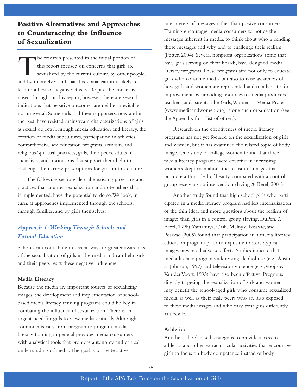**Positive Alternatives and Approaches to Counteracting the Influence of Sexualization**

The research presented in the initial portion of<br>this report focused on concerns that girls are<br>sexualized by the current culture, by other peand by themselves and that this sexualization is likely to this report focused on concerns that girls are sexualized by the current culture, by other people, and by themselves and that this sexualization is likely to lead to a host of negative effects. Despite the concerns raised throughout this report, however, there are several indications that negative outcomes are neither inevitable nor universal. Some girls and their supporters, now and in the past, have resisted mainstream characterizations of girls as sexual objects.Through media education and literacy, the creation of media subcultures, participation in athletics, comprehensive sex education programs, activism, and religious/spiritual practices, girls, their peers, adults in their lives, and institutions that support them help to challenge the narrow prescriptions for girls in this culture.

The following sections describe existing programs and practices that counter sexualization and note others that, if implemented, have the potential to do so.We look, in turn, at approaches implemented through the schools, through families, and by girls themselves.

# *Approach 1:Working Through Schools and Formal Education*

Schools can contribute in several ways to greater awareness of the sexualization of girls in the media and can help girls and their peers resist these negative influences.

#### **Media Literacy**

Because the media are important sources of sexualizing images, the development and implementation of schoolbased media literacy training programs could be key in combating the influence of sexualization.There is an urgent need for girls to view media critically.Although components vary from program to program, media literacy training in general provides media consumers with analytical tools that promote autonomy and critical understanding of media.The goal is to create active

interpreters of messages rather than passive consumers. Training encourages media consumers to notice the messages inherent in media, to think about who is sending those messages and why, and to challenge their realism (Potter, 2004). Several nonprofit organizations, some that have girls serving on their boards, have designed media literacy programs.These programs aim not only to educate girls who consume media but also to raise awareness of how girls and women are represented and to advocate for improvement by providing resources to media producers, teachers, and parents.The Girls,Women + Media Project (www.mediaandwomen.org) is one such organization (see the Appendix for a list of others).

Research on the effectiveness of media literacy programs has not yet focused on the sexualization of girls and women, but it has examined the related topic of body image. One study of college women found that three media literacy programs were effective in increasing women's skepticism about the realism of images that promote a thin ideal of beauty, compared with a control group receiving no intervention (Irving & Berel, 2001).

Another study found that high school girls who participated in a media literacy program had less internalization of the thin ideal and more questions about the realism of images than girls in a control group (Irving, DuPen, & Berel, 1998).Yamamiya, Cash, Melnyk, Posavac, and Posavac (2005) found that participation in a media literacy education program prior to exposure to stereotypical images prevented adverse effects. Studies indicate that media literacy programs addressing alcohol use (e.g.,Austin & Johnson, 1997) and television violence (e.g.,Voojis & Van der Voort, 1993) have also been effective. Programs directly targeting the sexualization of girls and women may benefit the school-aged girls who consume sexualized media, as well as their male peers who are also exposed to these media images and who may treat girls differently as a result.

#### **Athletics**

Another school-based strategy is to provide access to athletics and other extracurricular activities that encourage girls to focus on body competence instead of body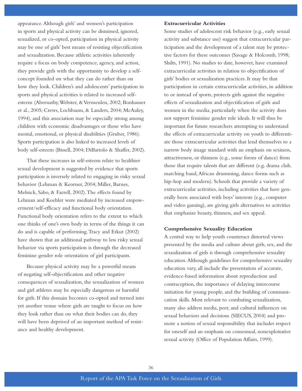appearance.Although girls' and women's participation in sports and physical activity can be dismissed, ignored, sexualized, or co-opted, participation in physical activity may be one of girls' best means of resisting objectification and sexualization. Because athletic activities inherently require a focus on body competence, agency, and action, they provide girls with the opportunity to develop a selfconcept founded on what they can do rather than on how they look. Children's and adolescents' participation in sports and physical activities is related to increased selfesteem (Abernathy,Webster, & Vermeulen, 2002; Bonhauser et al., 2005; Crews, Lochbaum, & Landers, 2004; McAuley, 1994), and this association may be especially strong among children with economic disadvantages or those who have mental, emotional, or physical disabilities (Gruber, 1986). Sports participation is also linked to increased levels of body self-esteem (Bissell, 2004; DiBartolo & Shaffer, 2002).

That these increases in self-esteem relate to healthier sexual development is suggested by evidence that sports participation is inversely related to engaging in risky sexual behavior (Lehman & Keorner, 2004; Miller, Barnes, Melnick, Sabo, & Farrell, 2002).The effects found by Lehman and Koehler were mediated by increased empowerment/self-efficacy and functional body orientation. Functional body orientation refers to the extent to which one thinks of one's own body in terms of the things it can do and is capable of performing.Tracy and Erkut (2002) have shown that an additional pathway to less risky sexual behavior via sports participation is through the decreased feminine gender role orientation of girl participants.

Because physical activity may be a powerful means of negating self-objectification and other negative consequences of sexualization, the sexualization of women and girl athletes may be especially dangerous or harmful for girls. If this domain becomes co-opted and turned into yet another venue where girls are taught to focus on how they look rather than on what their bodies can do, they will have been deprived of an important method of resistance and healthy development.

#### **Extracurricular Activities**

Some studies of adolescent risk behavior (e.g., early sexual activity and substance use) suggest that extracurricular participation and the development of a talent may be protective factors for these outcomes (Savage & Holcomb, 1998; Shilts, 1991). No studies to date, however, have examined extracurricular activities in relation to objectification of girls' bodies or sexualization practices. It may be that participation in certain extracurricular activities, in addition to or instead of sports, protects girls against the negative effects of sexualization and objectification of girls and women in the media, particularly when the activity does not support feminine gender role ideals. It will thus be important for future researchers attempting to understand the effects of extracurricular activity on youth to differentiate those extracurricular activities that lend themselves to a narrow body image standard with an emphasis on sexiness, attractiveness, or thinness (e.g., some forms of dance) from those that require talents that are different (e.g. drama club, marching band,African drumming, dance forms such as hip-hop and modern). Schools that provide a variety of extracurricular activities, including activities that have generally been associated with boys' interests (e.g., computer and video gaming), are giving girls alternatives to activities that emphasize beauty, thinness, and sex appeal.

#### **Comprehensive Sexuality Education**

A central way to help youth counteract distorted views presented by the media and culture about girls, sex, and the sexualization of girls is through comprehensive sexuality education.Although guidelines for comprehensive sexuality education vary, all include the presentation of accurate, evidence-based information about reproduction and contraception, the importance of delaying intercourse initiation for young people, and the building of communication skills. Most relevant to combating sexualization, many also address media, peer, and cultural influences on sexual behaviors and decisions (SIECUS, 2004) and promote a notion of sexual responsibility that includes respect for oneself and an emphasis on consensual, nonexploitative sexual activity (Office of Population Affairs, 1999).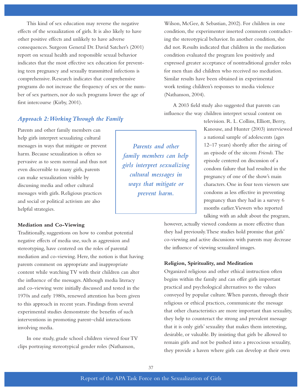This kind of sex education may reverse the negative effects of the sexualization of girls. It is also likely to have other positive effects and unlikely to have adverse consequences. Surgeon General Dr. David Satcher's (2001) report on sexual health and responsible sexual behavior indicates that the most effective sex education for preventing teen pregnancy and sexually transmitted infections is comprehensive. Research indicates that comprehensive programs do not increase the frequency of sex or the number of sex partners, nor do such programs lower the age of first intercourse (Kirby, 2001).

## *Approach 2:Working Through the Family*

Parents and other family members can help girls interpret sexualizing cultural messages in ways that mitigate or prevent harm. Because sexualization is often so pervasive as to seem normal and thus not even discernible to many girls, parents can make sexualization visible by discussing media and other cultural messages with girls. Religious practices and social or political activism are also helpful strategies.

#### **Mediation and Co-Viewing**

Traditionally, suggestions on how to combat potential negative effects of media use, such as aggression and stereotyping, have centered on the roles of parental mediation and co-viewing. Here, the notion is that having parents comment on appropriate and inappropriate content while watching TV with their children can alter the influence of the messages.Although media literacy and co-viewing were initially discussed and tested in the 1970s and early 1980s, renewed attention has been given to this approach in recent years. Findings from several experimental studies demonstrate the benefits of such interventions in promoting parent–child interactions involving media.

In one study, grade school children viewed four TV clips portraying stereotypical gender roles (Nathanson,

*Parents and other family members can help girls interpret sexualizing cultural messages in ways that mitigate or prevent harm.*

Wilson, McGee, & Sebastian, 2002). For children in one condition, the experimenter inserted comments contradicting the stereotypical behavior. In another condition, she did not. Results indicated that children in the mediation condition evaluated the program less positively and expressed greater acceptance of nontraditional gender roles for men than did children who received no mediation. Similar results have been obtained in experimental work testing children's responses to media violence (Nathanson, 2004).

A 2003 field study also suggested that parents can influence the way children interpret sexual content on

> television. R. L. Collins, Elliott, Berry, Kanouse, and Hunter (2003) interviewed a national sample of adolescents (ages 12–17 years) shortly after the airing of an episode of the sitcom *Friends.* The episode centered on discussion of a condom failure that had resulted in the pregnancy of one of the show's main characters. One in four teen viewers saw condoms as less effective in preventing pregnancy than they had in a survey 6 months earlier.Viewers who reported talking with an adult about the program,

however, actually viewed condoms as more effective than they had previously.These studies hold promise that girls' co-viewing and active discussions with parents may decrease the influence of viewing sexualized images.

## **Religion, Spirituality, and Meditation**

Organized religious and other ethical instruction often begins within the family and can offer girls important practical and psychological alternatives to the values conveyed by popular culture.When parents, through their religious or ethical practices, communicate the message that other characteristics are more important than sexuality, they help to counteract the strong and prevalent message that it is only girls' sexuality that makes them interesting, desirable, or valuable. By insisting that girls be allowed to remain girls and not be pushed into a precocious sexuality, they provide a haven where girls can develop at their own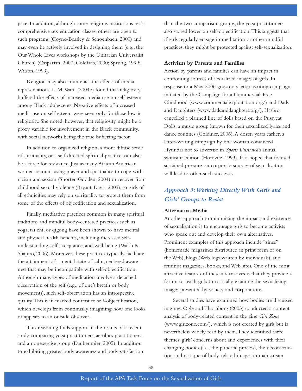pace. In addition, although some religious institutions resist comprehensive sex education classes, others are open to such programs (Coyne-Beasley & Schoenbach, 2000) and may even be actively involved in designing them (e.g., the Our Whole Lives workshops by the Unitarian Universalist Church) (Casparian, 2000; Goldfarb, 2000; Sprung, 1999; Wilson, 1999).

Religion may also counteract the effects of media representations. L. M.Ward (2004b) found that religiosity buffered the effects of increased media use on self-esteem among Black adolescents. Negative effects of increased media use on self-esteem were seen only for those low in religiosity. She noted, however, that religiosity might be a proxy variable for involvement in the Black community, with social networks being the true buffering factor.

In addition to organized religion, a more diffuse sense of spirituality, or a self-directed spiritual practice, can also be a force for resistance. Just as many African American women recount using prayer and spirituality to cope with racism and sexism (Shorter-Gooden, 2004) or recover from childhood sexual violence (Bryant-Davis, 2005), so girls of all ethnicities may rely on spirituality to protect them from some of the effects of objectification and sexualization.

Finally, meditative practices common in many spiritual traditions and mindful body-centered practices such as yoga, tai chi, or qigong have been shown to have mental and physical health benefits, including increased selfunderstanding, self-acceptance, and well-being (Walsh & Shapiro, 2006). Moreover, these practices typically facilitate the attainment of a mental state of calm, centered awareness that may be incompatible with self-objectification. Although many types of meditation involve a detached observation of the self (e.g., of one's breath or body movements), such self-observation has an introspective quality.This is in marked contrast to self-objectification, which develops from continually imagining how one looks or appears to an outside observer.

This reasoning finds support in the results of a recent study comparing yoga practitioners, aerobics practitioners, and a nonexercise group (Daubenmier, 2005). In addition to exhibiting greater body awareness and body satisfaction

than the two comparison groups, the yoga practitioners also scored lower on self-objectification.This suggests that if girls regularly engage in meditation or other mindful practices, they might be protected against self-sexualization.

### **Activism by Parents and Families**

Action by parents and families can have an impact in confronting sources of sexualized images of girls. In response to a May 2006 grassroots letter-writing campaign initiated by the Campaign for a Commercial-Free Childhood (www.commercialexploitation.org/) and Dads and Daughters (www.dadsanddaughters.org/), Hasbro cancelled a planned line of dolls based on the Pussycat Dolls, a music group known for their sexualized lyrics and dance routines (Goldiner, 2006).A dozen years earlier, a letter-writing campaign by one woman convinced Hyundai not to advertise in *Sports Illustrated*'s annual swimsuit edition (Horovitz, 1993). It is hoped that focused, sustained pressure on corporate sources of sexualization will lead to other such successes.

# *Approach 3:Working Directly With Girls and Girls' Groups to Resist*

#### **Alternative Media**

Another approach to minimizing the impact and existence of sexualization is to encourage girls to become activists who speak out and develop their own alternatives. Prominent examples of this approach include "zines" (homemade magazines distributed in print form or on the Web), blogs (Web logs written by individuals), and feminist magazines, books, and Web sites. One of the most attractive features of these alternatives is that they provide a forum to teach girls to critically examine the sexualizing images presented by society and corporations.

Several studies have examined how bodies are discussed in zines. Ogle and Thornburg (2003) conducted a content analysis of body-related content in the zine *Girl Zone* (www.girlzone.com/), which is not created by girls but is nevertheless widely read by them.They identified three themes: girls' concerns about and experiences with their changing bodies (i.e., the pubertal process), the deconstruction and critique of body-related images in mainstream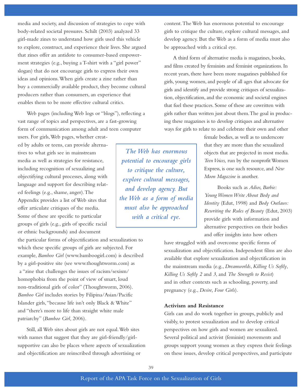media and society, and discussion of strategies to cope with body-related societal pressures. Schilt (2003) analyzed 33 girl-made zines to understand how girls used this vehicle to explore, construct, and experience their lives. She argued that zines offer an antidote to consumer-based empowerment strategies (e.g., buying a T-shirt with a "girl power" slogan) that do not encourage girls to express their own ideas and opinions.When girls create a zine rather than buy a commercially available product, they become cultural producers rather than consumers, an experience that enables them to be more effective cultural critics.

Web pages (including Web logs or "blogs"), reflecting a vast range of topics and perspectives, are a fast-growing form of communication among adult and teen computer

users. For girls,Web pages, whether created by adults or teens, can provide alternatives to what girls see in mainstream media as well as strategies for resistance, including recognition of sexualizing and objectifying cultural processes, along with language and support for describing related feelings (e.g., shame, anger).The Appendix provides a list of Web sites that offer articulate critiques of the media. Some of these are specific to particular groups of girls (e.g., girls of specific racial or ethnic backgrounds) and document

the particular forms of objectification and sexualization to which these specific groups of girls are subjected. For example, *Bamboo Girl* (www.bamboogirl.com) is described by a girl-positive site (see www.thoughtworm.com) as a "zine that challenges the issues of racism/sexism/ homophobia from the point of view of smart, loud non-traditional girls of color" (Thoughtworm, 2006). *Bamboo Girl* includes stories by Filipina/Asian/Pacific Islander girls,"because life isn't only Black & White" and "there's more to life than straight white male patriarchy" (*Bamboo Girl,* 2006).

Still, all Web sites about girls are not equal.Web sites with names that suggest that they are girl-friendly/girlsupportive can also be places where aspects of sexualization and objectification are reinscribed through advertising or

*The Web has enormous potential to encourage girls to critique the culture, explore cultural messages, and develop agency. But the Web as a form of media must also be approached with a critical eye.*

content.The Web has enormous potential to encourage girls to critique the culture, explore cultural messages, and develop agency. But the Web as a form of media must also be approached with a critical eye.

A third form of alternative media is magazines, books, and films created by feminists and feminist organizations. In recent years, there have been more magazines published for girls, young women, and people of all ages that advocate for girls and identify and provide strong critiques of sexualization, objectification, and the economic and societal engines that fuel these practices. Some of these are cowritten with girls rather than written just about them.The goal in producing these magazines is to develop critiques and alternative ways for girls to relate to and celebrate their own and other

> female bodies, as well as to underscore that they are more than the sexualized objects that are projected in most media. *Teen Voices,* run by the nonprofit Women Express, is one such resource, and *New Moon Magazine* is another.

Books such as *Adios, Barbie: Young Women Write About Body and Identity* (Edut, 1998) and *Body Outlaws: Rewriting the Rules of Beauty* (Edut, 2003) provide girls with information and alternative perspectives on their bodies and offer insights into how others

have struggled with and overcome specific forms of sexualization and objectification. Independent films are also available that explore sexualization and objectification in the mainstream media (e.g., *Dreamworlds*, *Killing Us Softly*, *Killing Us Softly 2* and *3*, and *The Strength to Resist*) and in other contexts such as schooling, poverty, and pregnancy (e.g., *Desire, Four Girls*).

## **Activism and Resistance**

Girls can and do work together in groups, publicly and visibly, to protest sexualization and to develop critical perspectives on how girls and women are sexualized. Several political and activist (feminist) movements and groups support young women as they express their feelings on these issues, develop critical perspectives, and participate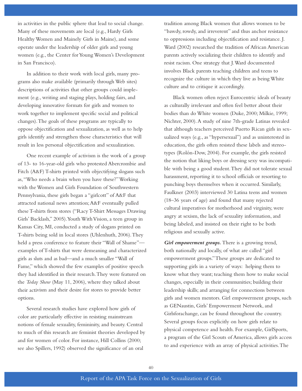in activities in the public sphere that lead to social change. Many of these movements are local (e.g., Hardy Girls Healthy Women and Mainely Girls in Maine), and some operate under the leadership of older girls and young women (e.g., the Center for Young Women's Development in San Francisco).

In addition to their work with local girls, many programs also make available (primarily through Web sites) descriptions of activities that other groups could implement (e.g., writing and staging plays, holding fairs, and developing innovative formats for girls and women to work together to implement specific social and political changes).The goals of these programs are typically to oppose objectification and sexualization, as well as to help girls identify and strengthen those characteristics that will result in less personal objectification and sexualization.

One recent example of activism is the work of a group of 13- to 16-year-old girls who protested Abercrombie and Fitch (A&F) T-shirts printed with objectifying slogans such as,"Who needs a brain when you have these?"Working with the Women and Girls Foundation of Southwestern Pennsylvania, these girls began a "girlcott" of A&F that attracted national news attention;A&F eventually pulled these T-shirts from stores ("Racy T-Shirt Messages Drawing Girls' Backlash," 2005).Youth With Vision, a teen group in Kansas City, MI, conducted a study of slogans printed on T-shirts being sold in local stores (Uhlenhuth, 2006).They held a press conference to feature their "Wall of Shame" examples of T-shirts that were demeaning and characterized girls as sluts and as bad—and a much smaller "Wall of Fame," which showed the few examples of positive speech they had identified in their research.They were featured on the *Today Show* (May 11, 2006), where they talked about their activism and their desire for stores to provide better options.

Several research studies have explored how girls of color are particularly effective in resisting mainstream notions of female sexuality, femininity, and beauty. Central to much of this research are feminist theories developed by and for women of color. For instance, Hill Collins (2000; see also Spillers, 1992) observed the significance of an oral

tradition among Black women that allows women to be "bawdy, rowdy, and irreverent" and thus anchor resistance to oppressions including objectification and resistance. J. Ward (2002) researched the tradition of African American parents actively socializing their children to identify and resist racism. One strategy that J.Ward documented involves Black parents teaching children and teens to recognize the culture in which they live as being White culture and to critique it accordingly.

Black women often reject Eurocentric ideals of beauty as culturally irrelevant and often feel better about their bodies than do White women (Duke, 2000; Milkie, 1999; Nichter, 2000).A study of nine 7th-grade Latinas revealed that although teachers perceived Puerto Rican girls in sexualized ways (e.g., as "hypersexual") and as uninterested in education, the girls often resisted these labels and stereotypes (Rolón-Dow, 2004). For example, the girls resisted the notion that liking boys or dressing sexy was incompatible with being a good student.They did not tolerate sexual harassment, reporting it to school officials or resorting to punching boys themselves when it occurred. Similarly, Faulkner (2003) interviewed 30 Latina teens and women (18–36 years of age) and found that many rejected cultural imperatives for motherhood and virginity, were angry at sexism, the lack of sexuality information, and being labeled, and insisted on their right to be both religious and sexually active.

*Girl empowerment groups.* There is a growing trend, both nationally and locally, of what are called "girl empowerment groups."These groups are dedicated to supporting girls in a variety of ways: helping them to know what they want; teaching them how to make social changes, especially in their communities; building their leadership skills; and arranging for connections between girls and women mentors. Girl empowerment groups, such as GENaustin, Girls' Empowerment Network, and Girlsforachange, can be found throughout the country. Several groups focus explicitly on how girls relate to physical competence and health. For example, GirlSports, a program of the Girl Scouts of America, allows girls access to and experience with an array of physical activities.The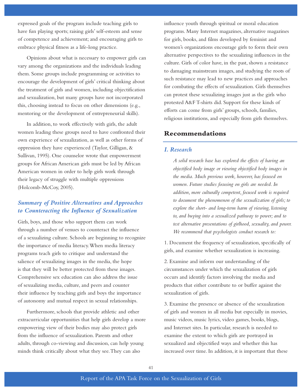expressed goals of the program include teaching girls to have fun playing sports; raising girls' self-esteem and sense of competence and achievement; and encouraging girls to embrace physical fitness as a life-long practice.

Opinions about what is necessary to empower girls can vary among the organizations and the individuals leading them. Some groups include programming or activities to encourage the development of girls' critical thinking about the treatment of girls and women, including objectification and sexualization, but many groups have not incorporated this, choosing instead to focus on other dimensions (e.g., mentoring or the development of entrepreneurial skills).

In addition, to work effectively with girls, the adult women leading these groups need to have confronted their own experience of sexualization, as well as other forms of oppression they have experienced (Taylor, Gilligan, & Sullivan, 1995). One counselor wrote that empowerment groups for African American girls must be led by African American women in order to help girls work through their legacy of struggle with multiple oppressions (Holcomb-McCoy, 2005).

## *Summary of Positive Alternatives and Approaches to Counteracting the Influence of Sexualization*

Girls, boys, and those who support them can work through a number of venues to counteract the influence of a sexualizing culture. Schools are beginning to recognize the importance of media literacy.When media literacy programs teach girls to critique and understand the salience of sexualizing images in the media, the hope is that they will be better protected from these images. Comprehensive sex education can also address the issue of sexualizing media, culture, and peers and counter their influence by teaching girls and boys the importance of autonomy and mutual respect in sexual relationships.

Furthermore, schools that provide athletic and other extracurricular opportunities that help girls develop a more empowering view of their bodies may also protect girls from the influence of sexualization. Parents and other adults, through co-viewing and discussion, can help young minds think critically about what they see.They can also

influence youth through spiritual or moral education programs. Many Internet magazines, alternative magazines for girls, books, and films developed by feminist and women's organizations encourage girls to form their own alternative perspectives to the sexualizing influences in the culture. Girls of color have, in the past, shown a resistance to damaging mainstream images, and studying the roots of such resistance may lead to new practices and approaches for combating the effects of sexualization. Girls themselves can protest these sexualizing images just as the girls who protested A&F T-shirts did. Support for these kinds of efforts can come from girls' groups, schools, families, religious institutions, and especially from girls themselves.

## **Recommendations**

## *I. Research*

*A solid research base has explored the effects of having an objectified body image or viewing objectified body images in the media. Much previous work, however, has focused on women. Future studies focusing on girls are needed. In addition, more culturally competent, focused work is required to document the phenomenon of the sexualization of girls; to explore the short- and long-term harm of viewing, listening to, and buying into a sexualized pathway to power; and to test alternative presentations of girlhood, sexuality, and power. We recommend that psychologists conduct research to:*

1. Document the frequency of sexualization, specifically of girls, and examine whether sexualization is increasing.

2. Examine and inform our understanding of the circumstances under which the sexualization of girls occurs and identify factors involving the media and products that either contribute to or buffer against the sexualization of girls.

3. Examine the presence or absence of the sexualization of girls and women in all media but especially in movies, music videos, music lyrics, video games, books, blogs, and Internet sites. In particular, research is needed to examine the extent to which girls are portrayed in sexualized and objectified ways and whether this has increased over time. In addition, it is important that these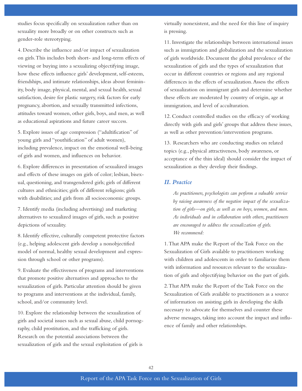studies focus specifically on sexualization rather than on sexuality more broadly or on other constructs such as gender-role stereotyping.

4. Describe the influence and/or impact of sexualization on girls.This includes both short- and long-term effects of viewing or buying into a sexualizing objectifying image, how these effects influence girls' development, self-esteem, friendships, and intimate relationships, ideas about femininity, body image, physical, mental, and sexual health, sexual satisfaction, desire for plastic surgery, risk factors for early pregnancy, abortion, and sexually transmitted infections, attitudes toward women, other girls, boys, and men, as well as educational aspirations and future career success.

5. Explore issues of age compression ("adultification" of young girls and "youthification" of adult women), including prevalence, impact on the emotional well-being of girls and women, and influences on behavior.

6. Explore differences in presentation of sexualized images and effects of these images on girls of color; lesbian, bisexual, questioning, and transgendered girls; girls of different cultures and ethnicities; girls of different religions; girls with disabilities; and girls from all socioeconomic groups.

7. Identify media (including advertising) and marketing alternatives to sexualized images of girls, such as positive depictions of sexuality.

8. Identify effective, culturally competent protective factors (e.g., helping adolescent girls develop a nonobjectified model of normal, healthy sexual development and expression through school or other programs).

9. Evaluate the effectiveness of programs and interventions that promote positive alternatives and approaches to the sexualization of girls. Particular attention should be given to programs and interventions at the individual, family, school, and/or community level.

10. Explore the relationship between the sexualization of girls and societal issues such as sexual abuse, child pornography, child prostitution, and the trafficking of girls. Research on the potential associations between the sexualization of girls and the sexual exploitation of girls is

virtually nonexistent, and the need for this line of inquiry is pressing.

11. Investigate the relationships between international issues such as immigration and globalization and the sexualization of girls worldwide. Document the global prevalence of the sexualization of girls and the types of sexualization that occur in different countries or regions and any regional differences in the effects of sexualization.Assess the effects of sexualization on immigrant girls and determine whether these effects are moderated by country of origin, age at immigration, and level of acculturation.

12. Conduct controlled studies on the efficacy of working directly with girls and girls' groups that address these issues, as well as other prevention/intervention programs.

13. Researchers who are conducting studies on related topics (e.g., physical attractiveness, body awareness, or acceptance of the thin ideal) should consider the impact of sexualization as they develop their findings.

## *II. Practice*

*As practitioners, psychologists can perform a valuable service by raising awareness of the negative impact of the sexualization of girls—on girls, as well as on boys, women, and men. As individuals and in collaboration with others, practitioners are encouraged to address the sexualization of girls. We recommend:*

1.That APA make the Report of the Task Force on the Sexualization of Girls available to practitioners working with children and adolescents in order to familiarize them with information and resources relevant to the sexualization of girls and objectifying behavior on the part of girls.

2.That APA make the Report of the Task Force on the Sexualization of Girls available to practitioners as a source of information on assisting girls in developing the skills necessary to advocate for themselves and counter these adverse messages, taking into account the impact and influence of family and other relationships.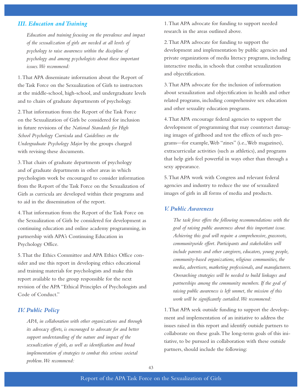## *III. Education and Training*

*Education and training focusing on the prevalence and impact of the sexualization of girls are needed at all levels of psychology to raise awareness within the discipline of psychology and among psychologists about these important issues.We recommend:*

1.That APA disseminate information about the Report of the Task Force on the Sexualization of Girls to instructors at the middle-school, high-school, and undergraduate levels and to chairs of graduate departments of psychology.

2.That information from the Report of the Task Force on the Sexualization of Girls be considered for inclusion in future revisions of the *National Standards for High School Psychology Curricula* and *Guidelines on the Undergraduate Psychology Major* by the groups charged with revising these documents.

3.That chairs of graduate departments of psychology and of graduate departments in other areas in which psychologists work be encouraged to consider information from the Report of the Task Force on the Sexualization of Girls as curricula are developed within their programs and to aid in the dissemination of the report.

4.That information from the Report of the Task Force on the Sexualization of Girls be considered for development as continuing education and online academy programming, in partnership with APA's Continuing Education in Psychology Office.

5.That the Ethics Committee and APA Ethics Office consider and use this report in developing ethics educational and training materials for psychologists and make this report available to the group responsible for the next revision of the APA "Ethical Principles of Psychologists and Code of Conduct."

### *IV. Public Policy*

*APA, in collaboration with other organizations and through its advocacy efforts, is encouraged to advocate for and better support understanding of the nature and impact of the sexualization of girls, as well as identification and broad implementation of strategies to combat this serious societal problem.We recommend:*

1.That APA advocate for funding to support needed research in the areas outlined above.

2.That APA advocate for funding to support the development and implementation by public agencies and private organizations of media literacy programs, including interactive media, in schools that combat sexualization and objectification.

3.That APA advocate for the inclusion of information about sexualization and objectification in health and other related programs, including comprehensive sex education and other sexuality education programs.

4.That APA encourage federal agencies to support the development of programming that may counteract damaging images of girlhood and test the effects of such programs—for example,Web "zines" (i.e.,Web magazines), extracurricular activities (such as athletics), and programs that help girls feel powerful in ways other than through a sexy appearance.

5.That APA work with Congress and relevant federal agencies and industry to reduce the use of sexualized images of girls in all forms of media and products.

## *V. Public Awareness*

*The task force offers the following recommendations with the goal of raising public awareness about this important issue. Achieving this goal will require a comprehensive, grassroots, communitywide effort. Participants and stakeholders will include parents and other caregivers, educators, young people, community-based organizations, religious communities, the media, advertisers, marketing professionals, and manufacturers. Overarching strategies will be needed to build linkages and partnerships among the community members. If the goal of raising public awareness is left unmet, the mission of this work will be significantly curtailed.We recommend:*

1.That APA seek outside funding to support the development and implementation of an initiative to address the issues raised in this report and identify outside partners to collaborate on these goals.The long-term goals of this initiative, to be pursued in collaboration with these outside partners, should include the following: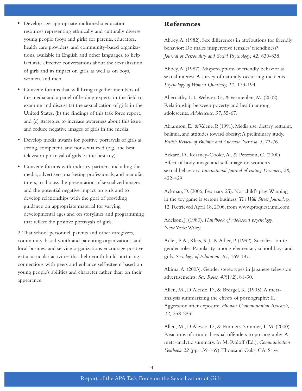- Develop age-appropriate multimedia education resources representing ethnically and culturally diverse young people (boys and girls) for parents, educators, health care providers, and community-based organizations, available in English and other languages, to help facilitate effective conversations about the sexualization of girls and its impact on girls, as well as on boys, women, and men.
- Convene forums that will bring together members of the media and a panel of leading experts in the field to examine and discuss (a) the sexualization of girls in the United States, (b) the findings of this task force report, and (c) strategies to increase awareness about this issue and reduce negative images of girls in the media.
- Develop media awards for positive portrayals of girls as strong, competent, and nonsexualized (e.g., the best television portrayal of girls or the best toy).
- Convene forums with industry partners, including the media, advertisers, marketing professionals, and manufacturers, to discuss the presentation of sexualized images and the potential negative impact on girls and to develop relationships with the goal of providing guidance on appropriate material for varying developmental ages and on storylines and programming that reflect the positive portrayals of girls.

2.That school personnel, parents and other caregivers, community-based youth and parenting organizations, and local business and service organizations encourage positive extracurricular activities that help youth build nurturing connections with peers and enhance self-esteem based on young people's abilities and character rather than on their appearance.

## **References**

Abbey,A. (1982). Sex differences in attributions for friendly behavior: Do males misperceive females' friendliness? *Journal of Personality and Social Psychology, 42,* 830-838.

Abbey,A. (1987). Misperceptions of friendly behavior as sexual interest:A survey of naturally occurring incidents. *Psychology of Women Quarterly, 11,* 173-194.

Abernathy,T. J.,Webster, G., & Vermeulen, M. (2002). Relationship between poverty and health among adolescents. *Adolescence, 37*, 55-67.

Abramson, E., & Valene, P. (1991). Media use, dietary restraint, bulimia, and attitudes toward obesity:A preliminary study. *British Review of Bulimia and Anorexia Nervosa, 5,* 73-76.

Ackard, D., Kearney-Cooke,A., & Peterson, C. (2000). Effect of body image and self-image on women's sexual behaviors. *International Journal of Eating Disorders, 28,* 422-429.

Ackman, D. (2006, February 25). Not child's play:Winning in the toy game is serious business. *The Wall Street Journal,* p. 12. Retrieved April 18, 2006, from www.proquest.umi.com

Adelson, J. (1980). *Handbook of adolescent psychology.* New York:Wiley.

Adler, P.A., Kless, S. J., & Adler, P. (1992). Socialization to gender roles: Popularity among elementary school boys and girls. *Sociology of Education, 65,* 169-187.

Akima,A. (2003). Gender stereotypes in Japanese television advertisements. *Sex Roles, 49*(1/2), 81-90.

Allen, M., D'Alessio, D., & Brezgel, K. (1995).A metaanalysis summarizing the effects of pornography: II. Aggression after exposure. *Human Communication Research, 22,* 258-283.

Allen, M., D'Alessio, D., & Emmers-Sommer,T. M. (2000). Reactions of criminal sexual offenders to pornography:A meta-analytic summary. In M. Roloff (Ed.), *Communication Yearbook 22* (pp. 139-169).Thousand Oaks, CA: Sage.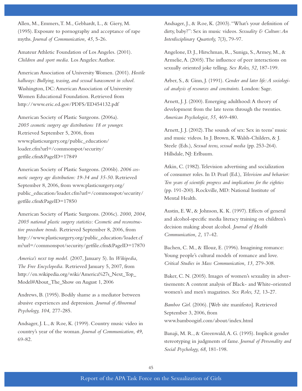Allen, M., Emmers,T. M., Gebhardt, L., & Giery, M. (1995). Exposure to pornography and acceptance of rape myths. *Journal of Communication, 45,* 5-26.

Amateur Athletic Foundation of Los Angeles. (2001). *Children and sport media.* Los Angeles:Author.

American Association of University Women. (2001). *Hostile hallways: Bullying, teasing, and sexual harassment in school.* Washington, DC:American Association of University Women Educational Foundation. Retrieved from http://www.eric.ed.gov/PDFS/ED454132.pdf

American Society of Plastic Surgeons. (2006a). *2005 cosmetic surgery age distributions 18 or younger.* Retrieved September 5, 2006, from www.plasticsurgery.org/public\_education/ loader.cfm?url=/commonspot/security/ getfile.cfm&PageID=17849

American Society of Plastic Surgeons. (2006b). *2006 cosmetic surgery age distribution: 19-34 and 35-50.* Retrieved September 8, 2006, from www.plasticsurgery.org/ public\_education/loader.cfm?url=/commonspot/security/ getfile.cfm&PageID=17850

American Society of Plastic Surgeons. (2006c). *2000, 2004, 2005 national plastic surgery statistics: Cosmetic and reconstructive procedure trends.* Retrieved September 8, 2006, from http://www.plasticsurgery.org/public\_education/loader.cf m?url=/commonspot/security/getfile.cfm&PageID=17870

*America's next top model.* (2007, January 5). In *Wikipedia, The Free Encyclopedia.* Retrieved January 5, 2007, from [http://en.wikipedia.org/wiki/America%27s\\_Next\\_Top\\_](http://en.wikipedia.org/wiki/America%27s_Next_Top_Model#About_The_Show) [Model#About\\_The\\_Show](http://en.wikipedia.org/wiki/America%27s_Next_Top_Model#About_The_Show) on August 1, 2006

Andrews, B. (1995). Bodily shame as a mediator between abusive experiences and depression. *Journal of Abnormal Psychology, 104,* 277-285.

Andsager, J. L., & Roe, K. (1999). Country music video in country's year of the woman. *Journal of Communication, 49,* 69-82.

Andsager, J., & Roe, K. (2003)."What's your definition of dirty, baby?": Sex in music videos. *Sexuality & Culture:An Interdisciplinary Quarterly, 7*(3), 79-97.

Angelone, D. J., Hirschman, R., Suniga, S.,Armey, M., & Armelie,A. (2005).The influence of peer interactions on sexually oriented joke telling. *Sex Roles, 52,* 187-199.

Arber, S., & Ginn, J. (1991). *Gender and later life:A sociological analysis of resources and constraints.* London: Sage.

Arnett, J. J. (2000). Emerging adulthood:A theory of development from the late teens through the twenties. *American Psychologist, 55,* 469-480.

Arnett, J. J. (2002).The sounds of sex: Sex in teens' music and music videos. In J. Brown, K.Walsh-Childers, & J. Steele (Eds.), *Sexual teens, sexual media* (pp. 253-264). Hillsdale, NJ: Erlbaum.

Atkin, C. (1982).Television advertising and socialization of consumer roles. In D. Pearl (Ed.), *Television and behavior: Ten years of scientific progress and implications for the eighties* (pp. 191-200). Rockville, MD: National Institute of Mental Health.

Austin, E.W., & Johnson, K. K. (1997). Effects of general and alcohol-specific media literacy training on children's decision making about alcohol. *Journal of Health Communication, 2,* 17-42.

Bachen, C. M., & Illouz, E. (1996). Imagining romance: Young people's cultural models of romance and love. *Critical Studies in Mass Communication, 13,* 279-308.

Baker, C. N. (2005). Images of women's sexuality in advertisements:A content analysis of Black- and White-oriented women's and men's magazines. *Sex Roles, 52,* 13-27.

*Bamboo Girl.* (2006). [Web site manifesto]. Retrieved September 3, 2006, from www.bamboogirl.com/about/index.html

Banaji, M. R., & Greenwald,A. G. (1995). Implicit gender stereotyping in judgments of fame. *Journal of Personality and Social Psychology, 68,* 181-198.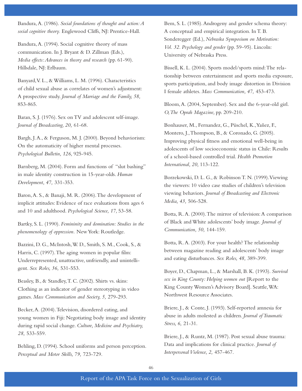Bandura,A. (1986). *Social foundations of thought and action:A social cognitive theory.* Englewood Cliffs, NJ: Prentice-Hall.

Bandura,A. (1994). Social cognitive theory of mass communication. In J. Bryant & D. Zillman (Eds.), *Media effects:Advances in theory and research* (pp. 61-90). Hillsdale, NJ: Erlbaum.

Banyard,V. L., & Williams, L. M. (1996). Characteristics of child sexual abuse as correlates of women's adjustment: A prospective study. *Journal of Marriage and the Family, 58,* 853-865.

Baran, S. J. (1976). Sex on TV and adolescent self-image. *Journal of Broadcasting, 20,* 61-68.

Bargh, J.A., & Ferguson, M. J. (2000). Beyond behaviorism: On the automaticity of higher mental processes. *Psychological Bulletin, 126,* 925-945.

Barnberg, M. (2004). Form and functions of "slut bashing" in male identity construction in 15-year-olds. *Human Development, 47,* 331-353.

Baron,A. S., & Banaji, M. R. (2006).The development of implicit attitudes: Evidence of race evaluations from ages 6 and 10 and adulthood. *Psychological Science, 17,* 53-58.

Bartky, S. L. (1990). *Femininity and domination: Studies in the phenomenology of oppression.* New York: Routledge.

Bazzini, D. G., McIntosh,W. D., Smith, S. M., Cook, S., & Harris, C. (1997).The aging women in popular film: Underrepresented, unattractive, unfriendly, and unintelligent. *Sex Roles, 36,* 531-553.

Beasley, B., & Standley,T. C. (2002). Shirts vs. skins: Clothing as an indicator of gender stereotyping in video games. *Mass Communication and Society, 5,* 279-293.

Becker,A. (2004).Television, disordered eating, and young women in Fiji: Negotiating body image and identity during rapid social change. *Culture, Medicine and Psychiatry, 28,* 533-559.

Behling, D. (1994). School uniforms and person perception. *Perceptual and Motor Skills, 79,* 723-729.

Bem, S. L. (1985). Androgeny and gender schema theory: A conceptual and empirical integration. In T. B. Sonderegger (Ed.), *Nebraska Symposium on Motivation: Vol. 32. Psychology and gender* (pp. 59–95)*.* Lincoln: University of Nebraska Press.

Bissell, K. L. (2004). Sports model/sports mind:The relationship between entertainment and sports media exposure, sports participation, and body image distortion in Division I female athletes. *Mass Communication, 47,* 453-473.

Bloom,A. (2004, September). Sex and the 6-year-old girl. *O,The Oprah Magazine,* pp. 209-210.

Bonhauser, M., Fernandez, G., Püschel, K.,Yañez, F., Montero, J.,Thompson, B., & Coronado, G. (2005). Improving physical fitness and emotional well-being in adolescents of low socioeconomic status in Chile: Results of a school-based controlled trial. *Health Promotion International, 20,* 113-122.

Borzekowski, D. L. G., & Robinson T. N. (1999).Viewing the viewers: 10 video case studies of children's television viewing behaviors. *Journal of Broadcasting and Electronic Media, 43,* 506-528.

Botta, R.A. (2000). The mirror of television: A comparison of Black and White adolescents' body image. *Journal of Communication, 50,* 144-159.

Botta, R.A. (2003). For your health? The relationship between magazine reading and adolescents' body image and eating disturbances. *Sex Roles, 48,* 389-399.

Boyer, D., Chapman, L., & Marshall, B. K. (1993). *Survival sex in King County: Helping women out* [Report to the King County Women's Advisory Board]. Seattle,WA: Northwest Resource Associates.

Briere, J., & Conte, J. (1993). Self-reported amnesia for abuse in adults molested as children. *Journal of Traumatic Stress, 6,* 21-31.

Briere, J., & Runtz, M. (1987). Post sexual abuse trauma: Data and implications for clinical practice. *Journal of Interpersonal Violence, 2,* 457-467.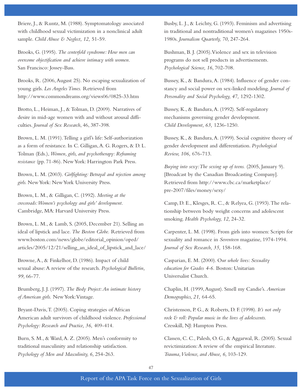Briere, J., & Runtz, M. (1988). Symptomatology associated with childhood sexual victimization in a nonclinical adult sample. *Child Abuse & Neglect, 12,* 51-59.

Brooks, G. (1995). *The centerfold syndrome: How men can overcome objectification and achieve intimacy with women.* San Francisco: Jossey-Bass.

Brooks, R. (2006,August 25). No escaping sexualization of young girls. *Los Angeles Times.* Retrieved from http://www.commondreams.org/views06/0825-33.htm

Brotto, L., Heiman, J., & Tolman, D. (2009). Narratives of desire in mid-age women with and without arousal difficulties. *Journal of Sex Research*, 46, 387-398.

Brown, L. M. (1991). Telling a girl's life: Self-authorization as a form of resistance. In C. Gilligan,A. G. Rogers, & D. L. Tolman (Eds.), *Women, girls, and psychotherapy: Reframing resistance* (pp. 71-86). New York: Harrington Park Press.

Brown, L. M. (2003). *Girlfighting: Betrayal and rejection among girls.* New York: New York University Press.

Brown, L. M., & Gilligan, C. (1992). *Meeting at the crossroads:Women's psychology and girls' development.* Cambridge, MA: Harvard University Press.

Brown, L. M., & Lamb, S. (2005, December 21). Selling an ideal of lipstick and lace. *The Boston Globe.* Retrieved from [www.boston.com/news/globe/editorial\\_opinion/oped/](www.boston.com/news/globe/editorial_opinion/oped/articles/2005/12/21/selling_an_ideal_of_lipstick_and_lace/) [articles/2005/12/21/selling\\_an\\_ideal\\_of\\_lipstick\\_and\\_lace/](www.boston.com/news/globe/editorial_opinion/oped/articles/2005/12/21/selling_an_ideal_of_lipstick_and_lace/)

Browne,A., & Finkelhor, D. (1986). Impact of child sexual abuse:A review of the research. *Psychological Bulletin, 99,* 66-77.

Brumberg, J. J. (1997).*The Body Project:An intimate history of American girls.* New York:Vintage.

Bryant-Davis,T. (2005). Coping strategies of African American adult survivors of childhood violence. *Professional Psychology: Research and Practice, 36,* 409-414.

Burn, S. M., & Ward,A. Z. (2005). Men's conformity to traditional masculinity and relationship satisfaction. *Psychology of Men and Masculinity, 6,* 254-263.

Busby, L. J., & Leichty, G. (1993). Feminism and advertising in traditional and nontraditional women's magazines 1950s-1980s. *Journalism Quarterly, 70,* 247-264.

Bushman, B. J. (2005).Violence and sex in television programs do not sell products in advertisements. *Psychological Science, 16,* 702-708.

Bussey, K., & Bandura,A. (1984). Influence of gender constancy and social power on sex-linked modeling. *Journal of Personality and Social Psychology, 47,* 1292-1302.

Bussey, K., & Bandura,A. (1992). Self-regulatory mechanisms governing gender development. *Child Development, 63,* 1236-1250.

Bussey, K., & Bandura,A. (1999). Social cognitive theory of gender development and differentiation. *Psychological Review, 106,* 676-713.

*Buying into sexy:The sexing up of teens.* (2005, January 9). [Broadcast by the Canadian Broadcasting Company]. Retrieved from [http://www.cbc.ca/marketplace/](http://www.cbc.ca/marketplace/pre-2007/files/money/sexy/) [pre-2007/files/money/sexy/](http://www.cbc.ca/marketplace/pre-2007/files/money/sexy/)

Camp, D. E., Klesges, R. C., & Relyea, G. (1993).The relationship between body weight concerns and adolescent smoking. *Health Psychology, 12,* 24-32.

Carpenter, L. M. (1998). From girls into women: Scripts for sexuality and romance in *Seventeen* magazine, 1974-1994. *Journal of Sex Research, 35,* 158-168.

Casparian, E. M. (2000). O*ur whole lives: Sexuality education for Grades 4-6.* Boston: Unitarian Universalist Church.

Chaplin, H. (1999,August). Smell my Candie's. *American Demographics, 21,* 64-65.

Christenson, P. G., & Roberts, D. F. (1998). *It's not only rock & roll: Popular music in the lives of adolescents.* Cresskill, NJ: Hampton Press.

Classen, C. C., Palesh, O. G., & Aggarwal, R. (2005). Sexual revictimization:A review of the empirical literature. *Trauma,Violence, and Abuse, 6,* 103-129.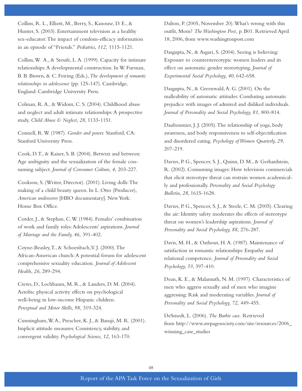Collins, R. L., Elliott, M., Berry, S., Kanouse, D. E., & Hunter, S. (2003). Entertainment television as a healthy sex-educator:The impact of condom-efficacy information in an episode of "Friends." *Pediatrics, 112,* 1115-1121.

Collins,W. A., & Sroufe, L.A. (1999). Capacity for intimate relationships:A developmental construction. In W. Furman, B. B. Brown, & C. Feiring (Eds.),*The development of romantic relationships in adolescence* (pp. 125-147). Cambridge, England: Cambridge University Press.

Colman, R.A., & Widom, C. S. (2004). Childhood abuse and neglect and adult intimate relationships:A prospective study. *Child Abuse & Neglect, 28,* 1133-1151.

Connell, R.W. (1987). *Gender and power.* Stanford, CA: Stanford University Press.

Cook, D.T., & Kaiser, S. B. (2004). Betwixt and between: Age ambiguity and the sexualization of the female consuming subject. *Journal of Consumer Culture, 4,* 203-227.

Cookson, S. (Writer, Director). (2001). Living dolls:The making of a child beauty queen. In L. Otto (Producer), *American undercover* [HBO documentary]. New York: Home Box Office.

Corder, J., & Stephan, C.W. (1984). Females' combination of work and family roles:Adolescents' aspirations. *Journal of Marriage and the Family, 46,* 391-402.

Coyne-Beasley,T., & Schoenbach,V. J. (2000).The African-American church:A potential forum for adolescent comprehensive sexuality education. *Journal of Adolescent Health, 26,* 289-294.

Crews, D., Lochbaum, M. R., & Landers, D. M. (2004). Aerobic physical activity effects on psychological well-being in low-income Hispanic children. *Perceptual and Motor Skills, 98,* 319-324.

Cunningham,W.A., Preacher, K. J., & Banaji, M. R. (2001). Implicit attitude measures: Consistency, stability, and convergent validity. *Psychological Science, 12,* 163-170.

Dalton, P. (2005, November 20).What's wrong with this outfit, Mom? *The Washington Post,* p. B01. Retrieved April 18, 2006, from www.washingtonpost.com

Dasgupta, N., & Asgari, S. (2004). Seeing is believing: Exposure to counterstereotypic women leaders and its effect on automatic gender stereotyping. *Journal of Experimental Social Psychology, 40,* 642-658.

Dasgupta, N., & Greenwald,A. G. (2001). On the malleability of automatic attitudes: Combating automatic prejudice with images of admired and disliked individuals. *Journal of Personality and Social Psychology, 81,* 800-814.

Daubenmier, J. J. (2005).The relationship of yoga, body awareness, and body responsiveness to self-objectification and disordered eating. *Psychology of Women Quarterly, 29,* 207-219.

Davies, P. G., Spencer, S. J., Quinn, D. M., & Gerhardstein, R. (2002). Consuming images: How television commercials that elicit stereotype threat can restrain women academically and professionally. *Personality and Social Psychology Bulletin, 28,* 1615-1628. .

Davies, P. G., Spencer, S. J., & Steele, C. M. (2005). Clearing the air: Identity safety moderates the effects of stereotype threat on women's leadership aspirations. *Journal of Personality and Social Psychology, 88,* 276-287.

Davis, M. H., & Oathout, H.A. (1987). Maintenance of satisfaction in romantic relationships: Empathy and relational competence. *Journal of Personality and Social Psychology, 53,* 397-410.

Dean, K. E., & Malamuth, N. M. (1997). Characteristics of men who aggress sexually and of men who imagine aggressing: Risk and moderating variables. *Journal of Personality and Social Psychology, 72,* 449-455.

DeSmedt, L. (2006). *The Barbie case.* Retrieved from [http://www.awpagesociety.com/site/resources/2006\\_](http://www.awpagesociety.com/site/resources/2006_winning_case_studies) [winning\\_case\\_studies](http://www.awpagesociety.com/site/resources/2006_winning_case_studies)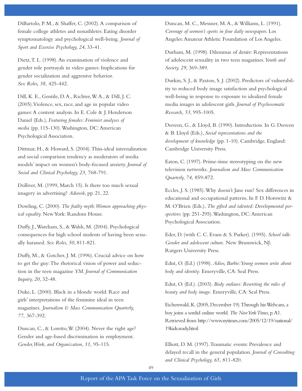DiBartolo, P. M., & Shaffer, C. (2002). A comparison of female college athletes and nonathletes: Eating disorder symptomatology and psychological well-being. *Journal of Sport and Exercise Psychology, 24,* 33-41.

Dietz,T. L. (1998).An examination of violence and gender role portrayals in video games: Implications for gender socialization and aggressive behavior. *Sex Roles, 38,* 425-442.

Dill, K. E., Gentile, D.A., Richter,W.A., & Dill, J. C. (2005).Violence, sex, race, and age in popular video games:A content analysis. In E. Cole & J. Henderson Daniel (Eds.), *Featuring females: Feminist analyses of media* (pp. 115-130).Washington, DC:American Psychological Association.

Dittmar, H., & Howard, S. (2004).Thin-ideal internalization and social comparison tendency as moderators of media models' impact on women's body-focused anxiety. *Journal of Social and Clinical Psychology, 23,* 768-791.

Dolliver, M. (1999, March 15). Is there too much sexual imagery in advertising? *Adweek,* pp. 21, 22.

Dowling, C. (2000).*The frailty myth:Women approaching physical equality.* New York: Random House.

Duffy, J.,Wareham, S., & Walsh, M. (2004). Psychological consequences for high school students of having been sexually harassed. *Sex Roles, 50,* 811-821.

Duffy, M., & Gotcher, J. M. (1996). Crucial advice on how to get the guy:The rhetorical vision of power and seduction in the teen magazine *YM. Journal of Communication Inquiry, 20,* 32-48.

Duke, L. (2000). Black in a blonde world: Race and girls' interpretations of the feminine ideal in teen magazines. *Journalism & Mass Communication Quarterly, 77,* 367-392.

Duncan, C., & Loretto,W. (2004). Never the right age? Gender and age-based discrimination in employment. *Gender,Work, and Organization, 11,* 95-115.

Duncan, M. C., Messner, M.A., & Williams, L. (1991). *Coverage of women's sports in four daily newspapers.* Los Angeles:Amateur Athletic Foundation of Los Angeles.

Durham, M. (1998). Dilemmas of desire: Representations of adolescent sexuality in two teen magazines.*Youth and Society, 29,* 369-389.

Durkin, S. J., & Paxton, S. J. (2002). Predictors of vulnerability to reduced body image satisfaction and psychological well-being in response to exposure to idealized female media images in adolescent girls. *Journal of Psychosomatic Research, 53,* 995-1005.

Duveen, G., & Lloyd, B. (1990). Introduction. In G. Duveen & B. Lloyd (Eds.), *Social representations and the development of knowledge* (pp. 1-10). Cambridge, England: Cambridge University Press.

Eaton, C. (1997). Prime-time stereotyping on the new television networks. *Journalism and Mass Communication Quarterly, 74,* 859-872.

Eccles, J. S. (1985).Why doesn't Jane run? Sex differences in educational and occupational patterns. In F. D. Horowitz & M. O'Brien (Eds.), *The gifted and talented: Developmental perspectives* (pp. 251-295).Washington, DC:American Psychological Association.

Eder, D. (with C. C. Evans & S. Parker). (1995). *School talk: Gender and adolescent culture.* New Brunswick, NJ: Rutgers University Press.

Edut, O. (Ed.) (1998). *Adios, Barbie:Young women write about body and identity.* Emeryville, CA: Seal Press.

Edut, O. (Ed.). (2003). *Body outlaws: Rewriting the rules of beauty and body image.* Emeryville, CA: Seal Press.

Eichenwald, K. (2005, December 19).Through his Webcam, a boy joins a sordid online world.*The New York Times,* p.A1. Retrieved from [http://www.nytimes.com/2005/12/19/national/](http://www.nytimes.com/2005/12/19/national/19kids.ready.html) [19kids.ready.html](http://www.nytimes.com/2005/12/19/national/19kids.ready.html)

Elliott, D. M. (1997).Traumatic events: Prevalence and delayed recall in the general population. *Journal of Consulting and Clinical Psychology, 65,* 811-820.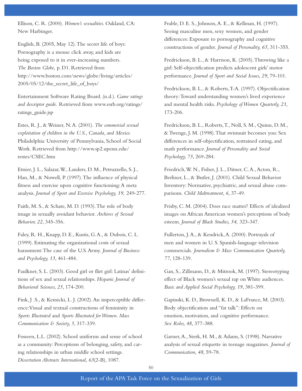Ellison, C. R. (2000). *Women's sexualities.* Oakland, CA: New Harbinger.

English, B. (2005, May 12).The secret life of boys: Pornography is a mouse click away, and kids are being exposed to it in ever-increasing numbers. *The Boston Globe,* p. D1. Retrieved from [http://www.boston.com/news/globe/living/articles/](http://www.boston.com/news/globe/living/articles/2005/05/12/the_secret_life_of_boys/) [2005/05/12/the\\_secret\\_life\\_of\\_boys/](http://www.boston.com/news/globe/living/articles/2005/05/12/the_secret_life_of_boys/)

Entertainment Software Rating Board. (n.d.). *Game ratings and descriptor guide.* Retrieved from [www.esrb.org/ratings/](www.esrb.org/ratings/ratings_guide.jsp) [ratings\\_guide.jsp](www.esrb.org/ratings/ratings_guide.jsp)

Estes, R. J., & Weiner, N.A. (2001). *The commercial sexual exploitation of children in the U.S., Canada, and Mexico.* Philadelphia: University of Pennsylvania, School of Social Work. Retrieved from [http://www.sp2.upenn.edu/](http://www.sp2.upenn.edu/restes/CSEC.htm) [restes/CSEC.htm](http://www.sp2.upenn.edu/restes/CSEC.htm)

Etnier, J. L., Salazar,W., Landers, D. M., Petruzzello, S. J., Han, M., & Nowell, P. (1997).The influence of physical fitness and exercise upon cognitive functioning:A meta analysis. *Journal of Sport and Exercise Psychology, 19,* 249-277.

Faith, M. S., & Schare, M. D. (1993).The role of body image in sexually avoidant behavior. *Archives of Sexual Behavior, 22,* 345-356.

Faley, R. H., Knapp, D. E., Kustis, G.A., & Dubois, C. L. (1999). Estimating the organizational costs of sexual harassment:The case of the U.S.Army. *Journal of Business and Psychology, 13,* 461-484.

Faulkner, S. L. (2003). Good girl or flirt girl: Latinas' definitions of sex and sexual relationships. *Hispanic Journal of Behavioral Sciences, 25,* 174-200.

Fink, J .S., & Kensicki, L. J. (2002).An imperceptible difference:Visual and textual constructions of femininity in *Sports Illustrated* and *Sports Illustrated for Women. Mass Communication & Society, 5,* 317-339.

Fosseen, L.L. (2002). School uniforms and sense of school as a community: Perceptions of belonging, safety, and caring relationships in urban middle school settings. *Dissertation Abstracts International, 63*(2-B), 1087.

Frable, D. E. S., Johnson,A. E., & Kellman, H. (1997). Seeing masculine men, sexy women, and gender differences: Exposure to pornography and cognitive constructions of gender. *Journal of Personality, 65,* 311-355.

Fredrickson, B. L., & Harrison, K. (2005).Throwing like a girl: Self-objectification predicts adolescent girls' motor performance. *Journal of Sport and Social Issues, 29,* 79-101.

Fredrickson, B. L., & Roberts,T-A. (1997). Objectification theory:Toward understanding women's lived experience and mental health risks. *Psychology of Women Quarterly, 21,* 173-206.

Fredrickson, B. L., Roberts,T., Noll, S. M., Quinn, D. M., & Twenge, J. M. (1998).That swimsuit becomes you: Sex differences in self-objectification, restrained eating, and math performance. *Journal of Personality and Social Psychology, 75,* 269-284.

Friedrich,W. N., Fisher, J. L., Ditner, C.A.,Acton, R., Berliner, L., & Butler, J. (2001). Child Sexual Behavior Inventory: Normative, psychiatric, and sexual abuse comparisons. *Child Maltreatment, 6,* 37-49.

Frisby, C. M. (2004). Does race matter? Effects of idealized images on African American women's perceptions of body esteem. *Journal of Black Studies, 34,* 323-347.

Fullerton, J.A., & Kendrick,A. (2000). Portrayals of men and women in U. S. Spanish-language television commercials. *Journalism & Mass Communication Quarterly, 77,* 128-139.

Gan, S., Zillmann, D., & Mitrook, M. (1997). Stereotyping effect of Black women's sexual rap on White audiences. *Basic and Applied Social Psychology, 19,* 381-399.

Gapinski, K. D., Brownell, K. D., & LaFrance, M. (2003). Body objectification and "fat talk": Effects on emotion, motivation, and cognitive performance. *Sex Roles, 48,* 377-388.

Garner,A., Sterk, H. M., & Adams, S. (1998). Narrative analysis of sexual etiquette in teenage magazines. *Journal of Communication, 48,* 59-78.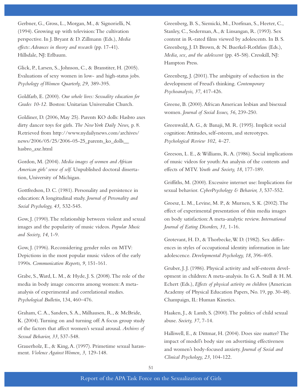Gerbner, G., Gross, L., Morgan, M., & Signorielli, N. (1994). Growing up with television:The cultivation perspective. In J. Bryant & D. Zillmann (Eds.), *Media effects:Advances in theory and research* (pp. 17-41). Hillsdale, NJ: Erlbaum.

Glick, P., Larsen, S., Johnson, C., & Branstiter, H. (2005). Evaluations of sexy women in low- and high-status jobs. *Psychology of Women Quarterly, 29,* 389-395.

Goldfarb, E. (2000). *Our whole lives: Sexuality education for Grades 10-12.* Boston: Unitarian Universalist Church.

Goldiner, D. (2006, May 25). Parents KO dolls: Hasbro axes dirty dancer toys for girls. *The New York Daily News,* p. 8. Retrieved from [http://www.nydailynews.com/archives/](http://www.nydailynews.com/archives/news/2006/05/25/2006-05-25_parents_ko_dolls__hasbro_axe.html) [news/2006/05/25/2006-05-25\\_parents\\_ko\\_dolls\\_\\_](http://www.nydailynews.com/archives/news/2006/05/25/2006-05-25_parents_ko_dolls__hasbro_axe.html) [hasbro\\_axe.html](http://www.nydailynews.com/archives/news/2006/05/25/2006-05-25_parents_ko_dolls__hasbro_axe.html)

Gordon, M. (2004). *Media images of women and African American girls' sense of self.* Unpublished doctoral dissertation, University of Michigan.

Gottfredson, D. C. (1981). Personality and persistence in education:A longitudinal study. *Journal of Personality and Social Psychology, 43,* 532-545.

Gow, J. (1990).The relationship between violent and sexual images and the popularity of music videos. *Popular Music and Society, 14,* 1-9.

Gow, J. (1996). Reconsidering gender roles on MTV: Depictions in the most popular music videos of the early 1990s. *Communication Reports, 9,* 151-161.

Grabe, S.,Ward, L. M., & Hyde, J. S. (2008).The role of the media in body image concerns among women:A metaanalysis of experimental and correlational studies. *Psychological Bulletin*, 134, 460–476.

Graham, C.A., Sanders, S.A., Milhausen, R., & McBride, K. (2004).Turning on and turning off:A focus group study of the factors that affect women's sexual arousal. *Archives of Sexual Behavior, 33,* 537-548.

Grauerholz, E., & King,A. (1997). Primetime sexual harassment. *Violence Against Women, 3,* 129-148.

Greenberg, B. S., Siemicki, M., Dorfman, S., Heeter, C., Stanley, C., Soderman,A., & Linsangan, R. (1993). Sex content in R-rated films viewed by adolescents. In B. S. Greenberg, J. D. Brown, & N. Buerkel-Rothfuss (Eds.), *Media, sex, and the adolescent* (pp. 45-58). Cresskill, NJ: Hampton Press.

Greenberg, J. (2001).The ambiguity of seduction in the development of Freud's thinking. *Contemporary Psychoanalysis, 37,* 417-426.

Greene, B. (2000).African American lesbian and bisexual women. *Journal of Social Issues, 56,* 239-250.

Greenwald,A. G., & Banaji, M. R. (1995). Implicit social cognition:Attitudes, self-esteem, and stereotypes. *Psychological Review 102,* 4–27.

Greeson, L. E., & Williams, R.A. (1986). Social implications of music videos for youth:An analysis of the contents and effects of MTV. *Youth and Society, 18,* 177-189.

Griffiths, M. (2000). Excessive internet use: Implications for sexual behavior. *CyberPsychology & Behavior, 3,* 537-552.

Groesz, L. M., Levine, M. P., & Murnen, S. K. (2002).The effect of experimental presentation of thin media images on body satisfaction:A meta-analytic review. *International Journal of Eating Disorders, 31,* 1-16.

Grotevant, H. D., & Thorbecke,W. D. (1982). Sex differences in styles of occupational identity information in late adolescence. *Developmental Psychology, 18,* 396-405.

Gruber, J. J. (1986). Physical activity and self-esteem development in children:A meta-analysis. In G.A. Stull & H. M. Echert (Eds.), *Effects of physical activity on children* (American Academy of Physical Education Papers, No. 19, pp. 30-48). Champaign, IL: Human Kinetics.

Haaken, J., & Lamb, S. (2000).The politics of child sexual abuse. *Society, 37,* 7-14.

Halliwell, E., & Dittmar, H. (2004). Does size matter? The impact of model's body size on advertising effectiveness and women's body-focused anxiety. *Journal of Social and Clinical Psychology, 23,* 104-122.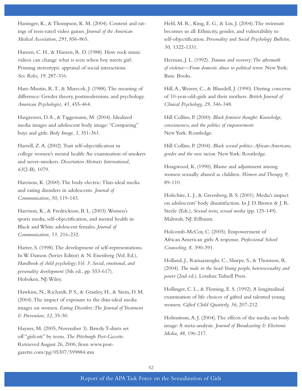Haninger, K., & Thompson, K. M. (2004). Content and ratings of teen-rated video games. *Journal of the American Medical Association, 291,* 856-865.

Hansen, C. H., & Hansen, R. D. (1988). How rock music videos can change what is seen when boy meets girl: Priming stereotypic appraisal of social interactions. *Sex Roles, 19,* 287-316.

Hare-Mustin, R.T., & Marecek, J. (1988).The meaning of difference: Gender theory, postmodernism, and psychology. *American Psychologist, 43,* 455-464.

Hargreaves, D.A., & Tiggemann, M. (2004). Idealized media images and adolescent body image:"Comparing" boys and girls. *Body Image, 1,* 351-361.

Harrell, Z.A. (2002).Trait self-objectification in college women's mental health:An examination of smokers and never-smokers. *Dissertation Abstracts International, 63*(2-B), 1079.

Harrison, K. (2000).The body electric:Thin-ideal media and eating disorders in adolescents. *Journal of Communication, 50,* 119-143.

Harrison, K., & Fredrickson, B. L. (2003).Women's sports media, self-objectification, and mental health in Black and White adolescent females. *Journal of Communication, 53,* 216-232.

Harter, S. (1998).The development of self-representations. In W. Damon (Series Editor) & N. Eisenberg (Vol. Ed.), *Handbook of child psychology:Vol. 3. Social, emotional, and personality development* (5th ed., pp. 553-617). Hoboken, NJ:Wiley.

Hawkins, N., Richards, P. S., & Granley, H., & Stein, D. M. (2004).The impact of exposure to the thin-ideal media images on women. *Eating Disorders:The Journal of Treatment & Prevention, 12,* 35-50.

Haynes, M. (2005, November 3). Bawdy T-shirts set off "girlcott" by teens. *The Pittsburgh Post-Gazette.* Retrieved August 26, 2006, from www.postgazette.com/pg/05307/599884.stm

Hebl, M. R., King, E. G., & Lin, J. (2004).The swimsuit becomes us all: Ethnicity, gender, and vulnerability to self-objectification. *Personality and Social Psychology Bulletin, 30,* 1322-1331.

Herman, J. L. (1992). *Trauma and recovery:The aftermath of violence—From domestic abuse to political terror.* New York: Basic Books.

Hill,A.,Weaver, C., & Blundell, J. (1990). Dieting concerns of 10-year-old-girls and their mothers. *British Journal of Clinical Psychology, 29,* 346-348.

Hill Collins, P. (2000). *Black feminist thought: Knowledge, consciousness, and the politics of empowerment.* New York: Routledge.

Hill Collins, P. (2004). *Black sexual politics:African-Americans, gender and the new racism.* New York: Routledge.

Hoagwood, K. (1990). Blame and adjustment among women sexually abused as children. *Women and Therapy, 9,* 89-110.

Hofschire, L. J., & Greenberg, B. S. (2001). Media's impact on adolescents' body dissatisfaction. In J. D. Brown & J. R. Steele (Eds.), *Sexual teens, sexual media* (pp. 125-149). Mahwah, NJ: Erlbaum.

Holcomb-McCoy, C. (2005). Empowerment of African American girls:A response. *Professional School Counseling, 8,* 390-391.

Holland, J., Ramazanoglu, C., Sharpe, S., & Thomson, R. (2004).*The male in the head:Young people, heterosexuality and power* (2nd ed.). London:Tufnell Press.

Hollinger, C. L., & Fleming, E. S. (1992).A longitudinal examination of life choices of gifted and talented young women. *Gifted Child Quarterly, 36,* 207-212.

Holmstrom,A. J. (2004).The effects of the media on body image:A meta-analysis. *Journal of Broadcasting & Electronic Media, 48,* 196-217.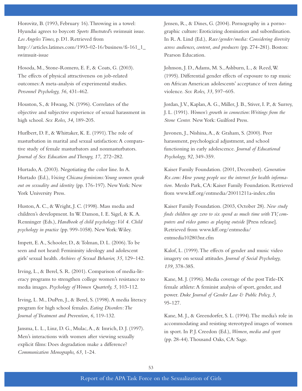Horovitz, B. (1993, February 16).Throwing in a towel: Hyundai agrees to boycott *Sports Illustrated*'s swimsuit issue. *Los Angeles Times,* p. D1. Retrieved from [http://articles.latimes.com/1993-02-16/business/fi-161\\_1\\_](http://articles.latimes.com/1993-02-16/business/fi-161_1_swimsuit-issue) [swimsuit-issue](http://articles.latimes.com/1993-02-16/business/fi-161_1_swimsuit-issue)

Hosoda, M., Stone-Romero, E. F., & Coats, G. (2003). The effects of physical attractiveness on job-related outcomes:A meta-analysis of experimental studies. *Personnel Psychology, 56,* 431-462.

Houston, S., & Hwang, N. (1996). Correlates of the objective and subjective experience of sexual harassment in high school. *Sex Roles, 34,* 189-205.

Hurlbert, D. F., & Whittaker, K. E. (1991).The role of masturbation in marital and sexual satisfaction:A comparative study of female masturbators and nonmasturbators. *Journal of Sex Education and Therapy, 17,* 272–282.

Hurtado,A. (2003). Negotiating the color line. In A. Hurtado (Ed.),*Voicing Chicana feminisms:Young women speak out on sexuality and identity* (pp. 176-197). New York: New York University Press.

Huston,A. C., & Wright, J. C. (1998). Mass media and children's development. In W. Damon, I. E. Sigel, & K.A. Renninger (Eds.), *Handbook of child psychology:Vol 4. Child psychology in practice* (pp. 999-1058). New York:Wiley.

Impett, E.A., Schooler, D., & Tolman, D. L. (2006).To be seen and not heard: Femininity ideology and adolescent girls' sexual health. *Archives of Sexual Behavior, 35,* 129–142.

Irving, L., & Berel, S. R. (2001). Comparison of media-literacy programs to strengthen college women's resistance to media images. *Psychology of Women Quarterly, 5,* 103-112.

Irving, L. M., DuPen, J., & Berel, S. (1998).A media literacy program for high school females. *Eating Disorders:The Journal of Treatment and Prevention, 6,* 119-132.

Jansma, L. L., Linz, D. G., Mulac,A., & Imrich, D. J. (1997). Men's interactions with women after viewing sexually explicit films: Does degradation make a difference? *Communication Monographs, 63,* 1-24.

Jensen, R., & Dines, G. (2004). Pornography in a pornographic culture: Eroticizing domination and subordination. In R.A. Lind (Ed.), *Race/gender/media: Considering diversity across audiences, content, and producers* (pp. 274-281). Boston: Pearson Education.

Johnson, J. D., Adams, M. S., Ashburn, L., & Reed, W. (1995). Differential gender effects of exposure to rap music on African American adolescents' acceptance of teen dating violence. *Sex Roles, 33,* 597–605.

Jordan, J.V., Kaplan,A. G., Miller, J. B., Stiver, I. P., & Surrey, J. L. (1991). *Women's growth in connection:Writings from the Stone Center.* New York: Guilford Press.

Juvonen, J., Nishina,A., & Graham, S. (2000). Peer harassment, psychological adjustment, and school functioning in early adolescence. *Journal of Educational Psychology, 92,* 349-359.

Kaiser Family Foundation. (2001, December). *Generation Rx.com: How young people use the internet for health information.* Menlo Park, CA: Kaiser Family Foundation. Retrieved from<www.kff.org/entmedia/20011211a-index.cfm>

Kaiser Family Foundation. (2003, October 28). *New study finds children age zero to six spend as much time with TV, computers and video games as playing outside* [Press release]. Retrieved from [www.kff.org/entmedia/](www.kff.org/entmedia/entmedia102803nr.cfm) [entmedia102803nr.cfm](www.kff.org/entmedia/entmedia102803nr.cfm)

Kalof, L. (1999).The effects of gender and music video imagery on sexual attitudes. *Journal of Social Psychology, 139,* 378-385.

Kane, M. J. (1996). Media coverage of the post Title-IX female athlete:A feminist analysis of sport, gender, and power. *Duke Journal of Gender Law & Public Policy, 3,* 95-127.

Kane, M. J., & Greendorfer, S. L. (1994).The media's role in accommodating and resisting stereotyped images of women in sport. In P. J. Creedon (Ed.), *Women, media and sport*  (pp. 28-44).Thousand Oaks, CA: Sage.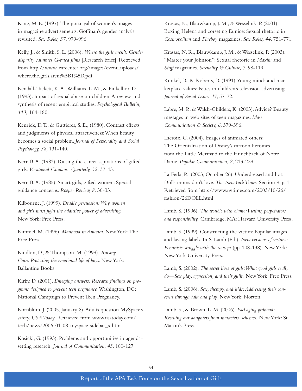Kang, M-E. (1997).The portrayal of women's images in magazine advertisements: Goffman's gender analysis revisited. *Sex Roles, 37,* 979-996.

Kelly, J., & Smith, S. L. (2006). *Where the girls aren't: Gender disparity saturates G-rated films* [Research brief]. Retrieved from [http://www.learcenter.org/images/event\\_uploads/](http://www.learcenter.org/images/event_uploads/where.the.girls.arent%5B1%5D.pdf) [where.the.girls.arent%5B1%5D.pdf](http://www.learcenter.org/images/event_uploads/where.the.girls.arent%5B1%5D.pdf)

Kendall-Tackett, K.A.,Williams, L. M., & Finkelhor, D. (1993). Impact of sexual abuse on children:A review and synthesis of recent empirical studies. *Psychological Bulletin, 113,* 164-180.

Kenrick, D.T., & Guttieres, S. E., (1980). Contrast effects and judgments of physical attractiveness: When beauty becomes a social problem. *Journal of Personality and Social Psychology, 38,* 131-140.

Kerr, B.A. (1983). Raising the career aspirations of gifted girls. *Vocational Guidance Quarterly, 32,* 37-43.

Kerr, B.A. (1985). Smart girls, gifted women: Special guidance concerns. *Roeper Review, 8,* 30-33.

Kilbourne, J. (1999). *Deadly persuasion:Why women and girls must fight the addictive power of advertising.* New York: Free Press.

Kimmel, M. (1996). *Manhood in America.* New York:The Free Press.

Kindlon, D., & Thompson, M. (1999). *Raising Cain: Protecting the emotional life of boys.* New York: Ballantine Books.

Kirby, D. (2001). *Emerging answers: Research findings on programs designed to prevent teen pregnancy.* Washington, DC: National Campaign to Prevent Teen Pregnancy.

Kornblum, J. (2005, January 8).Adults question MySpace's safety. *USA Today.* Retrieved from www.usatoday.com/ tech/news/2006-01-08-myspace-sidebar\_x.htm

Kosicki, G. (1993). Problems and opportunities in agendasetting research. *Journal of Communication, 43,* 100-127

Krassas, N., Blauwkamp, J. M., & Wesselink, P. (2001). Boxing Helena and corseting Eunice: Sexual rhetoric in *Cosmopolitan* and *Playboy* magazines. *Sex Roles, 44,* 751-771.

Krassas, N. R., Blauwkamp, J. M., & Wesselink, P. (2003). "Master your Johnson": Sexual rhetoric in *Maxim* and *Stuff* magazines. *Sexuality & Culture, 7,* 98-119.

Kunkel, D., & Roberts, D. (1991).Young minds and marketplace values: Issues in children's television advertising. *Journal of Social Issues, 47,* 57-72.

Labre, M. P., & Walsh-Childers, K. (2003).Advice? Beauty messages in web sites of teen magazines. *Mass Communication & Society, 6,* 379-396.

Lacroix, C. (2004). Images of animated others: The Orientalization of Disney's cartoon heroines from the Little Mermaid to the Hunchback of Notre Dame. *Popular Communication, 2,* 213-229.

La Ferla, R. (2003, October 26). Underdressed and hot: Dolls moms don't love. *The New York Times,* Section 9, p. 1. Retrieved from [http://www.nytimes.com/2003/10/26/](http://www.nytimes.com/2003/10/26/fashion/26DOLL.html) [fashion/26DOLL.html](http://www.nytimes.com/2003/10/26/fashion/26DOLL.html)

Lamb, S. (1996). *The trouble with blame: Victims, perpetrators and responsibility.* Cambridge, MA: Harvard University Press.

Lamb, S. (1999). Constructing the victim: Popular images and lasting labels. In S. Lamb (Ed.), *New versions of victims: Feminists struggle with the concept* (pp. 108-138). New York: New York University Press.

Lamb, S. (2002). *The secret lives of girls:What good girls really do—Sex play, aggression, and their guilt.* New York: Free Press.

Lamb, S. (2006). Sex, therapy, and kids: Addressing their con*cerns through talk and play.* New York: Norton.

Lamb, S., & Brown, L. M. (2006). *Packaging girlhood: Rescuing our daughters from marketers' schemes.* New York: St. Martin's Press.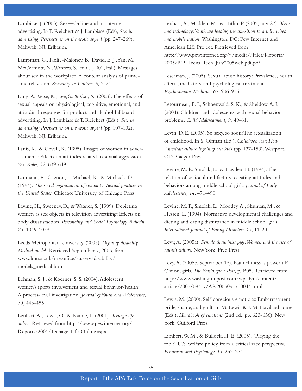Lambiase, J. (2003). Sex—Online and in Internet advertising. In T. Reichert & J. Lambiase (Eds), *Sex in advertising: Perspectives on the erotic appeal* (pp. 247-269). Mahwah, NJ: Erlbaum.

Lampman, C., Rolfe-Maloney, B., David, E. J.,Yan, M., McCermott, N.,Winters, S., et al. (2002, Fall). Messages about sex in the workplace:A content analysis of primetime television. *Sexuality & Culture, 6,* 3-21.

Lang,A.,Wise, K., Lee, S., & Cai, X. (2003).The effects of sexual appeals on physiological, cognitive, emotional, and attitudinal responses for product and alcohol billboard advertising. In J. Lambiase & T. Reichert (Eds.), *Sex in advertising: Perspectives on the erotic appeal* (pp. 107-132). Mahwah, NJ: Erlbaum.

Lanis, K., & Covell, K. (1995). Images of women in advertisements: Effects on attitudes related to sexual aggression. *Sex Roles, 32,* 639-649.

Laumann, E., Gagnon, J., Michael, R., & Michaels, D. (1994). *The social organization of sexuality: Sexual practices in the United States.* Chicago: University of Chicago Press.

Lavine, H., Sweeney, D., & Wagner, S. (1999). Depicting women as sex objects in television advertising: Effects on body dissatisfaction. *Personality and Social Psychology Bulletin, 25,* 1049-1058.

Leeds Metropolitan University. (2005). *Defining disability— Medical model.* Retrieved September 7, 2006, from www.lmu.ac.uk/metoffice/stuserv/disability/ models\_medical.htm

Lehman, S. J., & Koerner, S. S. (2004). Adolescent women's sports involvement and sexual behavior/health: A process-level investigation. *Journal of Youth and Adolescence, 33,* 443-455.

Lenhart,A., Lewis, O., & Rainie, L. (2001). *Teenage life online*. Retrieved from [http://www.pewinternet.org/](http://www.pewinternet.org/Reports/2001/Teenage-Life-Online.aspx) [Reports/2001/Teenage-Life-Online.aspx](http://www.pewinternet.org/Reports/2001/Teenage-Life-Online.aspx)

Lenhart,A., Madden, M., & Hitlin, P. (2005, July 27). *Teens and technology:Youth are leading the transition to a fully wired and mobile nation.* Washington, DC: Pew Internet and American Life Project. Retrieved from [http://www.pewinternet.org/~/media//Files/Reports/](http://www.pewinternet.org/~/media//Files/Reports/2005/PIP_Teens_Tech_July2005web.pdf.pdf) [2005/PIP\\_Teens\\_Tech\\_July2005web.pdf.pdf](http://www.pewinternet.org/~/media//Files/Reports/2005/PIP_Teens_Tech_July2005web.pdf.pdf)

Leserman, J. (2005). Sexual abuse history: Prevalence, health effects, mediators, and psychological treatment. *Psychosomatic Medicine, 67,* 906-915.

Letourneau, E. J., Schoenwald, S. K., & Sheidow,A. J. (2004). Children and adolescents with sexual behavior problems. *Child Maltreatment, 9,* 49-61.

Levin, D. E. (2005). So sexy, so soon:The sexualization of childhood. In S. Olfman (Ed.), *Childhood lost: How American culture is failing our kids* (pp. 137-153).Westport, CT: Praeger Press.

Levine, M. P., Smolak, L., & Hayden, H. (1994).The relation of sociocultural factors to eating attitudes and behaviors among middle school girls. *Journal of Early Adolescence, 14,* 471-490.

Levine, M. P., Smolak, L., Moodey,A., Shuman, M., & Hessen, L. (1994). Normative developmental challenges and dieting and eating disturbance in middle school girls. *International Journal of Eating Disorders, 15,* 11-20.

Levy,A. (2005a). *Female chauvinist pigs:Women and the rise of raunch culture.* New York: Free Press.

Levy,A. (2005b, September 18). Raunchiness is powerful? C'mon, girls.*The Washington Post,* p. B05. Retrieved from [http://www.washingtonpost.com/wp-dyn/content/](http://www.washingtonpost.com/wp-dyn/content/article/2005/09/17/AR2005091700044.html) [article/2005/09/17/AR2005091700044.html](http://www.washingtonpost.com/wp-dyn/content/article/2005/09/17/AR2005091700044.html)

Lewis, M. (2000). Self-conscious emotions: Embarrassment, pride, shame, and guilt. In M. Lewis & J. M. Haviland-Jones (Eds.), *Handbook of emotions* (2nd ed., pp. 623-636). New York: Guilford Press.

Limbert,W. M., & Bullock, H. E. (2005)."Playing the fool:" U.S. welfare policy from a critical race perspective. *Feminism and Psychology, 15,* 253-274.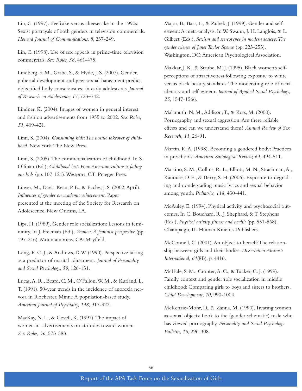Lin, C. (1997). Beefcake versus cheesecake in the 1990s: Sexist portrayals of both genders in television commercials. *Howard Journal of Communications, 8,* 237-249.

Lin, C. (1998). Use of sex appeals in prime-time television commercials. *Sex Roles, 38,* 461-475.

Lindberg, S. M., Grabe, S., & Hyde, J. S. (2007). Gender, pubertal development and peer sexual harassment predict objectified body consciousness in early adolescents. *Journal of Research on Adolescence, 17,* 723–742*.*

Lindner, K. (2004). Images of women in general interest and fashion advertisements from 1955 to 2002. *Sex Roles, 51,* 409-421.

Linn, S. (2004). *Consuming kids:The hostile takeover of childhood.* New York:The New Press.

Linn, S. (2005).The commercialization of childhood. In S. Olfman (Ed.), *Childhood lost: How American culture is failing our kids* (pp. 107-121).Westport, CT: Praeger Press.

Linver, M., Davis-Kean, P. E., & Eccles, J. S. (2002,April). *Influences of gender on academic achievement.* Paper presented at the meeting of the Society for Research on Adolescence, New Orleans, LA.

Lips, H. (1989). Gender role socialization: Lessons in femininity. In J. Freeman (Ed.), *Women:A feminist perspective* (pp. 197-216). Mountain View, CA: Mayfield.

Long, E. C. J., & Andrews, D.W. (1990). Perspective taking as a predictor of marital adjustment. *Journal of Personality and Social Psychology, 59,* 126-131.

Lucas,A. R., Beard, C. M., O'Fallon,W. M., & Kurland, L. T. (1991). 50-year trends in the incidence of anorexia nervosa in Rochester, Minn.:A population-based study. *American Journal of Psychiatry, 148,* 917-922.

MacKay, N. L., & Covell, K. (1997).The impact of women in advertisements on attitudes toward women. *Sex Roles, 36,* 573-583.

Major, B., Barr, L., & Zubek, J. (1999). Gender and selfesteem:A meta-analysis. In W. Swann, J. H. Langlois, & L. Gilbert (Eds.), *Sexism and stereotypes in modern society:The gender science of Janet Taylor Spence* (pp. 223-253). Washington, DC:American Psychological Association.

Makkar, J. K., & Strube, M. J. (1995). Black women's selfperceptions of attractiveness following exposure to white versus black beauty standards:The moderating role of racial identity and self-esteem. *Journal of Applied Social Psychology, 25,* 1547-1566.

Malamuth, N. M.,Addison,T., & Koss, M. (2000). Pornography and sexual aggression:Are there reliable effects and can we understand them? *Annual Review of Sex Research, 11,* 26-91.

Martin, K.A. (1998). Becoming a gendered body: Practices in preschools. *American Sociological Review, 63,* 494-511.

Martino, S. M., Collins, R. L., Elliott, M. N., Strachman,A., Kanouse, D. E., & Berry, S. H. (2006). Exposure to degrading and nondegrading music lyrics and sexual behavior among youth. *Pediatrics, 118,* 430-441.

McAuley, E. (1994). Physical activity and psychosocial outcomes. In C. Bouchard, R. J. Shephard, & T. Stephens (Eds.), *Physical activity, fitness and health* (pp. 551-568). Champaign, IL: Human Kinetics Publishers.

McConnell, C. (2001).An object to herself:The relationship between girls and their bodies. *Dissertation Abstracts International, 61*(8B), p. 4416.

McHale, S. M., Crouter,A. C., & Tucker, C. J. (1999). Family context and gender role socialization in middle childhood: Comparing girls to boys and sisters to brothers. *Child Development, 70,* 990-1004.

McKenzie-Mohr, D., & Zanna, M. (1990).Treating women as sexual objects: Look to the (gender schematic) male who has viewed pornography. *Personality and Social Psychology Bulletin, 16,* 296-308.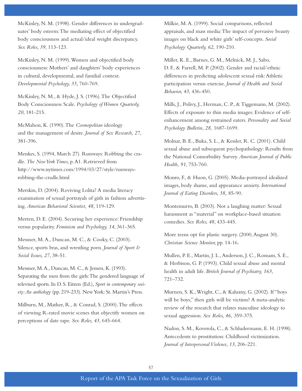McKinley, N. M. (1998). Gender differences in undergraduates' body esteem:The mediating effect of objectified body consciousness and actual/ideal weight discrepancy. *Sex Roles, 39,* 113-123.

McKinley, N. M. (1999).Women and objectified body consciousness: Mothers' and daughters' body experiences in cultural, developmental, and familial context. *Developmental Psychology, 35,* 760-769.

McKinley, N. M., & Hyde, J. S. (1996).The Objectified Body Consciousness Scale. *Psychology of Women Quarterly, 20,* 181-215.

McMahon, K. (1990).The *Cosmopolitan* ideology and the management of desire. *Journal of Sex Research, 27,* 381-396.

Menkes, S. (1994, March 27). Runways: Robbing the cradle. *The New York Times,* p.A1. Retrieved from [http://www.nytimes.com/1994/03/27/style/runways](http://www.nytimes.com/1994/03/27/style/runways-robbing-the-cradle.html)[robbing-the-cradle.html](http://www.nytimes.com/1994/03/27/style/runways-robbing-the-cradle.html)

Merskin, D. (2004). Reviving Lolita? A media literacy examination of sexual portrayals of girls in fashion advertising. *American Behavioral Scientist, 48,* 119-129.

Merten, D. E. (2004). Securing her experience: Friendship versus popularity. *Feminism and Psychology, 14,* 361-365.

Messner, M.A., Duncan, M. C., & Cooky, C. (2003). Silence, sports bras, and wrestling porn. *Journal of Sport & Social Issues, 27,* 38-51.

Messner, M.A., Duncan, M. C., & Jensen, K. (1993). Separating the men from the girls:The gendered language of televised sports. In D. S. Eitzen (Ed.), *Sport in contemporary society:An anthology* (pp. 219-233). New York: St. Martin's Press.

Milburn, M., Mather, R., & Conrad, S. (2000).The effects of viewing R-rated movie scenes that objectify women on perceptions of date rape. *Sex Roles, 43,* 645-664.

Milkie, M.A. (1999). Social comparisons, reflected appraisals, and mass media:The impact of pervasive beauty images on black and white girls' self-concepts. *Social Psychology Quarterly, 62,* 190-210.

Miller, K. E., Barnes, G. M., Melnick, M. J., Sabo, D. F., & Farrell, M. P. (2002). Gender and racial/ethnic differences in predicting adolescent sexual risk:Athletic participation versus exercise. *Journal of Health and Social Behavior, 43,* 436-450.

Mills, J., Polivy, J., Herman, C. P., & Tiggemann, M. (2002). Effects of exposure to thin media images: Evidence of selfenhancement among restrained eaters. *Personality and Social Psychology Bulletin, 28,* 1687-1699.

Molnar, B. E., Buka, S. L., & Kessler, R. C. (2001). Child sexual abuse and subsequent psychopathology: Results from the National Comorbidity Survey. *American Journal of Public Health, 91,* 753-760.

Monro, F., & Huon, G. (2005). Media-portrayed idealized images, body shame, and appearance anxiety. *International Journal of Eating Disorders, 38,* 85-90.

Montemurro, B. (2003). Not a laughing matter: Sexual harassment as "material" on workplace-based situation comedies. *Sex Roles, 48,* 433-445.

More teens opt for plastic surgery. (2000, August 30). *Christian Science Monitor,* pp. 14-16.

Mullen, P. E., Martin, J. L.,Anderson, J. C., Romans, S. E., & Herbison, G. P. (1993). Child sexual abuse and mental health in adult life. *British Journal of Psychiatry, 163,* 721–732.

Murnen, S. K.,Wright, C., & Kaluzny, G. (2002). If "boys will be boys," then girls will be victims? A meta-analytic review of the research that relates masculine ideology to sexual aggression. *Sex Roles, 46,* 359-375.

Nadon, S. M., Koverola, C., & Schludermann, E. H. (1998). Antecedents to prostitution: Childhood victimization. *Journal of Interpersonal Violence, 13,* 206-221.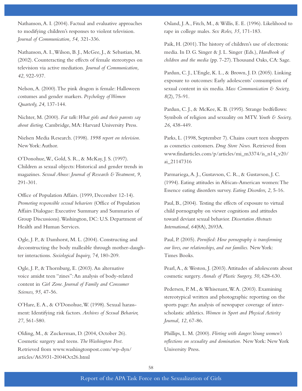Nathanson,A. I. (2004). Factual and evaluative approaches to modifying children's responses to violent television. *Journal of Communication, 54,* 321-336.

Nathanson,A. I.,Wilson, B. J., McGee, J., & Sebastian, M. (2002). Counteracting the effects of female stereotypes on television via active mediation. *Journal of Communication, 42,* 922-937.

Nelson,A. (2000).The pink dragon is female: Halloween costumes and gender markers. *Psychology of Women Quarterly, 24,* 137-144.

Nichter, M. (2000). *Fat talk:What girls and their parents say about dieting.* Cambridge, MA: Harvard University Press.

Nielsen Media Research. (1998). *1998 report on television.* New York:Author.

O'Donohue,W., Gold, S. R., & McKay, J. S. (1997). Children as sexual objects: Historical and gender trends in magazines. *Sexual Abuse: Journal of Research & Treatment, 9,* 291-301.

Office of Population Affairs. (1999, December 12-14). *Promoting responsible sexual behaviors* (Office of Population Affairs Dialogue: Executive Summary and Summaries of Group Discussions).Washington, DC: U.S. Department of Health and Human Services.

Ogle, J. P., & Damhorst, M. L. (2004). Constructing and deconstructing the body malleable through mother-daughter interactions. *Sociological Inquiry, 74,* 180-209.

Ogle, J. P., & Thornburg, E. (2003).An alternative voice amidst teen "zines":An analysis of body-related content in *Girl Zone. Journal of Family and Consumer Sciences, 95,* 47-56.

O'Hare, E.A., & O'Donohue,W. (1998). Sexual harassment: Identifying risk factors. *Archives of Sexual Behavior, 27,* 561-580.

Olding, M., & Zuckerman, D. (2004, October 26). Cosmetic surgery and teens. *The Washington Post.* Retrieved from [www.washingtonpost.com/wp-dyn/](www.washingtonpost.com/wp-dyn/articles/A63931-2004Oct26.html) [articles/A63931-2004Oct26.html](www.washingtonpost.com/wp-dyn/articles/A63931-2004Oct26.html)

Osland, J.A., Fitch, M., & Willis, E. E. (1996). Likelihood to rape in college males. *Sex Roles, 35,* 171-183.

Paik, H. (2001).The history of children's use of electronic media. In D. G. Singer & J. L. Singer (Eds.), *Handbook of children and the media* (pp. 7-27).Thousand Oaks, CA: Sage.

Pardun, C. J., L'Engle, K. L., & Brown, J. D. (2005). Linking exposure to outcomes: Early adolescents' consumption of sexual content in six media. *Mass Communication & Society, 8*(2), 75-91.

Pardun, C. J., & McKee, K. B. (1995). Strange bedfellows: Symbols of religion and sexuality on MTV. *Youth & Society, 26,* 438-449.

Parks, L. (1998, September 7). Chains court teen shoppers as cosmetics customers. *Drug Store News.* Retrieved from [www.findarticles.com/p/articles/mi\\_m3374/is\\_n14\\_v20/](www.findarticles.com/p/articles/mi_m3374/is_n14_v20/ai_21147316) [ai\\_21147316](www.findarticles.com/p/articles/mi_m3374/is_n14_v20/ai_21147316)

Parmariega,A. J., Gustavson, C. R., & Gustavson, J. C. (1994). Eating attitudes in African-American women:The Essence eating disorders survey. *Eating Disorders, 2,* 5-16.

Paul, B., (2004). Testing the effects of exposure to virtual child pornography on viewer cognitions and attitudes toward deviant sexual behavior. *Dissertation Abstracts International, 64*(8A), 2693A.

Paul, P. (2005). *Pornified: How pornography is transforming our lives, our relationships, and our families.* New York: Times Books.

Pearl, A., & Weston, J. (2003). Attitudes of adolescents about cosmetic surgery. *Annals of Plastic Surgery, 50,* 628-630.

Pedersen, P. M., & Whisenant,W.A. (2003). Examining stereotypical written and photographic reporting on the sports page:An analysis of newspaper coverage of interscholastic athletics. *Women in Sport and Physical Activity Journal, 12,* 67-86.

Phillips, L. M. (2000). *Flirting with danger:Young women's reflections on sexuality and domination.* New York: New York University Press.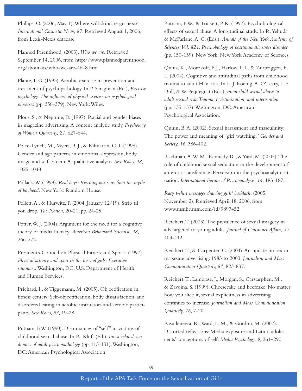Phillips, O. (2006, May 1).Where will skincare go next? *International Cosmetic News, 87.* Retrieved August 1, 2006, from Lexis-Nexis database.

Planned Parenthood. (2003).*Who we are.* Retrieved September 14, 2006, from [http://www.plannedparenthood.](http://www.plannedparenthood.org/about-us/who-we-are-4648.htm) [org/about-us/who-we-are-4648.htm](http://www.plannedparenthood.org/about-us/who-we-are-4648.htm)

Plante,T. G. (1993).Aerobic exercise in prevention and treatment of psychopathology. In P. Seragnian (Ed.), *Exercise psychology:The influence of physical exercise on psychological processes* (pp. 358-379). New York:Wiley.

Plous, S., & Neptune, D. (1997). Racial and gender biases in magazine advertising:A content analytic study. *Psychology of Women Quarterly, 21,* 627-644.

Polce-Lynch, M., Myers, B. J., & Kilmartin, C.T. (1998). Gender and age patterns in emotional expression, body image and self-esteem:A qualitative analysis. *Sex Roles, 38,* 1025-1048.

Pollack,W. (1998). *Real boys: Rescuing our sons from the myths of boyhood.* New York: Random House.

Pollett,A., & Hurwitz, P. (2004, January 12/19). Strip til you drop. *The Nation,* 20-21, pp. 24-25.

Potter, W. J. (2004). Argument for the need for a cognitive theory of media literacy. *American Behavioral Scientist, 48,* 266-272.

President's Council on Physical Fitness and Sports. (1997). *Physical activity and sport in the lives of girls: Executive summary.* Washington, DC: U.S. Department of Health and Human Services.

Prichard, I., & Tiggemann, M. (2005). Objectification in fitness centers: Self-objectification, body dissatisfaction, and disordered eating in aerobic instructors and aerobic participants. *Sex Roles, 53,* 19-28.

Putnam, F.W. (1990). Disturbances of "self" in victims of childhood sexual abuse. In R. Kluft (Ed.), *Incest-related syndromes of adult psychopathology* (pp. 113-131).Washington, DC:American Psychological Association.

Putnam, F.W., & Trickett, P. K. (1997). Psychobiological effects of sexual abuse:A longitudinal study. In R.Yehuda & McFarlane,A. C. (Eds.), *Annals of the New York Academy of Sciences:Vol. 821. Psychobiology of posttraumatic stress disorder* (pp. 150-159). New York: New York Academy of Sciences.

Quina, K., Morokoff, P. J., Harlow, L. L, & Zurbriggen, E. L. (2004). Cognitive and attitudinal paths from childhood trauma to adult HIV risk. In L. J. Koenig,A. O'Leary, L. S. Doll, & W. Pequegnat (Eds.), *From child sexual abuse to adult sexual risk:Trauma, revictimization, and intervention* (pp. 135-157).Washington, DC:American Psychological Association.

Quinn, B.A. (2002). Sexual harassment and masculinity: The power and meaning of "girl watching." *Gender and Society, 16,* 386-402.

Rachman,A.W. M., Kennedy, R., & Yard, M. (2005).The role of childhood sexual seduction in the development of an erotic transference: Perversion in the psychoanalytic situation. *International Forum of Psychoanalysis, 14,* 183-187.

*Racy t-shirt messages drawing girls' backlash.* (2005, November 2). Retrieved April 18, 2006, from www.msnbc.msn.com/id/9897452

Reichert,T. (2003).The prevalence of sexual imagery in ads targeted to young adults. *Journal of Consumer Affairs, 37,* 403-412.

Reichert,T., & Carpenter, C. (2004).An update on sex in magazine advertising: 1983 to 2003. *Journalism and Mass Communication Quarterly, 81,* 823-837.

Reichert,T., Lambiase, J., Morgan, S., Carstarphen, M., & Zavoina, S. (1999). Cheesecake and beefcake: No matter how you slice it, sexual explicitness in advertising continues to increase. *Journalism and Mass Communication Quarterly, 76,* 7-20.

Rivadeneyra, R.,Ward, L. M., & Gordon, M. (2007). Distorted reflections: Media exposure and Latino adolescents' conceptions of self. *Media Psychology, 9,* 261–290.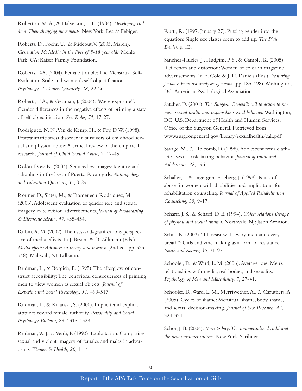Roberton, M.A., & Halverson, L. E. (1984). *Developing children:Their changing movements.* New York: Lea & Febiger.

Roberts, D., Foehr, U., & Rideout,V. (2005, March). *Generation M: Media in the lives of 8-18 year olds.* Menlo Park, CA: Kaiser Family Foundation.

Roberts,T-A. (2004). Female trouble:The Menstrual Self-Evaluation Scale and women's self-objectification. *Psychology of Women Quarterly, 28,* 22-26.

Roberts,T-A., & Gettman, J. (2004)."Mere exposure": Gender differences in the negative effects of priming a state of self-objectification. *Sex Roles, 51,* 17-27.

Rodriguez, N. N.,Van de Kemp, H., & Foy, D.W. (1998). Posttraumatic stress disorder in survivors of childhood sexual and physical abuse:A critical review of the empirical research. *Journal of Child Sexual Abuse, 7,* 17-45.

Rolón-Dow, R. (2004). Seduced by images: Identity and schooling in the lives of Puerto Rican girls. *Anthropology and Education Quarterly,* 35, 8-29.

Rouner, D., Slater, M., & Domenech-Rodriquez, M. (2003).Adolescent evaluation of gender role and sexual imagery in television advertisements. *Journal of Broadcasting & Electronic Media, 47,* 435-454.

Rubin,A. M. (2002).The uses-and-gratifications perspective of media effects. In J. Bryant & D. Zillmann (Eds.), *Media effects:Advances in theory and research* (2nd ed., pp. 525- 548). Mahwah, NJ: Erlbaum.

Rudman, L., & Borgida, E. (1995).The afterglow of construct accessibility:The behavioral consequences of priming men to view women as sexual objects. *Journal of Experimental Social Psychology, 31,* 493-517.

Rudman, L., & Kilianski, S. (2000). Implicit and explicit attitudes toward female authority. *Personality and Social Psychology Bulletin, 26,* 1315-1328.

Rudman,W. J., & Verdi, P. (1993). Exploitation: Comparing sexual and violent imagery of females and males in advertising. *Women & Health, 20,* 1-14.

Rutti, R. (1997, January 27). Putting gender into the equation: Single sex classes seem to add up. *The Plain Dealer,* p. 1B.

Sanchez-Hucles, J., Hudgins, P. S., & Gamble, K. (2005). Reflection and distortion:Women of color in magazine advertisements. In E. Cole & J. H. Daniels (Eds.), *Featuring females*: *Feminist analyses of media* (pp. 185-198).Washington, DC:American Psychological Association.

Satcher, D. (2001).*The Surgeon General's call to action to promote sexual health and responsible sexual behavior.* Washington, DC: U.S. Department of Health and Human Services, Office of the Surgeon General. Retrieved from www.surgeongeneral.gov/library/sexualhealth/call.pdf

Savage, M., & Holcomb, D. (1998).Adolescent female athletes' sexual risk-taking behavior. *Journal of Youth and Adolescence, 28,* 595.

Schaller, J., & Lagergren Frieberg, J. (1998). Issues of abuse for women with disabilities and implications for rehabilitation counseling. *Journal of Applied Rehabilitation Counseling, 29,* 9-17.

Scharff, J. S., & Scharff, D. E. (1994). *Object relations therapy of physical and sexual trauma.* Northvale, NJ: Jason Aronson.

Schilt, K. (2003)."I'll resist with every inch and every breath": Girls and zine making as a form of resistance. *Youth and Society, 35,* 71-97.

Schooler, D., & Ward, L. M. (2006).Average joes: Men's relationships with media, real bodies, and sexuality. *Psychology of Men and Masculinity, 7,* 27-41.

Schooler, D., Ward, L. M., Merriwether, A., & Caruthers, A. (2005). Cycles of shame: Menstrual shame, body shame, and sexual decision-making. *Journal of Sex Research, 42,* 324-334.

Schor, J. B. (2004). *Born to buy:The commercialized child and the new consumer culture.* New York: Scribner.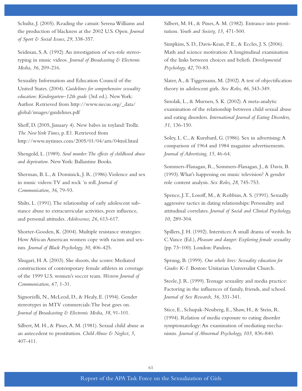Schultz, J. (2005). Reading the catsuit: Serena Williams and the production of blackness at the 2002 U.S. Open. *Journal of Sport & Social Issues, 29,* 338-357.

Seidman, S.A. (1992).An investigation of sex-role stereotyping in music videos. *Journal of Broadcasting & Electronic Media, 36,* 209-216.

Sexuality Information and Education Council of the United States. (2004). *Guidelines for comprehensive sexuality education: Kindergarten–12th grade* (3rd ed.). New York: Author. Retrieved from [http://www.siecus.org/\\_data/](http://www.siecus.org/_data/global/images/guidelines.pdf) [global/images/guidelines.pdf](http://www.siecus.org/_data/global/images/guidelines.pdf)

Sheff, D. (2005, January 4). New babes in toyland: Trollz. *The New York Times,* p. E1. Retrieved from http://www.nytimes.com/2005/01/04/arts/04trol.html

Shengold, L. (1989). *Soul murder:The effects of childhood abuse and deprivation.* New York: Ballantine Books.

Sherman, B. L., & Dominick, J. R. (1986).Violence and sex in music videos:TV and rock 'n roll. *Journal of Communication, 36,* 79-93.

Shilts, L. (1991).The relationship of early adolescent substance abuse to extracurricular activities, peer influence, and personal attitudes. *Adolescence, 26,* 613-617.

Shorter-Gooden, K. (2004). Multiple resistance strategies: How African American women cope with racism and sexism. *Journal of Black Psychology, 30,* 406-425.

Shugart, H.A. (2003). She shoots, she scores: Mediated constructions of contemporary female athletes in coverage of the 1999 U.S. women's soccer team. *Western Journal of Communication, 67,* 1-31.

Signorielli, N., McLeod, D., & Healy, E. (1994). Gender stereotypes in MTV commercials:The beat goes on. *Journal of Broadcasting & Electronic Media, 38,* 91-101.

Silbert, M. H., & Pines, A. M. (1981). Sexual child abuse as an antecedent to prostitution. *Child Abuse & Neglect, 5,* 407-411.

Silbert, M. H., & Pines, A. M. (1982). Entrance into prostitution. *Youth and Society, 13,* 471-500.

Simpkins, S. D., Davis-Kean, P. E., & Eccles, J. S. (2006). Math and science motivation:A longitudinal examination of the links between choices and beliefs. *Developmental Psychology, 42,* 70-83.

Slater, A., & Tiggemann, M. (2002). A test of objectification theory in adolescent girls. *Sex Roles, 46,* 343-349.

Smolak, L., & Murnen, S. K. (2002).A meta-analytic examination of the relationship between child sexual abuse and eating disorders. *International Journal of Eating Disorders, 31,* 136-150.

Soley, L. C., & Kurzbard, G. (1986). Sex in advertising:A comparison of 1964 and 1984 magazine advertisements. *Journal of Advertising, 15,* 46-64.

Sommers-Flanagan, R., Sommers-Flanagan, J., & Davis, B. (1993).What's happening on music television? A gender role content analysis. *Sex Roles, 28,* 745-753.

Spence, J.T., Losoff, M., & Robbins, A. S. (1991). Sexually aggressive tactics in dating relationships: Personality and attitudinal correlates. *Journal of Social and Clinical Psychology, 10,* 289-304.

Spillers, J. H. (1992). Interstices: A small drama of words. In C.Vance (Ed.), *Pleasure and danger: Exploring female sexuality* (pp. 73–100). London: Pandora.

Sprung, B. (1999). *Our whole lives: Sexuality education for Grades K-1.* Boston: Unitarian Universalist Church.

Steele, J. R. (1999). Teenage sexuality and media practice: Factoring in the influences of family, friends, and school. *Journal of Sex Research, 36,* 331-341.

Stice, E., Schupak-Neuberg, E., Shaw, H., & Stein, R. (1994). Relation of media exposure to eating disorder symptomatology:An examination of mediating mechanisms. *Journal of Abnormal Psychology, 103,* 836-840.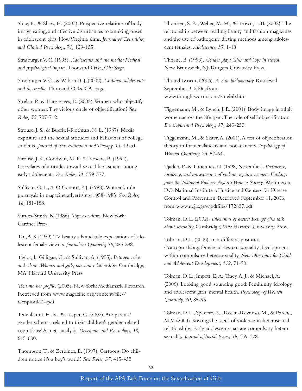Stice, E., & Shaw, H. (2003). Prospective relations of body image, eating, and affective disturbances to smoking onset in adolescent girls: How Virginia slims. *Journal of Consulting and Clinical Psychology, 71,* 129-135.

Strasburger,V. C. (1995). *Adolescents and the media: Medical and psychological impact.* Thousand Oaks, CA: Sage.

Strasburger,V. C., & Wilson B. J. (2002). *Children, adolescents and the media.* Thousand Oaks, CA: Sage.

Strelan, P., & Hargreaves, D. (2005).Women who objectify other women:The vicious circle of objectification? *Sex Roles, 52,* 707-712.

Strouse, J. S., & Buerkel-Rothfuss, N. L. (1987). Media exposure and the sexual attitudes and behaviors of college students. *Journal of Sex Education and Therapy, 13,* 43-51.

Strouse, J. S., Goodwin, M. P., & Roscoe, B. (1994). Correlates of attitudes toward sexual harassment among early adolescents. *Sex Roles, 31,* 559-577.

Sullivan, G. L., & O'Connor, P. J. (1988).Women's role portrayals in magazine advertising: 1958-1983. *Sex Roles, 18,* 181-188.

Sutton-Smith, B. (1986). *Toys as culture.* New York: Gardner Press.

Tan,A. S. (1979).TV beauty ads and role expectations of adolescent female viewers. *Journalism Quarterly, 56,* 283-288.

Taylor, J., Gilligan, C., & Sullivan,A. (1995). *Between voice and silence:Women and girls, race and relationships.* Cambridge, MA: Harvard University Press.

*Teen market profile*. (2005). New York: Mediamark Research*.* Retrieved from [www.magazine.org/content/files/](www.magazine.org/content/files/teenprofile04.pdf) [teenprofile04.pdf](www.magazine.org/content/files/teenprofile04.pdf)

Tenenbaum, H. R., & Leaper, C. (2002).Are parents' gender schemas related to their children's gender-related cognitions? A meta-analysis. *Developmental Psychology, 38,* 615-630.

Thompson,T., & Zerbinos, E. (1997). Cartoons: Do children notice it's a boy's world? *Sex Roles, 37,* 415-432.

Thomsen, S. R.,Weber, M. M., & Brown, L. B. (2002).The relationship between reading beauty and fashion magazines and the use of pathogenic dieting methods among adolescent females. *Adolescence, 37,* 1-18.

Thorne, B. (1993). *Gender play: Girls and boys in school.* New Brunswick, NJ: Rutgers University Press.

Thoughtworm. (2006). *A zine bibliography.* Retrieved September 3, 2006, from www.thoughtworm.com/zinebib.htm

Tiggemann, M., & Lynch, J. E. (2001). Body image in adult women across the life span:The role of self-objectification. *Developmental Psychology, 37,* 243-253.

Tiggemann, M., & Slater,A. (2001).A test of objectification theory in former dancers and non-dancers. *Psychology of Women Quarterly, 25,* 57-64.

Tjaden, P., & Thoennes, N. (1998, November). *Prevalence, incidence, and consequences of violence against women: Findings from the National Violence Against Women Survey.* Washington, DC: National Institute of Justice and Centers for Disease Control and Prevention. Retrieved September 11, 2006, from www.ncjrs.gov/pdffiles/172837.pdf

Tolman, D. L. (2002). *Dilemmas of desire:Teenage girls talk about sexuality.* Cambridge, MA: Harvard University Press.

Tolman, D. L. (2006). In a different position: Conceptualizing female adolescent sexuality development within compulsory heterosexuality. *New Directions for Child and Adolescent Development, 112,* 71-90.

Tolman, D. L., Impett, E.A.,Tracy,A. J., & Michael,A. (2006). Looking good, sounding good: Femininity ideology and adolescent girls' mental health. *Psychology of Women Quarterly, 30,* 85-95.

Tolman, D. L., Spencer, R., Rosen-Reynoso, M., & Porche, M.V. (2003). Sowing the seeds of violence in heterosexual relationships: Early adolescents narrate compulsory heterosexuality. *Journal of Social Issues, 59,* 159-178.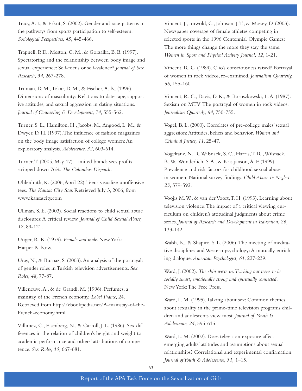Tracy,A. J., & Erkut, S. (2002). Gender and race patterns in the pathways from sports participation to self-esteem. *Sociological Perspectives, 45,* 445-466.

Trapnell, P. D., Meston, C. M., & Gorzalka, B. B. (1997). Spectatoring and the relationship between body image and sexual experience: Self-focus or self-valence? *Journal of Sex Research, 34,* 267-278.

Truman, D. M.,Tokar, D. M., & Fischer,A. R. (1996). Dimensions of masculinity: Relations to date rape, supportive attitudes, and sexual aggression in dating situations. *Journal of Counseling & Development, 74,* 555-562.

Turner, S. L., Hamilton, H., Jacobs, M.,Angood, L. M., & Dwyer, D. H. (1997).The influence of fashion magazines on the body image satisfaction of college women:An exploratory analysis. *Adolescence, 32,* 603-614.

Turner,T. (2005, May 17). Limited brands sees profits stripped down 76%. *The Columbus Dispatch.*

Uhlenhuth, K. (2006,April 22).Teens visualize unoffensive tees. *The Kansas City Star.* Retrieved July 3, 2006, from www.kansascity.com

Ullman, S. E. (2003). Social reactions to child sexual abuse disclosures:A critical review. *Journal of Child Sexual Abuse, 12,* 89-121.

Unger, R. K. (1979). *Female and male.* New York: Harper & Row.

Uray, N., & Burnaz, S. (2003).An analysis of the portrayals of gender roles in Turkish television advertisements. *Sex Roles, 48,* 77-87.

Villeneuve,A., & de Grandi, M. (1996). Perfumes, a mainstay of the French economy. *Label France,* 24. Retrieved from [http://ebookpedia.net/A-mainstay-of-the-](http://ebookpedia.net/A-mainstay-of-the-French-economy.html)[French-economy.html](http://ebookpedia.net/A-mainstay-of-the-French-economy.html)

Villimez, C., Eisenberg, N., & Carroll, J. L. (1986). Sex differences in the relation of children's height and weight to academic performance and others' attributions of competence. *Sex Roles, 15,* 667-681.

Vincent, J., Imwold, C., Johnson, J.T., & Massey, D. (2003). Newspaper coverage of female athletes competing in selected sports in the 1996 Centennial Olympic Games: The more things change the more they stay the same. *Women in Sport and Physical Activity Journal, 12,* 1-21.

Vincent, R. C. (1989). Clio's consciousness raised? Portrayal of women in rock videos, re-examined. *Journalism Quarterly, 66,* 155-160.

Vincent, R. C., Davis, D. K., & Boruszkowski, L.A. (1987). Sexism on MTV:The portrayal of women in rock videos. *Journalism Quarterly, 64,* 750-755.

Vogel, B. L. (2000). Correlates of pre-college males' sexual aggression:Attitudes, beliefs and behavior. *Women and Criminal Justice, 11,* 25-47.

Vogeltanz, N. D.,Wilsnack, S. C., Harris,T. R.,Wilsnack, R.W.,Wonderlich, S.A., & Kristjanson,A. F. (1999). Prevalence and risk factors for childhood sexual abuse in women: National survey findings. *Child Abuse & Neglect, 23,* 579-592.

Voojis M.W., & van der Voort,T. H. (1993). Learning about television violence:The impact of a critical viewing curriculum on children's attitudinal judgments about crime series. *Journal of Research and Development in Education, 26,* 133-142.

Walsh, R., & Shapiro, S. L. (2006).The meeting of meditative disciplines and Western psychology:A mutually enriching dialogue. *American Psychologist, 61,* 227-239.

Ward, J. (2002). *The skin we're in:Teaching our teens to be socially smart, emotionally strong and spiritually connected.* New York:The Free Press.

Ward, L. M. (1995).Talking about sex: Common themes about sexuality in the prime-time television programs children and adolescents view most. *Journal of Youth & Adolescence, 24,* 595-615.

Ward, L. M. (2002). Does television exposure affect emerging adults' attitudes and assumptions about sexual relationships? Correlational and experimental confirmation. *Journal of Youth & Adolescence, 31,* 1–15.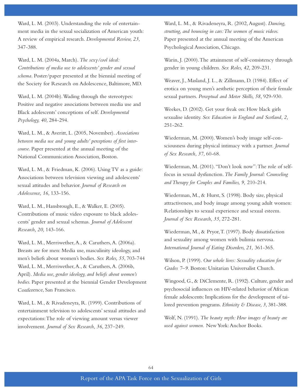Ward, L. M. (2003). Understanding the role of entertainment media in the sexual socialization of American youth: A review of empirical research. *Developmental Review, 23,* 347-388.

Ward, L. M. (2004a, March). *The sexy/cool ideal: Contributions of media use to adolescents' gender and sexual schema.* Poster/paper presented at the biennial meeting of the Society for Research on Adolescence, Baltimore, MD.

Ward, L. M. (2004b).Wading through the stereotypes: Positive and negative associations between media use and Black adolescents' conceptions of self. *Developmental Psychology, 40,* 284-294.

Ward, L. M., & Averitt, L. (2005, November). *Associations between media use and young adults' perceptions of first intercourse.* Paper presented at the annual meeting of the National Communication Association, Boston.

Ward, L. M., & Friedman, K. (2006). Using TV as a guide: Associations between television viewing and adolescents' sexual attitudes and behavior. *Journal of Research on Adolescence, 16,* 133-156.

Ward, L. M., Hansbrough, E., & Walker, E. (2005). Contributions of music video exposure to black adolescents' gender and sexual schemas. *Journal of Adolescent Research, 20,* 143-166.

Ward, L. M., Merriwether,A., & Caruthers,A. (2006a). Breasts are for men: Media use, masculinity ideology, and men's beliefs about women's bodies. *Sex Roles, 55*, 703-744 Ward, L. M., Merriwether, A., & Caruthers, A. (2006b, April). *Media use, gender ideology, and beliefs about women's bodies.* Paper presented at the biennial Gender Development Conference, San Francisco.

Ward, L. M., & Rivadeneyra, R. (1999). Contributions of entertainment television to adolescents' sexual attitudes and expectations:The role of viewing amount versus viewer involvement. *Journal of Sex Research, 36,* 237–249.

Ward, L. M., & Rivadeneyra, R. (2002,August). *Dancing, strutting, and bouncing in cars:The women of music videos.* Paper presented at the annual meeting of the American Psychological Association, Chicago.

Warin, J. (2000).The attainment of self-consistency through gender in young children. *Sex Roles, 42,* 209-231.

Weaver, J., Masland, J. L., & Zillmann, D. (1984). Effect of erotica on young men's aesthetic perception of their female sexual partners. *Perceptual and Motor Skills, 58,* 929-930.

Weekes, D. (2002). Get your freak on: How black girls sexualise identity. *Sex Education in England and Scotland, 2,* 251-262.

Wiederman, M. (2000).Women's body image self-consciousness during physical intimacy with a partner. *Journal of Sex Research, 37,* 60-68.

Wiederman, M. (2001)."Don't look now":The role of selffocus in sexual dysfunction.*The Family Journal: Counseling and Therapy for Couples and Families, 9,* 210-214.

Wiederman, M., & Hurst, S. (1998). Body size, physical attractiveness, and body image among young adult women: Relationships to sexual experience and sexual esteem. *Journal of Sex Research, 35,* 272-281.

Wiederman, M., & Pryor,T. (1997). Body dissatisfaction and sexuality among women with bulimia nervosa. *International Journal of Eating Disorders, 21,* 361-365.

Wilson, P. (1999). *Our whole lives: Sexuality education for Grades 7–9.* Boston: Unitarian Universalist Church.

Wingood, G., & DiClemente, R. (1992). Culture, gender and psychosocial influences on HIV-related behavior of African female adolescents: Implications for the development of tailored prevention programs. *Ethnicity & Disease, 3,* 381-388.

Wolf, N. (1991). *The beauty myth: How images of beauty are used against women.* New York:Anchor Books.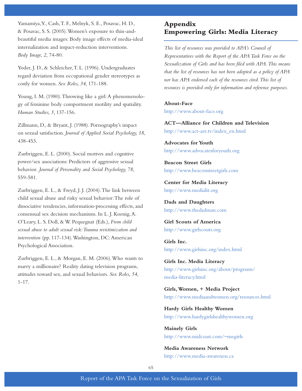Yamamiya,Y., Cash,T. F., Melnyk, S. E., Posavac, H. D., & Posavac, S. S. (2005).Women's exposure to thin-andbeautiful media images: Body image effects of media-ideal internalization and impact-reduction interventions. *Body Image, 2,* 74-80.

Yoder, J. D., & Schleicher, T. L. (1996). Undergraduates regard deviation from occupational gender stereotypes as costly for women. *Sex Roles, 34,* 171-188.

Young, I. M. (1980). Throwing like a girl: A phenomenology of feminine body comportment motility and spatiality. *Human Studies, 3,* 137-156.

Zillmann, D., & Bryant, J. (1988). Pornography's impact on sexual satisfaction. *Journal of Applied Social Psychology, 18,* 438-453.

Zurbriggen, E. L. (2000). Social motives and cognitive power/sex associations: Predictors of aggressive sexual behavior. *Journal of Personality and Social Psychology, 78,* 559-581.

Zurbriggen, E. L., & Freyd, J. J. (2004).The link between child sexual abuse and risky sexual behavior:The role of dissociative tendencies, information-processing effects, and consensual sex decision mechanisms. In L. J. Koenig,A. O'Leary, L. S. Doll, & W. Pequegnat (Eds.), *From child sexual abuse to adult sexual risk:Trauma revictimization and intervention* (pp. 117-134).Washington, DC:American Psychological Association.

Zurbriggen, E. L., & Morgan, E. M. (2006).Who wants to marry a millionaire? Reality dating television programs, attitudes toward sex, and sexual behaviors. *Sex Roles, 54,* 1-17.

# **Appendix Empowering Girls: Media Literacy**

*This list of resources was provided to APA's Council of Representatives with the Report of the APA Task Force on the Sexualization of Girls and has been filed with APA.This means that the list of resources has not been adopted as a policy of APA nor has APA endorsed each of the resources cited.This list of resources is provided only for information and reference purposes.*

**About-Face** http://www.about-face.org

**ACT—Alliance for Children and Television** http://www.act-aet.tv/index\_en.html

**Advocates for Youth** http://www.advocatesforyouth.org

**Beacon Street Girls** http://www.beaconstreetgirls.com

**Center for Media Literacy** http://www.medialit.org

**Dads and Daughters** http://www.thedadman.com

**Girl Scouts of America** http://www.girlscouts.org

**Girls Inc.** http://www.girlsinc.org/index.html

**Girls Inc. Media Literacy** [http://www.girlsinc.org/about/programs/](http://www.girlsinc.org/about/programs/media-literacy.html) [media-literacy.html](http://www.girlsinc.org/about/programs/media-literacy.html)

**Girls,Women, + Media Project** http://www.mediaandwomen.org/resources.html

**Hardy Girls Healthy Women** http://www.hardygirlshealthywomen.org

**Mainely Girls** http://www.midcoast.com/~megirls

**Media Awareness Network** http://www.media-awareness.ca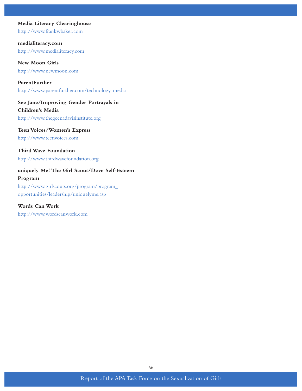## **Media Literacy Clearinghouse**

http://www.frankwbaker.com

**medialiteracy.com** http://www.medialiteracy.com

**New Moon Girls** http://www.newmoon.com

**ParentFurther** http://www.parentfurther.com/technology-media

**See Jane/Improving Gender Portrayals in Children's Media**

http://www.thegeenadavisinstitute.org

**Teen Voices/Women's Express**

http://www.teenvoices.com

**Third Wave Foundation** http://www.thirdwavefoundation.org

## **uniquely Me! The Girl Scout/Dove Self-Esteem**

#### **Program**

[http://www.girlscouts.org/program/program\\_](http://www.girlscouts.org/program/program_opportunities/leadership/uniquelyme.asp) [opportunities/leadership/uniquelyme.asp](http://www.girlscouts.org/program/program_opportunities/leadership/uniquelyme.asp)

**Words Can Work**

http://www.wordscanwork.com

66